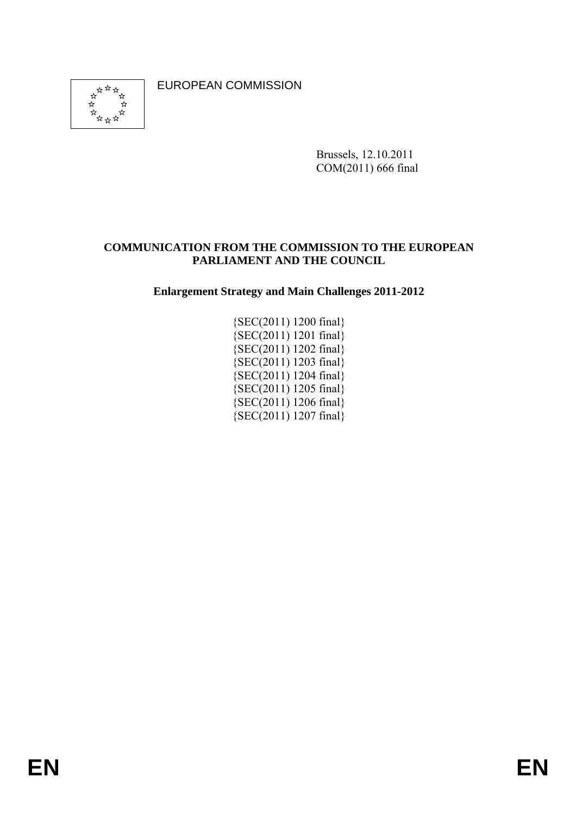EUROPEAN COMMISSION



Brussels, 12.10.2011 COM(2011) 666 final

### **COMMUNICATION FROM THE COMMISSION TO THE EUROPEAN PARLIAMENT AND THE COUNCIL**

**Enlargement Strategy and Main Challenges 2011-2012** 

{SEC(2011) 1200 final}  ${SEC(2011)}$  1201 final {SEC(2011) 1202 final} {SEC(2011) 1203 final} {SEC(2011) 1204 final}  ${SEC(2011)}$  1205 final {SEC(2011) 1206 final}  ${SEC(2011) 1207 final}$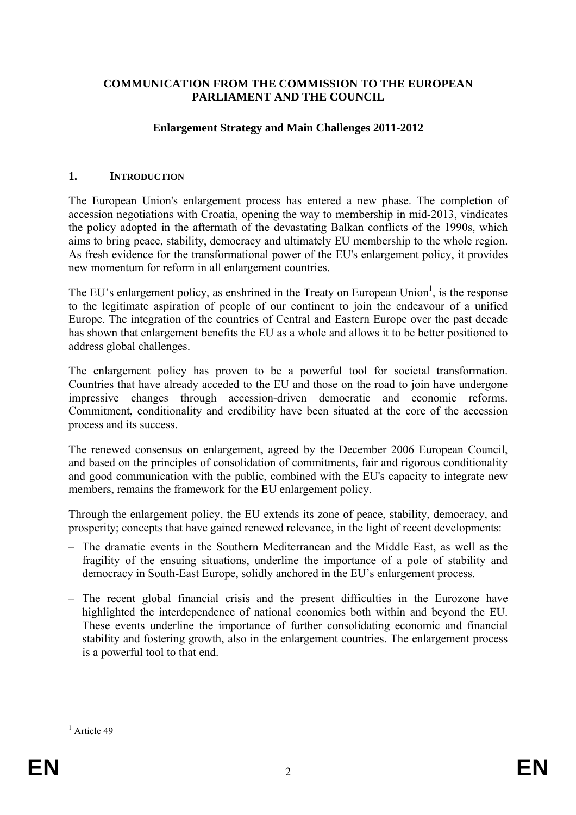#### **COMMUNICATION FROM THE COMMISSION TO THE EUROPEAN PARLIAMENT AND THE COUNCIL**

#### **Enlargement Strategy and Main Challenges 2011-2012**

#### **1. INTRODUCTION**

The European Union's enlargement process has entered a new phase. The completion of accession negotiations with Croatia, opening the way to membership in mid-2013, vindicates the policy adopted in the aftermath of the devastating Balkan conflicts of the 1990s, which aims to bring peace, stability, democracy and ultimately EU membership to the whole region. As fresh evidence for the transformational power of the EU's enlargement policy, it provides new momentum for reform in all enlargement countries.

The EU's enlargement policy, as enshrined in the Treaty on European Union<sup>1</sup>, is the response to the legitimate aspiration of people of our continent to join the endeavour of a unified Europe. The integration of the countries of Central and Eastern Europe over the past decade has shown that enlargement benefits the EU as a whole and allows it to be better positioned to address global challenges.

The enlargement policy has proven to be a powerful tool for societal transformation. Countries that have already acceded to the EU and those on the road to join have undergone impressive changes through accession-driven democratic and economic reforms. Commitment, conditionality and credibility have been situated at the core of the accession process and its success.

The renewed consensus on enlargement, agreed by the December 2006 European Council, and based on the principles of consolidation of commitments, fair and rigorous conditionality and good communication with the public, combined with the EU's capacity to integrate new members, remains the framework for the EU enlargement policy.

Through the enlargement policy, the EU extends its zone of peace, stability, democracy, and prosperity; concepts that have gained renewed relevance, in the light of recent developments:

- The dramatic events in the Southern Mediterranean and the Middle East, as well as the fragility of the ensuing situations, underline the importance of a pole of stability and democracy in South-East Europe, solidly anchored in the EU's enlargement process.
- The recent global financial crisis and the present difficulties in the Eurozone have highlighted the interdependence of national economies both within and beyond the EU. These events underline the importance of further consolidating economic and financial stability and fostering growth, also in the enlargement countries. The enlargement process is a powerful tool to that end.

 $<sup>1</sup>$  Article 49</sup>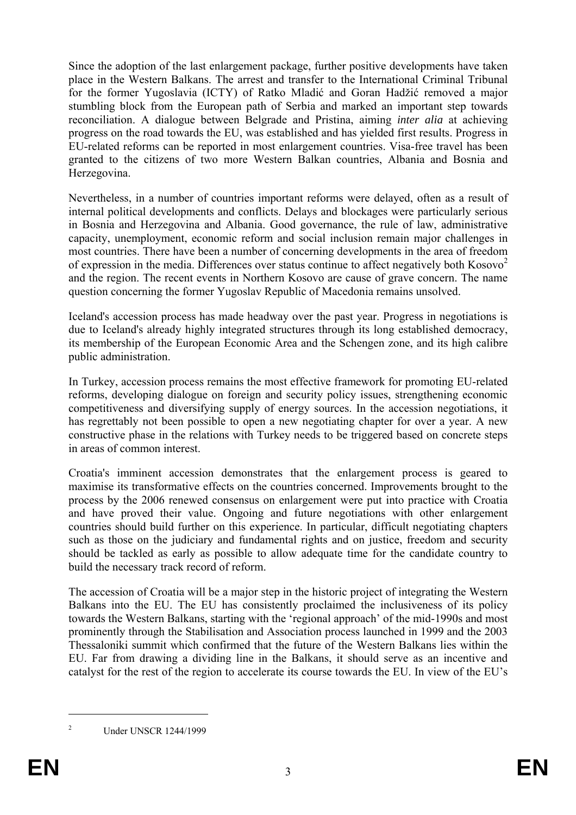Since the adoption of the last enlargement package, further positive developments have taken place in the Western Balkans. The arrest and transfer to the International Criminal Tribunal for the former Yugoslavia (ICTY) of Ratko Mladić and Goran Hadžić removed a major stumbling block from the European path of Serbia and marked an important step towards reconciliation. A dialogue between Belgrade and Pristina, aiming *inter alia* at achieving progress on the road towards the EU, was established and has yielded first results. Progress in EU-related reforms can be reported in most enlargement countries. Visa-free travel has been granted to the citizens of two more Western Balkan countries, Albania and Bosnia and Herzegovina.

Nevertheless, in a number of countries important reforms were delayed, often as a result of internal political developments and conflicts. Delays and blockages were particularly serious in Bosnia and Herzegovina and Albania. Good governance, the rule of law, administrative capacity, unemployment, economic reform and social inclusion remain major challenges in most countries. There have been a number of concerning developments in the area of freedom of expression in the media. Differences over status continue to affect negatively both  $Kosovo<sup>2</sup>$ and the region. The recent events in Northern Kosovo are cause of grave concern. The name question concerning the former Yugoslav Republic of Macedonia remains unsolved.

Iceland's accession process has made headway over the past year. Progress in negotiations is due to Iceland's already highly integrated structures through its long established democracy, its membership of the European Economic Area and the Schengen zone, and its high calibre public administration.

In Turkey, accession process remains the most effective framework for promoting EU-related reforms, developing dialogue on foreign and security policy issues, strengthening economic competitiveness and diversifying supply of energy sources. In the accession negotiations, it has regrettably not been possible to open a new negotiating chapter for over a year. A new constructive phase in the relations with Turkey needs to be triggered based on concrete steps in areas of common interest.

Croatia's imminent accession demonstrates that the enlargement process is geared to maximise its transformative effects on the countries concerned. Improvements brought to the process by the 2006 renewed consensus on enlargement were put into practice with Croatia and have proved their value. Ongoing and future negotiations with other enlargement countries should build further on this experience. In particular, difficult negotiating chapters such as those on the judiciary and fundamental rights and on justice, freedom and security should be tackled as early as possible to allow adequate time for the candidate country to build the necessary track record of reform.

The accession of Croatia will be a major step in the historic project of integrating the Western Balkans into the EU. The EU has consistently proclaimed the inclusiveness of its policy towards the Western Balkans, starting with the 'regional approach' of the mid-1990s and most prominently through the Stabilisation and Association process launched in 1999 and the 2003 Thessaloniki summit which confirmed that the future of the Western Balkans lies within the EU. Far from drawing a dividing line in the Balkans, it should serve as an incentive and catalyst for the rest of the region to accelerate its course towards the EU. In view of the EU's

<sup>1</sup> 2

Under UNSCR 1244/1999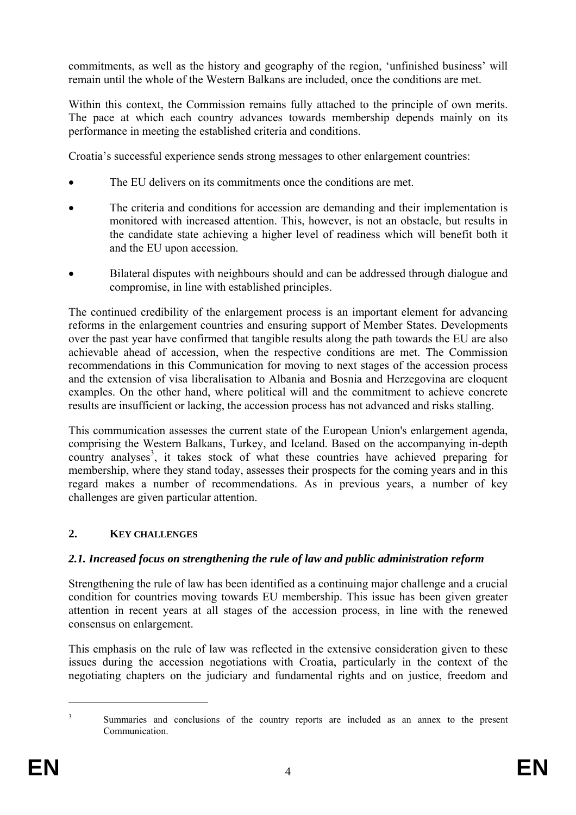commitments, as well as the history and geography of the region, 'unfinished business' will remain until the whole of the Western Balkans are included, once the conditions are met.

Within this context, the Commission remains fully attached to the principle of own merits. The pace at which each country advances towards membership depends mainly on its performance in meeting the established criteria and conditions.

Croatia's successful experience sends strong messages to other enlargement countries:

- The EU delivers on its commitments once the conditions are met.
- The criteria and conditions for accession are demanding and their implementation is monitored with increased attention. This, however, is not an obstacle, but results in the candidate state achieving a higher level of readiness which will benefit both it and the EU upon accession.
- Bilateral disputes with neighbours should and can be addressed through dialogue and compromise, in line with established principles.

The continued credibility of the enlargement process is an important element for advancing reforms in the enlargement countries and ensuring support of Member States. Developments over the past year have confirmed that tangible results along the path towards the EU are also achievable ahead of accession, when the respective conditions are met. The Commission recommendations in this Communication for moving to next stages of the accession process and the extension of visa liberalisation to Albania and Bosnia and Herzegovina are eloquent examples. On the other hand, where political will and the commitment to achieve concrete results are insufficient or lacking, the accession process has not advanced and risks stalling.

This communication assesses the current state of the European Union's enlargement agenda, comprising the Western Balkans, Turkey, and Iceland. Based on the accompanying in-depth country analyses<sup>3</sup>, it takes stock of what these countries have achieved preparing for membership, where they stand today, assesses their prospects for the coming years and in this regard makes a number of recommendations. As in previous years, a number of key challenges are given particular attention.

# **2. KEY CHALLENGES**

# *2.1. Increased focus on strengthening the rule of law and public administration reform*

Strengthening the rule of law has been identified as a continuing major challenge and a crucial condition for countries moving towards EU membership. This issue has been given greater attention in recent years at all stages of the accession process, in line with the renewed consensus on enlargement.

This emphasis on the rule of law was reflected in the extensive consideration given to these issues during the accession negotiations with Croatia, particularly in the context of the negotiating chapters on the judiciary and fundamental rights and on justice, freedom and

<u>.</u> 3

Summaries and conclusions of the country reports are included as an annex to the present Communication.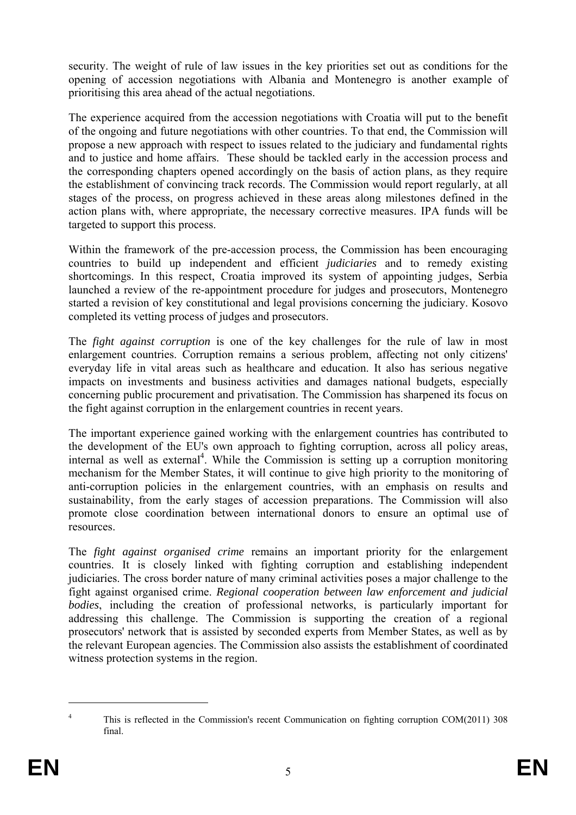security. The weight of rule of law issues in the key priorities set out as conditions for the opening of accession negotiations with Albania and Montenegro is another example of prioritising this area ahead of the actual negotiations.

The experience acquired from the accession negotiations with Croatia will put to the benefit of the ongoing and future negotiations with other countries. To that end, the Commission will propose a new approach with respect to issues related to the judiciary and fundamental rights and to justice and home affairs. These should be tackled early in the accession process and the corresponding chapters opened accordingly on the basis of action plans, as they require the establishment of convincing track records. The Commission would report regularly, at all stages of the process, on progress achieved in these areas along milestones defined in the action plans with, where appropriate, the necessary corrective measures. IPA funds will be targeted to support this process.

Within the framework of the pre-accession process, the Commission has been encouraging countries to build up independent and efficient *judiciaries* and to remedy existing shortcomings. In this respect, Croatia improved its system of appointing judges, Serbia launched a review of the re-appointment procedure for judges and prosecutors, Montenegro started a revision of key constitutional and legal provisions concerning the judiciary. Kosovo completed its vetting process of judges and prosecutors.

The *fight against corruption* is one of the key challenges for the rule of law in most enlargement countries. Corruption remains a serious problem, affecting not only citizens' everyday life in vital areas such as healthcare and education. It also has serious negative impacts on investments and business activities and damages national budgets, especially concerning public procurement and privatisation. The Commission has sharpened its focus on the fight against corruption in the enlargement countries in recent years.

The important experience gained working with the enlargement countries has contributed to the development of the EU's own approach to fighting corruption, across all policy areas, internal as well as external<sup>4</sup>. While the Commission is setting up a corruption monitoring mechanism for the Member States, it will continue to give high priority to the monitoring of anti-corruption policies in the enlargement countries, with an emphasis on results and sustainability, from the early stages of accession preparations. The Commission will also promote close coordination between international donors to ensure an optimal use of resources.

The *fight against organised crime* remains an important priority for the enlargement countries. It is closely linked with fighting corruption and establishing independent judiciaries. The cross border nature of many criminal activities poses a major challenge to the fight against organised crime. *Regional cooperation between law enforcement and judicial bodies*, including the creation of professional networks, is particularly important for addressing this challenge. The Commission is supporting the creation of a regional prosecutors' network that is assisted by seconded experts from Member States, as well as by the relevant European agencies. The Commission also assists the establishment of coordinated witness protection systems in the region.

<u>.</u>

<sup>4</sup> This is reflected in the Commission's recent Communication on fighting corruption COM(2011) 308 final.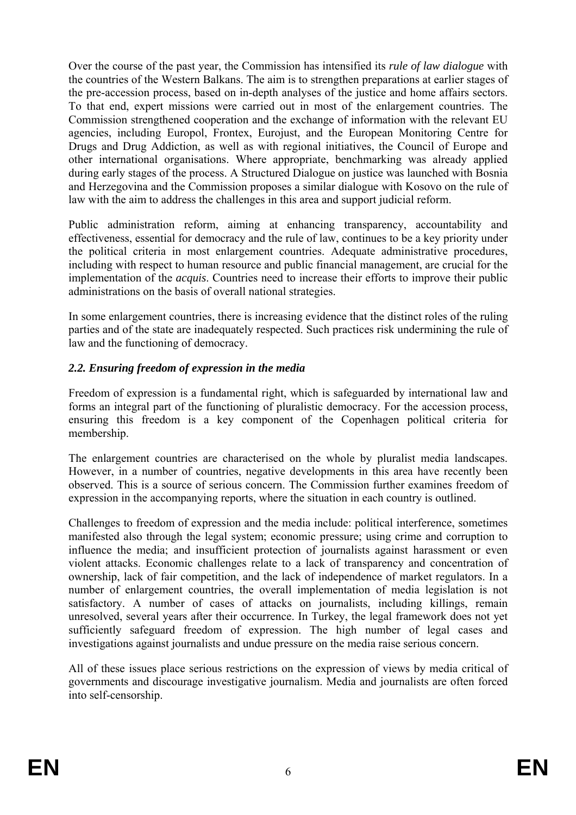Over the course of the past year, the Commission has intensified its *rule of law dialogue* with the countries of the Western Balkans. The aim is to strengthen preparations at earlier stages of the pre-accession process, based on in-depth analyses of the justice and home affairs sectors. To that end, expert missions were carried out in most of the enlargement countries. The Commission strengthened cooperation and the exchange of information with the relevant EU agencies, including Europol, Frontex, Eurojust, and the European Monitoring Centre for Drugs and Drug Addiction, as well as with regional initiatives, the Council of Europe and other international organisations. Where appropriate, benchmarking was already applied during early stages of the process. A Structured Dialogue on justice was launched with Bosnia and Herzegovina and the Commission proposes a similar dialogue with Kosovo on the rule of law with the aim to address the challenges in this area and support judicial reform.

Public administration reform, aiming at enhancing transparency, accountability and effectiveness, essential for democracy and the rule of law, continues to be a key priority under the political criteria in most enlargement countries. Adequate administrative procedures, including with respect to human resource and public financial management, are crucial for the implementation of the *acquis*. Countries need to increase their efforts to improve their public administrations on the basis of overall national strategies.

In some enlargement countries, there is increasing evidence that the distinct roles of the ruling parties and of the state are inadequately respected. Such practices risk undermining the rule of law and the functioning of democracy.

# *2.2. Ensuring freedom of expression in the media*

Freedom of expression is a fundamental right, which is safeguarded by international law and forms an integral part of the functioning of pluralistic democracy. For the accession process, ensuring this freedom is a key component of the Copenhagen political criteria for membership.

The enlargement countries are characterised on the whole by pluralist media landscapes. However, in a number of countries, negative developments in this area have recently been observed. This is a source of serious concern. The Commission further examines freedom of expression in the accompanying reports, where the situation in each country is outlined.

Challenges to freedom of expression and the media include: political interference, sometimes manifested also through the legal system; economic pressure; using crime and corruption to influence the media; and insufficient protection of journalists against harassment or even violent attacks. Economic challenges relate to a lack of transparency and concentration of ownership, lack of fair competition, and the lack of independence of market regulators. In a number of enlargement countries, the overall implementation of media legislation is not satisfactory. A number of cases of attacks on journalists, including killings, remain unresolved, several years after their occurrence. In Turkey, the legal framework does not yet sufficiently safeguard freedom of expression. The high number of legal cases and investigations against journalists and undue pressure on the media raise serious concern.

All of these issues place serious restrictions on the expression of views by media critical of governments and discourage investigative journalism. Media and journalists are often forced into self-censorship.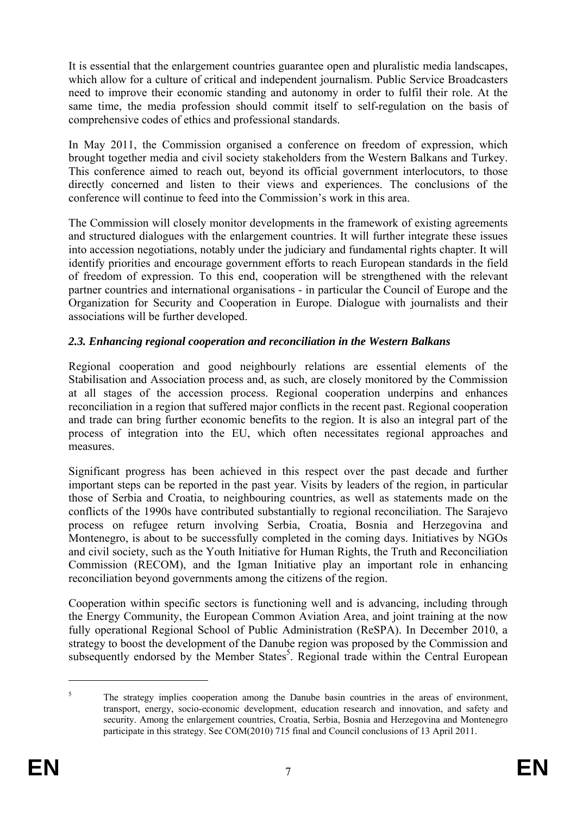It is essential that the enlargement countries guarantee open and pluralistic media landscapes, which allow for a culture of critical and independent journalism. Public Service Broadcasters need to improve their economic standing and autonomy in order to fulfil their role. At the same time, the media profession should commit itself to self-regulation on the basis of comprehensive codes of ethics and professional standards.

In May 2011, the Commission organised a conference on freedom of expression, which brought together media and civil society stakeholders from the Western Balkans and Turkey. This conference aimed to reach out, beyond its official government interlocutors, to those directly concerned and listen to their views and experiences. The conclusions of the conference will continue to feed into the Commission's work in this area.

The Commission will closely monitor developments in the framework of existing agreements and structured dialogues with the enlargement countries. It will further integrate these issues into accession negotiations, notably under the judiciary and fundamental rights chapter. It will identify priorities and encourage government efforts to reach European standards in the field of freedom of expression. To this end, cooperation will be strengthened with the relevant partner countries and international organisations - in particular the Council of Europe and the Organization for Security and Cooperation in Europe. Dialogue with journalists and their associations will be further developed.

# *2.3. Enhancing regional cooperation and reconciliation in the Western Balkans*

Regional cooperation and good neighbourly relations are essential elements of the Stabilisation and Association process and, as such, are closely monitored by the Commission at all stages of the accession process. Regional cooperation underpins and enhances reconciliation in a region that suffered major conflicts in the recent past. Regional cooperation and trade can bring further economic benefits to the region. It is also an integral part of the process of integration into the EU, which often necessitates regional approaches and measures.

Significant progress has been achieved in this respect over the past decade and further important steps can be reported in the past year. Visits by leaders of the region, in particular those of Serbia and Croatia, to neighbouring countries, as well as statements made on the conflicts of the 1990s have contributed substantially to regional reconciliation. The Sarajevo process on refugee return involving Serbia, Croatia, Bosnia and Herzegovina and Montenegro, is about to be successfully completed in the coming days. Initiatives by NGOs and civil society, such as the Youth Initiative for Human Rights, the Truth and Reconciliation Commission (RECOM), and the Igman Initiative play an important role in enhancing reconciliation beyond governments among the citizens of the region.

Cooperation within specific sectors is functioning well and is advancing, including through the Energy Community, the European Common Aviation Area, and joint training at the now fully operational Regional School of Public Administration (ReSPA). In December 2010, a strategy to boost the development of the Danube region was proposed by the Commission and subsequently endorsed by the Member States<sup>5</sup>. Regional trade within the Central European

<sup>5</sup> The strategy implies cooperation among the Danube basin countries in the areas of environment, transport, energy, socio-economic development, education research and innovation, and safety and security. Among the enlargement countries, Croatia, Serbia, Bosnia and Herzegovina and Montenegro participate in this strategy. See COM(2010) 715 final and Council conclusions of 13 April 2011.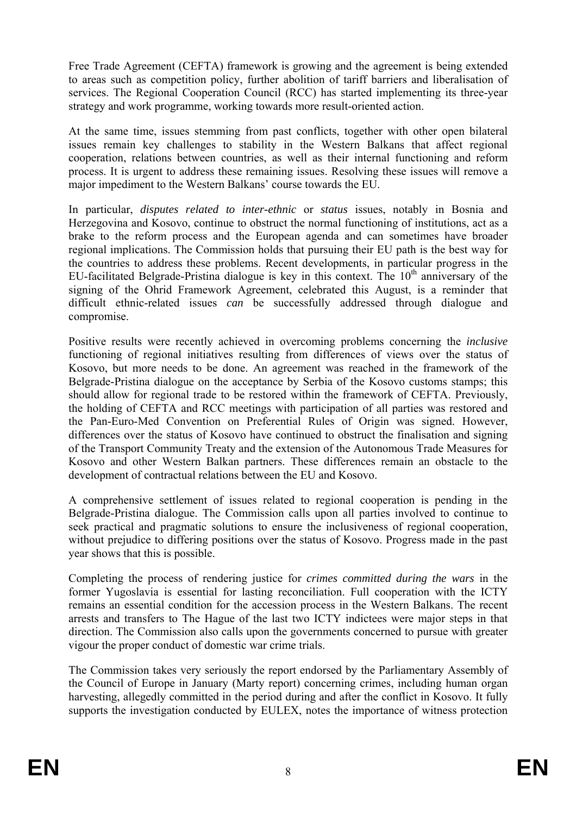Free Trade Agreement (CEFTA) framework is growing and the agreement is being extended to areas such as competition policy, further abolition of tariff barriers and liberalisation of services. The Regional Cooperation Council (RCC) has started implementing its three-year strategy and work programme, working towards more result-oriented action.

At the same time, issues stemming from past conflicts, together with other open bilateral issues remain key challenges to stability in the Western Balkans that affect regional cooperation, relations between countries, as well as their internal functioning and reform process. It is urgent to address these remaining issues. Resolving these issues will remove a major impediment to the Western Balkans' course towards the EU.

In particular, *disputes related to inter-ethnic* or *status* issues, notably in Bosnia and Herzegovina and Kosovo, continue to obstruct the normal functioning of institutions, act as a brake to the reform process and the European agenda and can sometimes have broader regional implications. The Commission holds that pursuing their EU path is the best way for the countries to address these problems. Recent developments, in particular progress in the EU-facilitated Belgrade-Pristina dialogue is key in this context. The  $10<sup>th</sup>$  anniversary of the signing of the Ohrid Framework Agreement, celebrated this August, is a reminder that difficult ethnic-related issues *can* be successfully addressed through dialogue and compromise.

Positive results were recently achieved in overcoming problems concerning the *inclusive* functioning of regional initiatives resulting from differences of views over the status of Kosovo, but more needs to be done. An agreement was reached in the framework of the Belgrade-Pristina dialogue on the acceptance by Serbia of the Kosovo customs stamps; this should allow for regional trade to be restored within the framework of CEFTA. Previously, the holding of CEFTA and RCC meetings with participation of all parties was restored and the Pan-Euro-Med Convention on Preferential Rules of Origin was signed. However, differences over the status of Kosovo have continued to obstruct the finalisation and signing of the Transport Community Treaty and the extension of the Autonomous Trade Measures for Kosovo and other Western Balkan partners. These differences remain an obstacle to the development of contractual relations between the EU and Kosovo.

A comprehensive settlement of issues related to regional cooperation is pending in the Belgrade-Pristina dialogue. The Commission calls upon all parties involved to continue to seek practical and pragmatic solutions to ensure the inclusiveness of regional cooperation, without prejudice to differing positions over the status of Kosovo. Progress made in the past year shows that this is possible.

Completing the process of rendering justice for *crimes committed during the wars* in the former Yugoslavia is essential for lasting reconciliation. Full cooperation with the ICTY remains an essential condition for the accession process in the Western Balkans. The recent arrests and transfers to The Hague of the last two ICTY indictees were major steps in that direction. The Commission also calls upon the governments concerned to pursue with greater vigour the proper conduct of domestic war crime trials.

The Commission takes very seriously the report endorsed by the Parliamentary Assembly of the Council of Europe in January (Marty report) concerning crimes, including human organ harvesting, allegedly committed in the period during and after the conflict in Kosovo. It fully supports the investigation conducted by EULEX, notes the importance of witness protection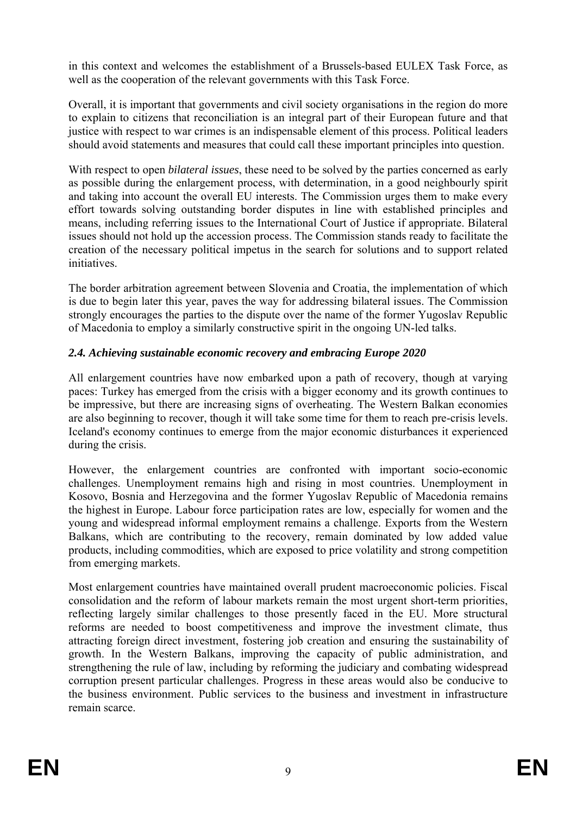in this context and welcomes the establishment of a Brussels-based EULEX Task Force, as well as the cooperation of the relevant governments with this Task Force.

Overall, it is important that governments and civil society organisations in the region do more to explain to citizens that reconciliation is an integral part of their European future and that justice with respect to war crimes is an indispensable element of this process. Political leaders should avoid statements and measures that could call these important principles into question.

With respect to open *bilateral issues*, these need to be solved by the parties concerned as early as possible during the enlargement process, with determination, in a good neighbourly spirit and taking into account the overall EU interests. The Commission urges them to make every effort towards solving outstanding border disputes in line with established principles and means, including referring issues to the International Court of Justice if appropriate. Bilateral issues should not hold up the accession process. The Commission stands ready to facilitate the creation of the necessary political impetus in the search for solutions and to support related initiatives.

The border arbitration agreement between Slovenia and Croatia, the implementation of which is due to begin later this year, paves the way for addressing bilateral issues. The Commission strongly encourages the parties to the dispute over the name of the former Yugoslav Republic of Macedonia to employ a similarly constructive spirit in the ongoing UN-led talks.

# *2.4. Achieving sustainable economic recovery and embracing Europe 2020*

All enlargement countries have now embarked upon a path of recovery, though at varying paces: Turkey has emerged from the crisis with a bigger economy and its growth continues to be impressive, but there are increasing signs of overheating. The Western Balkan economies are also beginning to recover, though it will take some time for them to reach pre-crisis levels. Iceland's economy continues to emerge from the major economic disturbances it experienced during the crisis.

However, the enlargement countries are confronted with important socio-economic challenges. Unemployment remains high and rising in most countries. Unemployment in Kosovo, Bosnia and Herzegovina and the former Yugoslav Republic of Macedonia remains the highest in Europe. Labour force participation rates are low, especially for women and the young and widespread informal employment remains a challenge. Exports from the Western Balkans, which are contributing to the recovery, remain dominated by low added value products, including commodities, which are exposed to price volatility and strong competition from emerging markets.

Most enlargement countries have maintained overall prudent macroeconomic policies. Fiscal consolidation and the reform of labour markets remain the most urgent short-term priorities, reflecting largely similar challenges to those presently faced in the EU. More structural reforms are needed to boost competitiveness and improve the investment climate, thus attracting foreign direct investment, fostering job creation and ensuring the sustainability of growth. In the Western Balkans, improving the capacity of public administration, and strengthening the rule of law, including by reforming the judiciary and combating widespread corruption present particular challenges. Progress in these areas would also be conducive to the business environment. Public services to the business and investment in infrastructure remain scarce.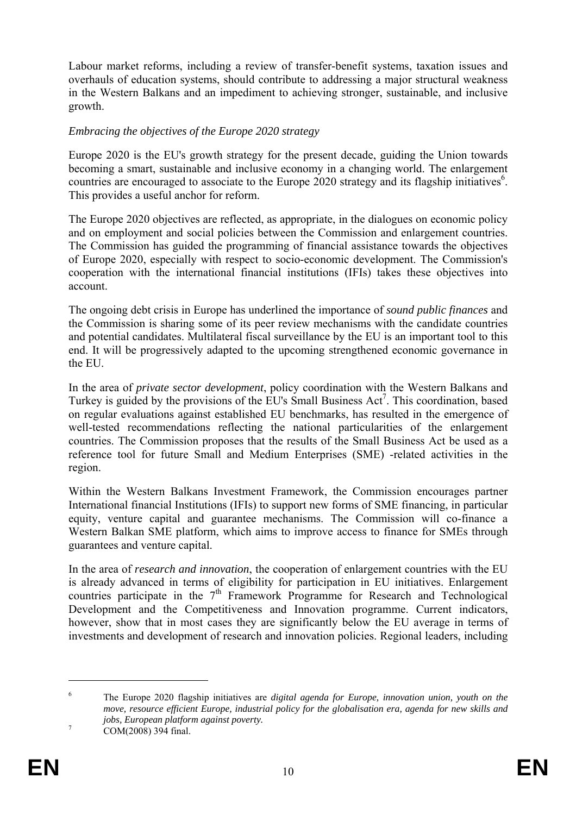Labour market reforms, including a review of transfer-benefit systems, taxation issues and overhauls of education systems, should contribute to addressing a major structural weakness in the Western Balkans and an impediment to achieving stronger, sustainable, and inclusive growth.

#### *Embracing the objectives of the Europe 2020 strategy*

Europe 2020 is the EU's growth strategy for the present decade, guiding the Union towards becoming a smart, sustainable and inclusive economy in a changing world. The enlargement countries are encouraged to associate to the Europe  $2020$  strategy and its flagship initiatives<sup>6</sup>. This provides a useful anchor for reform.

The Europe 2020 objectives are reflected, as appropriate, in the dialogues on economic policy and on employment and social policies between the Commission and enlargement countries. The Commission has guided the programming of financial assistance towards the objectives of Europe 2020, especially with respect to socio-economic development. The Commission's cooperation with the international financial institutions (IFIs) takes these objectives into account.

The ongoing debt crisis in Europe has underlined the importance of *sound public finances* and the Commission is sharing some of its peer review mechanisms with the candidate countries and potential candidates. Multilateral fiscal surveillance by the EU is an important tool to this end. It will be progressively adapted to the upcoming strengthened economic governance in the EU.

In the area of *private sector development*, policy coordination with the Western Balkans and Turkey is guided by the provisions of the EU's Small Business  $Act^7$ . This coordination, based on regular evaluations against established EU benchmarks, has resulted in the emergence of well-tested recommendations reflecting the national particularities of the enlargement countries. The Commission proposes that the results of the Small Business Act be used as a reference tool for future Small and Medium Enterprises (SME) -related activities in the region.

Within the Western Balkans Investment Framework, the Commission encourages partner International financial Institutions (IFIs) to support new forms of SME financing, in particular equity, venture capital and guarantee mechanisms. The Commission will co-finance a Western Balkan SME platform, which aims to improve access to finance for SMEs through guarantees and venture capital.

In the area of *research and innovation*, the cooperation of enlargement countries with the EU is already advanced in terms of eligibility for participation in EU initiatives. Enlargement countries participate in the  $7<sup>th</sup>$  Framework Programme for Research and Technological Development and the Competitiveness and Innovation programme. Current indicators, however, show that in most cases they are significantly below the EU average in terms of investments and development of research and innovation policies. Regional leaders, including

<sup>6</sup> The Europe 2020 flagship initiatives are *digital agenda for Europe, innovation union, youth on the move, resource efficient Europe, industrial policy for the globalisation era, agenda for new skills and jobs, European platform against poverty.* <sup>7</sup>

COM(2008) 394 final.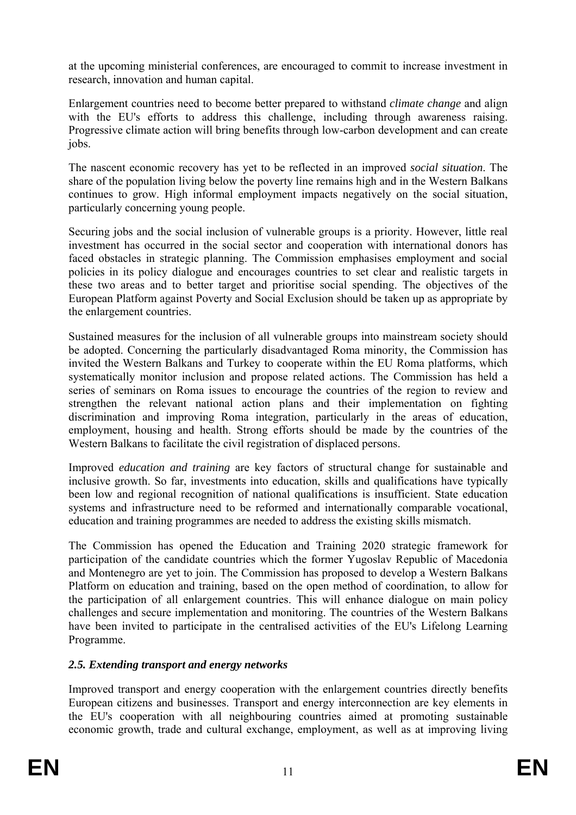at the upcoming ministerial conferences, are encouraged to commit to increase investment in research, innovation and human capital.

Enlargement countries need to become better prepared to withstand *climate change* and align with the EU's efforts to address this challenge, including through awareness raising. Progressive climate action will bring benefits through low-carbon development and can create jobs.

The nascent economic recovery has yet to be reflected in an improved *social situation*. The share of the population living below the poverty line remains high and in the Western Balkans continues to grow. High informal employment impacts negatively on the social situation, particularly concerning young people.

Securing jobs and the social inclusion of vulnerable groups is a priority. However, little real investment has occurred in the social sector and cooperation with international donors has faced obstacles in strategic planning. The Commission emphasises employment and social policies in its policy dialogue and encourages countries to set clear and realistic targets in these two areas and to better target and prioritise social spending. The objectives of the European Platform against Poverty and Social Exclusion should be taken up as appropriate by the enlargement countries.

Sustained measures for the inclusion of all vulnerable groups into mainstream society should be adopted. Concerning the particularly disadvantaged Roma minority, the Commission has invited the Western Balkans and Turkey to cooperate within the EU Roma platforms, which systematically monitor inclusion and propose related actions. The Commission has held a series of seminars on Roma issues to encourage the countries of the region to review and strengthen the relevant national action plans and their implementation on fighting discrimination and improving Roma integration, particularly in the areas of education, employment, housing and health. Strong efforts should be made by the countries of the Western Balkans to facilitate the civil registration of displaced persons.

Improved *education and training* are key factors of structural change for sustainable and inclusive growth. So far, investments into education, skills and qualifications have typically been low and regional recognition of national qualifications is insufficient. State education systems and infrastructure need to be reformed and internationally comparable vocational, education and training programmes are needed to address the existing skills mismatch.

The Commission has opened the Education and Training 2020 strategic framework for participation of the candidate countries which the former Yugoslav Republic of Macedonia and Montenegro are yet to join. The Commission has proposed to develop a Western Balkans Platform on education and training, based on the open method of coordination, to allow for the participation of all enlargement countries. This will enhance dialogue on main policy challenges and secure implementation and monitoring. The countries of the Western Balkans have been invited to participate in the centralised activities of the EU's Lifelong Learning Programme.

# *2.5. Extending transport and energy networks*

Improved transport and energy cooperation with the enlargement countries directly benefits European citizens and businesses. Transport and energy interconnection are key elements in the EU's cooperation with all neighbouring countries aimed at promoting sustainable economic growth, trade and cultural exchange, employment, as well as at improving living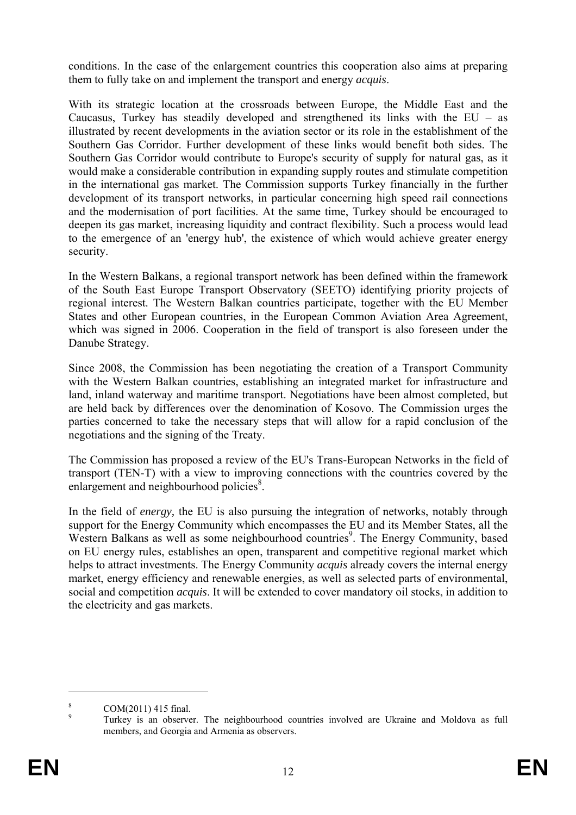conditions. In the case of the enlargement countries this cooperation also aims at preparing them to fully take on and implement the transport and energy *acquis*.

With its strategic location at the crossroads between Europe, the Middle East and the Caucasus, Turkey has steadily developed and strengthened its links with the  $EU - as$ illustrated by recent developments in the aviation sector or its role in the establishment of the Southern Gas Corridor. Further development of these links would benefit both sides. The Southern Gas Corridor would contribute to Europe's security of supply for natural gas, as it would make a considerable contribution in expanding supply routes and stimulate competition in the international gas market. The Commission supports Turkey financially in the further development of its transport networks, in particular concerning high speed rail connections and the modernisation of port facilities. At the same time, Turkey should be encouraged to deepen its gas market, increasing liquidity and contract flexibility. Such a process would lead to the emergence of an 'energy hub', the existence of which would achieve greater energy security.

In the Western Balkans, a regional transport network has been defined within the framework of the South East Europe Transport Observatory (SEETO) identifying priority projects of regional interest. The Western Balkan countries participate, together with the EU Member States and other European countries, in the European Common Aviation Area Agreement, which was signed in 2006. Cooperation in the field of transport is also foreseen under the Danube Strategy.

Since 2008, the Commission has been negotiating the creation of a Transport Community with the Western Balkan countries, establishing an integrated market for infrastructure and land, inland waterway and maritime transport. Negotiations have been almost completed, but are held back by differences over the denomination of Kosovo. The Commission urges the parties concerned to take the necessary steps that will allow for a rapid conclusion of the negotiations and the signing of the Treaty.

The Commission has proposed a review of the EU's Trans-European Networks in the field of transport (TEN-T) with a view to improving connections with the countries covered by the enlargement and neighbourhood policies<sup>8</sup>.

In the field of *energy,* the EU is also pursuing the integration of networks, notably through support for the Energy Community which encompasses the EU and its Member States, all the Western Balkans as well as some neighbourhood countries<sup>9</sup>. The Energy Community, based on EU energy rules, establishes an open, transparent and competitive regional market which helps to attract investments. The Energy Community *acquis* already covers the internal energy market, energy efficiency and renewable energies, as well as selected parts of environmental, social and competition *acquis*. It will be extended to cover mandatory oil stocks, in addition to the electricity and gas markets.

<sup>8</sup> COM(2011) 415 final.

 $\alpha$  Turkey is an observer. The neighbourhood countries involved are Ukraine and Moldova as full members, and Georgia and Armenia as observers.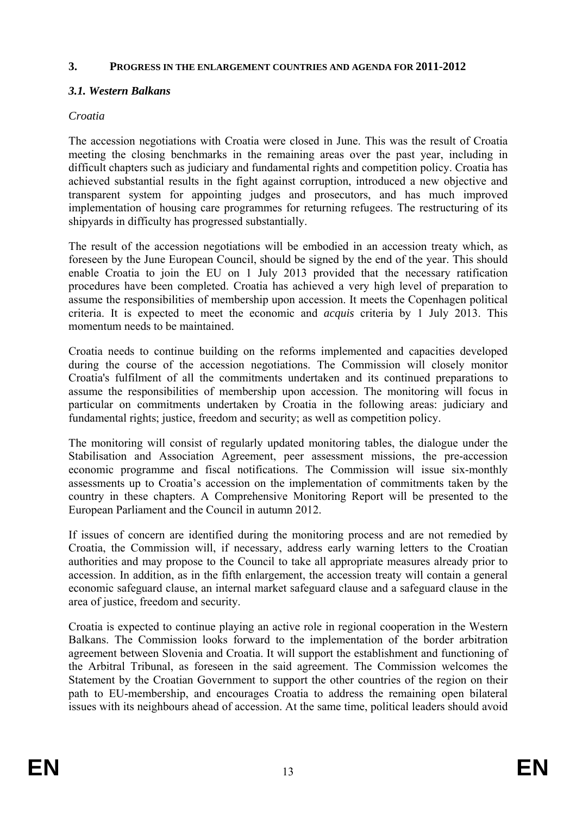#### **3. PROGRESS IN THE ENLARGEMENT COUNTRIES AND AGENDA FOR 2011-2012**

### *3.1. Western Balkans*

#### *Croatia*

The accession negotiations with Croatia were closed in June. This was the result of Croatia meeting the closing benchmarks in the remaining areas over the past year, including in difficult chapters such as judiciary and fundamental rights and competition policy. Croatia has achieved substantial results in the fight against corruption, introduced a new objective and transparent system for appointing judges and prosecutors, and has much improved implementation of housing care programmes for returning refugees. The restructuring of its shipyards in difficulty has progressed substantially.

The result of the accession negotiations will be embodied in an accession treaty which, as foreseen by the June European Council, should be signed by the end of the year. This should enable Croatia to join the EU on 1 July 2013 provided that the necessary ratification procedures have been completed. Croatia has achieved a very high level of preparation to assume the responsibilities of membership upon accession. It meets the Copenhagen political criteria. It is expected to meet the economic and *acquis* criteria by 1 July 2013. This momentum needs to be maintained.

Croatia needs to continue building on the reforms implemented and capacities developed during the course of the accession negotiations. The Commission will closely monitor Croatia's fulfilment of all the commitments undertaken and its continued preparations to assume the responsibilities of membership upon accession. The monitoring will focus in particular on commitments undertaken by Croatia in the following areas: judiciary and fundamental rights; justice, freedom and security; as well as competition policy.

The monitoring will consist of regularly updated monitoring tables, the dialogue under the Stabilisation and Association Agreement, peer assessment missions, the pre-accession economic programme and fiscal notifications. The Commission will issue six-monthly assessments up to Croatia's accession on the implementation of commitments taken by the country in these chapters. A Comprehensive Monitoring Report will be presented to the European Parliament and the Council in autumn 2012.

If issues of concern are identified during the monitoring process and are not remedied by Croatia, the Commission will, if necessary, address early warning letters to the Croatian authorities and may propose to the Council to take all appropriate measures already prior to accession. In addition, as in the fifth enlargement, the accession treaty will contain a general economic safeguard clause, an internal market safeguard clause and a safeguard clause in the area of justice, freedom and security.

Croatia is expected to continue playing an active role in regional cooperation in the Western Balkans. The Commission looks forward to the implementation of the border arbitration agreement between Slovenia and Croatia. It will support the establishment and functioning of the Arbitral Tribunal, as foreseen in the said agreement. The Commission welcomes the Statement by the Croatian Government to support the other countries of the region on their path to EU-membership, and encourages Croatia to address the remaining open bilateral issues with its neighbours ahead of accession. At the same time, political leaders should avoid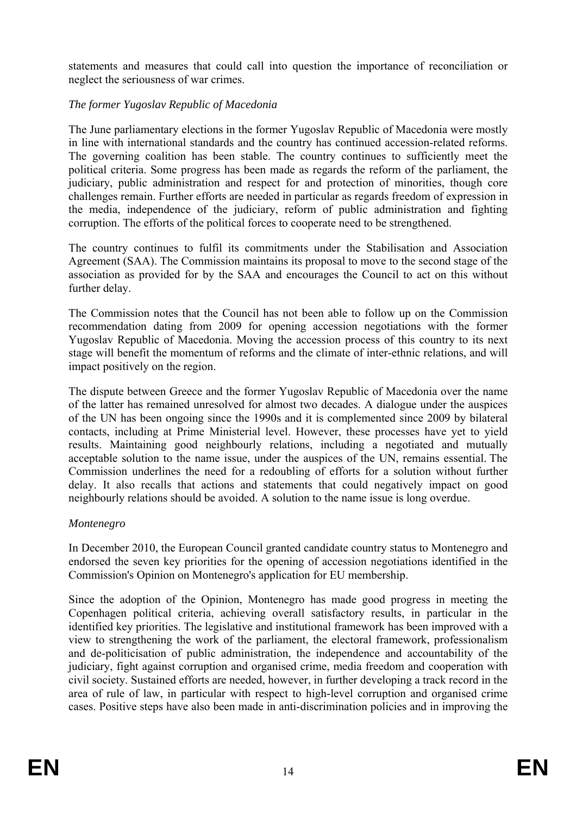statements and measures that could call into question the importance of reconciliation or neglect the seriousness of war crimes.

# *The former Yugoslav Republic of Macedonia*

The June parliamentary elections in the former Yugoslav Republic of Macedonia were mostly in line with international standards and the country has continued accession-related reforms. The governing coalition has been stable. The country continues to sufficiently meet the political criteria. Some progress has been made as regards the reform of the parliament, the judiciary, public administration and respect for and protection of minorities, though core challenges remain. Further efforts are needed in particular as regards freedom of expression in the media, independence of the judiciary, reform of public administration and fighting corruption. The efforts of the political forces to cooperate need to be strengthened.

The country continues to fulfil its commitments under the Stabilisation and Association Agreement (SAA). The Commission maintains its proposal to move to the second stage of the association as provided for by the SAA and encourages the Council to act on this without further delay.

The Commission notes that the Council has not been able to follow up on the Commission recommendation dating from 2009 for opening accession negotiations with the former Yugoslav Republic of Macedonia. Moving the accession process of this country to its next stage will benefit the momentum of reforms and the climate of inter-ethnic relations, and will impact positively on the region.

The dispute between Greece and the former Yugoslav Republic of Macedonia over the name of the latter has remained unresolved for almost two decades. A dialogue under the auspices of the UN has been ongoing since the 1990s and it is complemented since 2009 by bilateral contacts, including at Prime Ministerial level. However, these processes have yet to yield results. Maintaining good neighbourly relations, including a negotiated and mutually acceptable solution to the name issue, under the auspices of the UN, remains essential. The Commission underlines the need for a redoubling of efforts for a solution without further delay. It also recalls that actions and statements that could negatively impact on good neighbourly relations should be avoided. A solution to the name issue is long overdue.

### *Montenegro*

In December 2010, the European Council granted candidate country status to Montenegro and endorsed the seven key priorities for the opening of accession negotiations identified in the Commission's Opinion on Montenegro's application for EU membership.

Since the adoption of the Opinion, Montenegro has made good progress in meeting the Copenhagen political criteria, achieving overall satisfactory results, in particular in the identified key priorities. The legislative and institutional framework has been improved with a view to strengthening the work of the parliament, the electoral framework, professionalism and de-politicisation of public administration, the independence and accountability of the judiciary, fight against corruption and organised crime, media freedom and cooperation with civil society. Sustained efforts are needed, however, in further developing a track record in the area of rule of law, in particular with respect to high-level corruption and organised crime cases. Positive steps have also been made in anti-discrimination policies and in improving the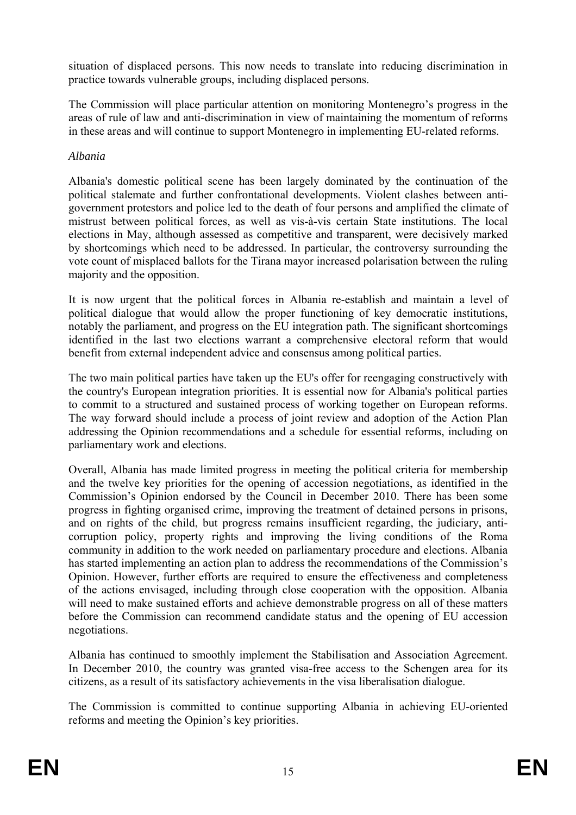situation of displaced persons. This now needs to translate into reducing discrimination in practice towards vulnerable groups, including displaced persons.

The Commission will place particular attention on monitoring Montenegro's progress in the areas of rule of law and anti-discrimination in view of maintaining the momentum of reforms in these areas and will continue to support Montenegro in implementing EU-related reforms.

### *Albania*

Albania's domestic political scene has been largely dominated by the continuation of the political stalemate and further confrontational developments. Violent clashes between antigovernment protestors and police led to the death of four persons and amplified the climate of mistrust between political forces, as well as vis-à-vis certain State institutions. The local elections in May, although assessed as competitive and transparent, were decisively marked by shortcomings which need to be addressed. In particular, the controversy surrounding the vote count of misplaced ballots for the Tirana mayor increased polarisation between the ruling majority and the opposition.

It is now urgent that the political forces in Albania re-establish and maintain a level of political dialogue that would allow the proper functioning of key democratic institutions, notably the parliament, and progress on the EU integration path. The significant shortcomings identified in the last two elections warrant a comprehensive electoral reform that would benefit from external independent advice and consensus among political parties.

The two main political parties have taken up the EU's offer for reengaging constructively with the country's European integration priorities. It is essential now for Albania's political parties to commit to a structured and sustained process of working together on European reforms. The way forward should include a process of joint review and adoption of the Action Plan addressing the Opinion recommendations and a schedule for essential reforms, including on parliamentary work and elections.

Overall, Albania has made limited progress in meeting the political criteria for membership and the twelve key priorities for the opening of accession negotiations, as identified in the Commission's Opinion endorsed by the Council in December 2010. There has been some progress in fighting organised crime, improving the treatment of detained persons in prisons, and on rights of the child, but progress remains insufficient regarding, the judiciary, anticorruption policy, property rights and improving the living conditions of the Roma community in addition to the work needed on parliamentary procedure and elections. Albania has started implementing an action plan to address the recommendations of the Commission's Opinion. However, further efforts are required to ensure the effectiveness and completeness of the actions envisaged, including through close cooperation with the opposition. Albania will need to make sustained efforts and achieve demonstrable progress on all of these matters before the Commission can recommend candidate status and the opening of EU accession negotiations.

Albania has continued to smoothly implement the Stabilisation and Association Agreement. In December 2010, the country was granted visa-free access to the Schengen area for its citizens, as a result of its satisfactory achievements in the visa liberalisation dialogue.

The Commission is committed to continue supporting Albania in achieving EU-oriented reforms and meeting the Opinion's key priorities.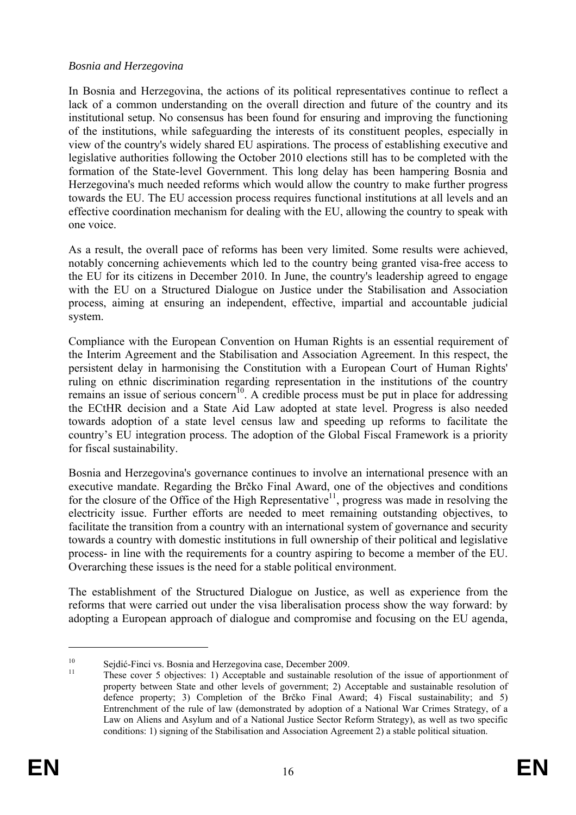#### *Bosnia and Herzegovina*

In Bosnia and Herzegovina, the actions of its political representatives continue to reflect a lack of a common understanding on the overall direction and future of the country and its institutional setup. No consensus has been found for ensuring and improving the functioning of the institutions, while safeguarding the interests of its constituent peoples, especially in view of the country's widely shared EU aspirations. The process of establishing executive and legislative authorities following the October 2010 elections still has to be completed with the formation of the State-level Government. This long delay has been hampering Bosnia and Herzegovina's much needed reforms which would allow the country to make further progress towards the EU. The EU accession process requires functional institutions at all levels and an effective coordination mechanism for dealing with the EU, allowing the country to speak with one voice.

As a result, the overall pace of reforms has been very limited. Some results were achieved, notably concerning achievements which led to the country being granted visa-free access to the EU for its citizens in December 2010. In June, the country's leadership agreed to engage with the EU on a Structured Dialogue on Justice under the Stabilisation and Association process, aiming at ensuring an independent, effective, impartial and accountable judicial system.

Compliance with the European Convention on Human Rights is an essential requirement of the Interim Agreement and the Stabilisation and Association Agreement. In this respect, the persistent delay in harmonising the Constitution with a European Court of Human Rights' ruling on ethnic discrimination regarding representation in the institutions of the country remains an issue of serious concern<sup>10</sup>. A credible process must be put in place for addressing the ECtHR decision and a State Aid Law adopted at state level. Progress is also needed towards adoption of a state level census law and speeding up reforms to facilitate the country's EU integration process. The adoption of the Global Fiscal Framework is a priority for fiscal sustainability.

Bosnia and Herzegovina's governance continues to involve an international presence with an executive mandate. Regarding the Brčko Final Award, one of the objectives and conditions for the closure of the Office of the High Representative<sup>11</sup>, progress was made in resolving the electricity issue. Further efforts are needed to meet remaining outstanding objectives, to facilitate the transition from a country with an international system of governance and security towards a country with domestic institutions in full ownership of their political and legislative process- in line with the requirements for a country aspiring to become a member of the EU. Overarching these issues is the need for a stable political environment.

The establishment of the Structured Dialogue on Justice, as well as experience from the reforms that were carried out under the visa liberalisation process show the way forward: by adopting a European approach of dialogue and compromise and focusing on the EU agenda,

 $10$  Sejdić-Finci vs. Bosnia and Herzegovina case, December 2009.<br><sup>11</sup> These cover 5 objectives: 1) Acceptable and sustainable resolution of the issue of apportionment of property between State and other levels of government; 2) Acceptable and sustainable resolution of defence property; 3) Completion of the Brčko Final Award; 4) Fiscal sustainability; and 5) Entrenchment of the rule of law (demonstrated by adoption of a National War Crimes Strategy, of a Law on Aliens and Asylum and of a National Justice Sector Reform Strategy), as well as two specific conditions: 1) signing of the Stabilisation and Association Agreement 2) a stable political situation.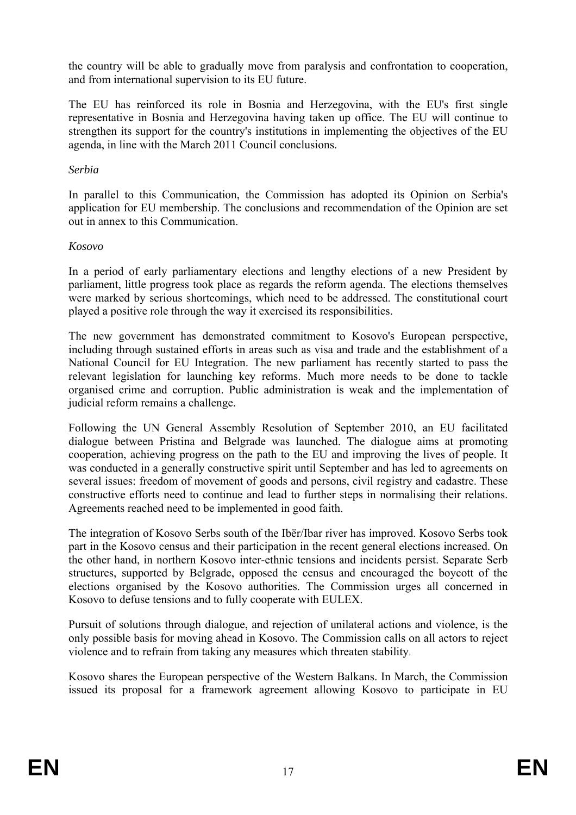the country will be able to gradually move from paralysis and confrontation to cooperation, and from international supervision to its EU future.

The EU has reinforced its role in Bosnia and Herzegovina, with the EU's first single representative in Bosnia and Herzegovina having taken up office. The EU will continue to strengthen its support for the country's institutions in implementing the objectives of the EU agenda, in line with the March 2011 Council conclusions.

### *Serbia*

In parallel to this Communication, the Commission has adopted its Opinion on Serbia's application for EU membership. The conclusions and recommendation of the Opinion are set out in annex to this Communication.

# *Kosovo*

In a period of early parliamentary elections and lengthy elections of a new President by parliament, little progress took place as regards the reform agenda. The elections themselves were marked by serious shortcomings, which need to be addressed. The constitutional court played a positive role through the way it exercised its responsibilities.

The new government has demonstrated commitment to Kosovo's European perspective, including through sustained efforts in areas such as visa and trade and the establishment of a National Council for EU Integration. The new parliament has recently started to pass the relevant legislation for launching key reforms. Much more needs to be done to tackle organised crime and corruption. Public administration is weak and the implementation of judicial reform remains a challenge.

Following the UN General Assembly Resolution of September 2010, an EU facilitated dialogue between Pristina and Belgrade was launched. The dialogue aims at promoting cooperation, achieving progress on the path to the EU and improving the lives of people. It was conducted in a generally constructive spirit until September and has led to agreements on several issues: freedom of movement of goods and persons, civil registry and cadastre. These constructive efforts need to continue and lead to further steps in normalising their relations. Agreements reached need to be implemented in good faith.

The integration of Kosovo Serbs south of the Ibër/Ibar river has improved. Kosovo Serbs took part in the Kosovo census and their participation in the recent general elections increased. On the other hand, in northern Kosovo inter-ethnic tensions and incidents persist. Separate Serb structures, supported by Belgrade, opposed the census and encouraged the boycott of the elections organised by the Kosovo authorities. The Commission urges all concerned in Kosovo to defuse tensions and to fully cooperate with EULEX.

Pursuit of solutions through dialogue, and rejection of unilateral actions and violence, is the only possible basis for moving ahead in Kosovo. The Commission calls on all actors to reject violence and to refrain from taking any measures which threaten stability.

Kosovo shares the European perspective of the Western Balkans. In March, the Commission issued its proposal for a framework agreement allowing Kosovo to participate in EU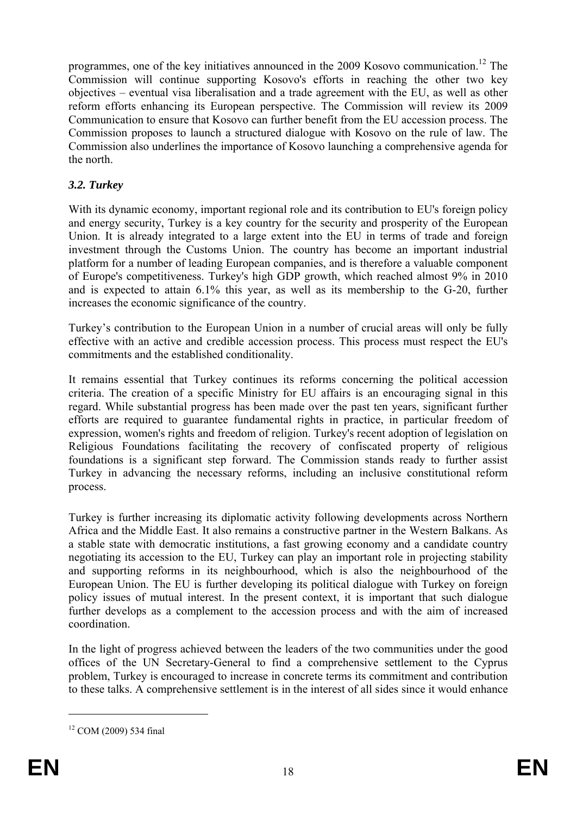programmes, one of the key initiatives announced in the 2009 Kosovo communication.<sup>12</sup> The Commission will continue supporting Kosovo's efforts in reaching the other two key objectives – eventual visa liberalisation and a trade agreement with the EU, as well as other reform efforts enhancing its European perspective. The Commission will review its 2009 Communication to ensure that Kosovo can further benefit from the EU accession process. The Commission proposes to launch a structured dialogue with Kosovo on the rule of law. The Commission also underlines the importance of Kosovo launching a comprehensive agenda for the north.

# *3.2. Turkey*

With its dynamic economy, important regional role and its contribution to EU's foreign policy and energy security, Turkey is a key country for the security and prosperity of the European Union. It is already integrated to a large extent into the EU in terms of trade and foreign investment through the Customs Union. The country has become an important industrial platform for a number of leading European companies, and is therefore a valuable component of Europe's competitiveness. Turkey's high GDP growth, which reached almost 9% in 2010 and is expected to attain 6.1% this year, as well as its membership to the G-20, further increases the economic significance of the country.

Turkey's contribution to the European Union in a number of crucial areas will only be fully effective with an active and credible accession process. This process must respect the EU's commitments and the established conditionality.

It remains essential that Turkey continues its reforms concerning the political accession criteria. The creation of a specific Ministry for EU affairs is an encouraging signal in this regard. While substantial progress has been made over the past ten years, significant further efforts are required to guarantee fundamental rights in practice, in particular freedom of expression, women's rights and freedom of religion. Turkey's recent adoption of legislation on Religious Foundations facilitating the recovery of confiscated property of religious foundations is a significant step forward. The Commission stands ready to further assist Turkey in advancing the necessary reforms, including an inclusive constitutional reform process.

Turkey is further increasing its diplomatic activity following developments across Northern Africa and the Middle East. It also remains a constructive partner in the Western Balkans. As a stable state with democratic institutions, a fast growing economy and a candidate country negotiating its accession to the EU, Turkey can play an important role in projecting stability and supporting reforms in its neighbourhood, which is also the neighbourhood of the European Union. The EU is further developing its political dialogue with Turkey on foreign policy issues of mutual interest. In the present context, it is important that such dialogue further develops as a complement to the accession process and with the aim of increased coordination.

In the light of progress achieved between the leaders of the two communities under the good offices of the UN Secretary-General to find a comprehensive settlement to the Cyprus problem, Turkey is encouraged to increase in concrete terms its commitment and contribution to these talks. A comprehensive settlement is in the interest of all sides since it would enhance

<sup>12</sup> COM (2009) 534 final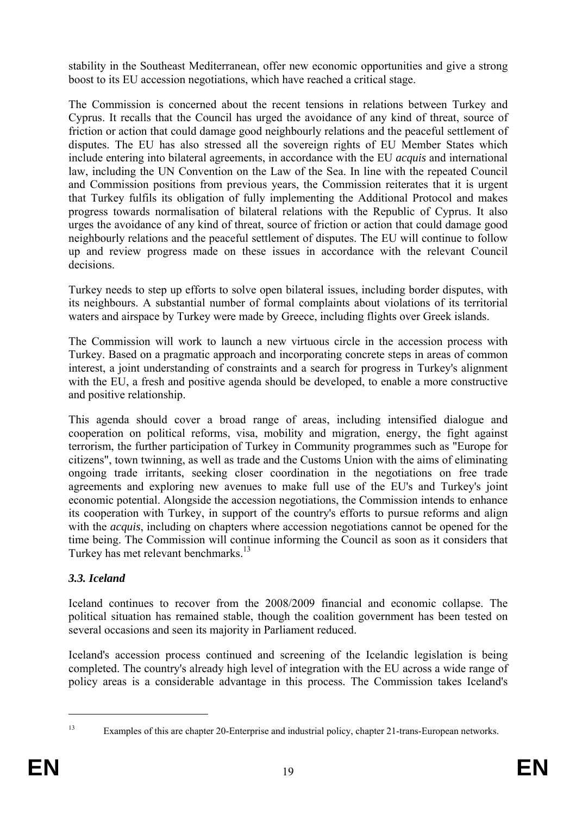stability in the Southeast Mediterranean, offer new economic opportunities and give a strong boost to its EU accession negotiations, which have reached a critical stage.

The Commission is concerned about the recent tensions in relations between Turkey and Cyprus. It recalls that the Council has urged the avoidance of any kind of threat, source of friction or action that could damage good neighbourly relations and the peaceful settlement of disputes. The EU has also stressed all the sovereign rights of EU Member States which include entering into bilateral agreements, in accordance with the EU *acquis* and international law, including the UN Convention on the Law of the Sea. In line with the repeated Council and Commission positions from previous years, the Commission reiterates that it is urgent that Turkey fulfils its obligation of fully implementing the Additional Protocol and makes progress towards normalisation of bilateral relations with the Republic of Cyprus. It also urges the avoidance of any kind of threat, source of friction or action that could damage good neighbourly relations and the peaceful settlement of disputes. The EU will continue to follow up and review progress made on these issues in accordance with the relevant Council decisions.

Turkey needs to step up efforts to solve open bilateral issues, including border disputes, with its neighbours. A substantial number of formal complaints about violations of its territorial waters and airspace by Turkey were made by Greece, including flights over Greek islands.

The Commission will work to launch a new virtuous circle in the accession process with Turkey. Based on a pragmatic approach and incorporating concrete steps in areas of common interest, a joint understanding of constraints and a search for progress in Turkey's alignment with the EU, a fresh and positive agenda should be developed, to enable a more constructive and positive relationship.

This agenda should cover a broad range of areas, including intensified dialogue and cooperation on political reforms, visa, mobility and migration, energy, the fight against terrorism, the further participation of Turkey in Community programmes such as "Europe for citizens", town twinning, as well as trade and the Customs Union with the aims of eliminating ongoing trade irritants, seeking closer coordination in the negotiations on free trade agreements and exploring new avenues to make full use of the EU's and Turkey's joint economic potential. Alongside the accession negotiations, the Commission intends to enhance its cooperation with Turkey, in support of the country's efforts to pursue reforms and align with the *acquis*, including on chapters where accession negotiations cannot be opened for the time being. The Commission will continue informing the Council as soon as it considers that Turkey has met relevant benchmarks.<sup>13</sup>

# *3.3. Iceland*

Iceland continues to recover from the 2008/2009 financial and economic collapse. The political situation has remained stable, though the coalition government has been tested on several occasions and seen its majority in Parliament reduced.

Iceland's accession process continued and screening of the Icelandic legislation is being completed. The country's already high level of integration with the EU across a wide range of policy areas is a considerable advantage in this process. The Commission takes Iceland's

<sup>1</sup> 

<sup>13</sup> Examples of this are chapter 20-Enterprise and industrial policy, chapter 21-trans-European networks.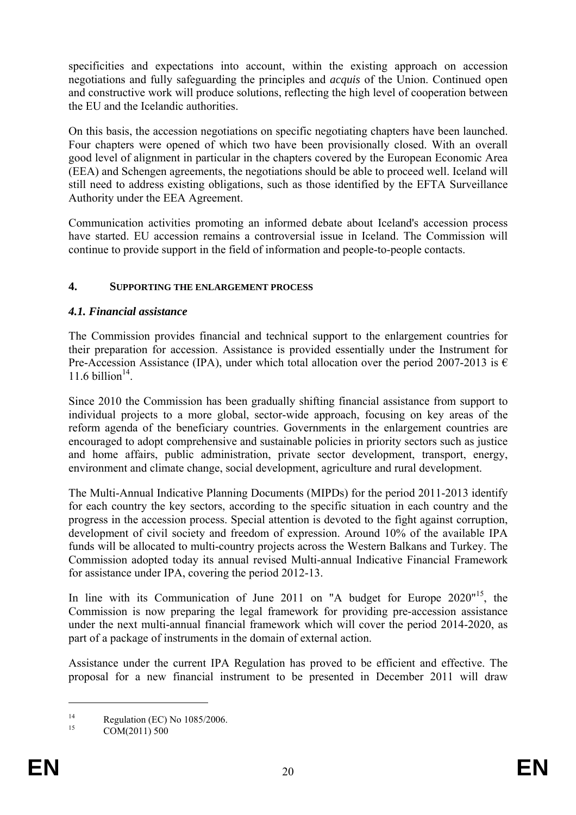specificities and expectations into account, within the existing approach on accession negotiations and fully safeguarding the principles and *acquis* of the Union. Continued open and constructive work will produce solutions, reflecting the high level of cooperation between the EU and the Icelandic authorities.

On this basis, the accession negotiations on specific negotiating chapters have been launched. Four chapters were opened of which two have been provisionally closed. With an overall good level of alignment in particular in the chapters covered by the European Economic Area (EEA) and Schengen agreements, the negotiations should be able to proceed well. Iceland will still need to address existing obligations, such as those identified by the EFTA Surveillance Authority under the EEA Agreement.

Communication activities promoting an informed debate about Iceland's accession process have started. EU accession remains a controversial issue in Iceland. The Commission will continue to provide support in the field of information and people-to-people contacts.

### **4. SUPPORTING THE ENLARGEMENT PROCESS**

# *4.1. Financial assistance*

The Commission provides financial and technical support to the enlargement countries for their preparation for accession. Assistance is provided essentially under the Instrument for Pre-Accession Assistance (IPA), under which total allocation over the period 2007-2013 is  $\epsilon$ 11.6 billion $14$ .

Since 2010 the Commission has been gradually shifting financial assistance from support to individual projects to a more global, sector-wide approach, focusing on key areas of the reform agenda of the beneficiary countries. Governments in the enlargement countries are encouraged to adopt comprehensive and sustainable policies in priority sectors such as justice and home affairs, public administration, private sector development, transport, energy, environment and climate change, social development, agriculture and rural development.

The Multi-Annual Indicative Planning Documents (MIPDs) for the period 2011-2013 identify for each country the key sectors, according to the specific situation in each country and the progress in the accession process. Special attention is devoted to the fight against corruption, development of civil society and freedom of expression. Around 10% of the available IPA funds will be allocated to multi-country projects across the Western Balkans and Turkey. The Commission adopted today its annual revised Multi-annual Indicative Financial Framework for assistance under IPA, covering the period 2012-13.

In line with its Communication of June 2011 on "A budget for Europe 2020"<sup>15</sup>, the Commission is now preparing the legal framework for providing pre-accession assistance under the next multi-annual financial framework which will cover the period 2014-2020, as part of a package of instruments in the domain of external action.

Assistance under the current IPA Regulation has proved to be efficient and effective. The proposal for a new financial instrument to be presented in December 2011 will draw

<u>.</u>

<sup>&</sup>lt;sup>14</sup> Regulation (EC) No 1085/2006.

COM(2011) 500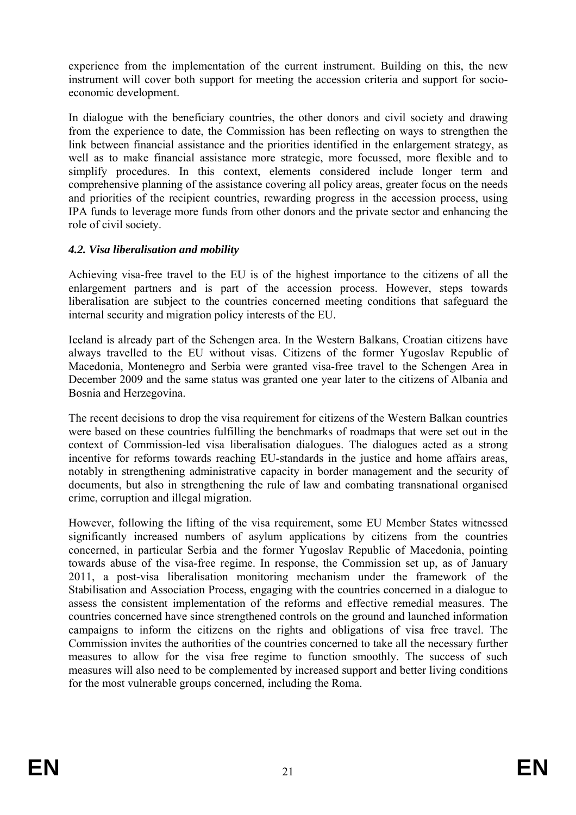experience from the implementation of the current instrument. Building on this, the new instrument will cover both support for meeting the accession criteria and support for socioeconomic development.

In dialogue with the beneficiary countries, the other donors and civil society and drawing from the experience to date, the Commission has been reflecting on ways to strengthen the link between financial assistance and the priorities identified in the enlargement strategy, as well as to make financial assistance more strategic, more focussed, more flexible and to simplify procedures. In this context, elements considered include longer term and comprehensive planning of the assistance covering all policy areas, greater focus on the needs and priorities of the recipient countries, rewarding progress in the accession process, using IPA funds to leverage more funds from other donors and the private sector and enhancing the role of civil society.

### *4.2. Visa liberalisation and mobility*

Achieving visa-free travel to the EU is of the highest importance to the citizens of all the enlargement partners and is part of the accession process. However, steps towards liberalisation are subject to the countries concerned meeting conditions that safeguard the internal security and migration policy interests of the EU.

Iceland is already part of the Schengen area. In the Western Balkans, Croatian citizens have always travelled to the EU without visas. Citizens of the former Yugoslav Republic of Macedonia, Montenegro and Serbia were granted visa-free travel to the Schengen Area in December 2009 and the same status was granted one year later to the citizens of Albania and Bosnia and Herzegovina.

The recent decisions to drop the visa requirement for citizens of the Western Balkan countries were based on these countries fulfilling the benchmarks of roadmaps that were set out in the context of Commission-led visa liberalisation dialogues. The dialogues acted as a strong incentive for reforms towards reaching EU-standards in the justice and home affairs areas, notably in strengthening administrative capacity in border management and the security of documents, but also in strengthening the rule of law and combating transnational organised crime, corruption and illegal migration.

However, following the lifting of the visa requirement, some EU Member States witnessed significantly increased numbers of asylum applications by citizens from the countries concerned, in particular Serbia and the former Yugoslav Republic of Macedonia, pointing towards abuse of the visa-free regime. In response, the Commission set up, as of January 2011, a post-visa liberalisation monitoring mechanism under the framework of the Stabilisation and Association Process, engaging with the countries concerned in a dialogue to assess the consistent implementation of the reforms and effective remedial measures. The countries concerned have since strengthened controls on the ground and launched information campaigns to inform the citizens on the rights and obligations of visa free travel. The Commission invites the authorities of the countries concerned to take all the necessary further measures to allow for the visa free regime to function smoothly. The success of such measures will also need to be complemented by increased support and better living conditions for the most vulnerable groups concerned, including the Roma.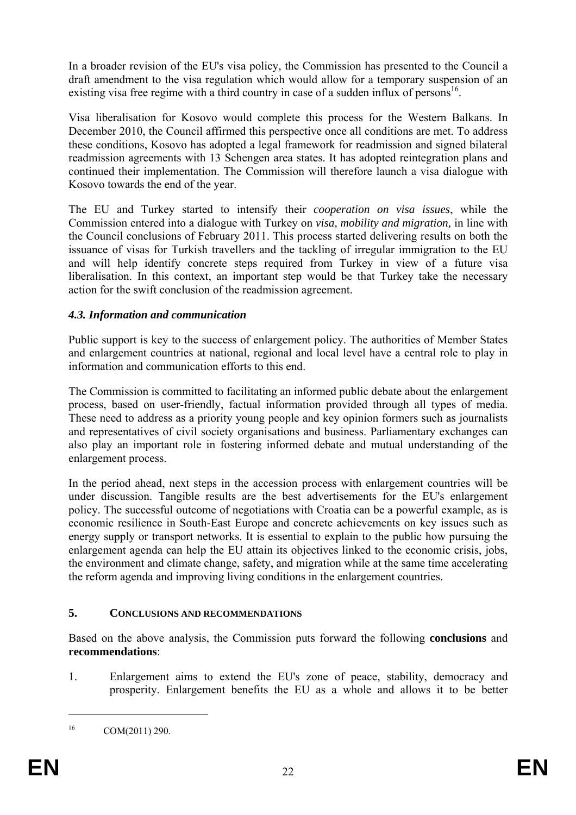In a broader revision of the EU's visa policy, the Commission has presented to the Council a draft amendment to the visa regulation which would allow for a temporary suspension of an existing visa free regime with a third country in case of a sudden influx of persons<sup>16</sup>.

Visa liberalisation for Kosovo would complete this process for the Western Balkans. In December 2010, the Council affirmed this perspective once all conditions are met. To address these conditions, Kosovo has adopted a legal framework for readmission and signed bilateral readmission agreements with 13 Schengen area states. It has adopted reintegration plans and continued their implementation. The Commission will therefore launch a visa dialogue with Kosovo towards the end of the year.

The EU and Turkey started to intensify their *cooperation on visa issues*, while the Commission entered into a dialogue with Turkey on *visa, mobility and migration,* in line with the Council conclusions of February 2011. This process started delivering results on both the issuance of visas for Turkish travellers and the tackling of irregular immigration to the EU and will help identify concrete steps required from Turkey in view of a future visa liberalisation. In this context, an important step would be that Turkey take the necessary action for the swift conclusion of the readmission agreement.

# *4.3. Information and communication*

Public support is key to the success of enlargement policy. The authorities of Member States and enlargement countries at national, regional and local level have a central role to play in information and communication efforts to this end.

The Commission is committed to facilitating an informed public debate about the enlargement process, based on user-friendly, factual information provided through all types of media. These need to address as a priority young people and key opinion formers such as journalists and representatives of civil society organisations and business. Parliamentary exchanges can also play an important role in fostering informed debate and mutual understanding of the enlargement process.

In the period ahead, next steps in the accession process with enlargement countries will be under discussion. Tangible results are the best advertisements for the EU's enlargement policy. The successful outcome of negotiations with Croatia can be a powerful example, as is economic resilience in South-East Europe and concrete achievements on key issues such as energy supply or transport networks. It is essential to explain to the public how pursuing the enlargement agenda can help the EU attain its objectives linked to the economic crisis, jobs, the environment and climate change, safety, and migration while at the same time accelerating the reform agenda and improving living conditions in the enlargement countries.

### **5. CONCLUSIONS AND RECOMMENDATIONS**

Based on the above analysis, the Commission puts forward the following **conclusions** and **recommendations**:

1. Enlargement aims to extend the EU's zone of peace, stability, democracy and prosperity. Enlargement benefits the EU as a whole and allows it to be better

 $16$  COM(2011) 290.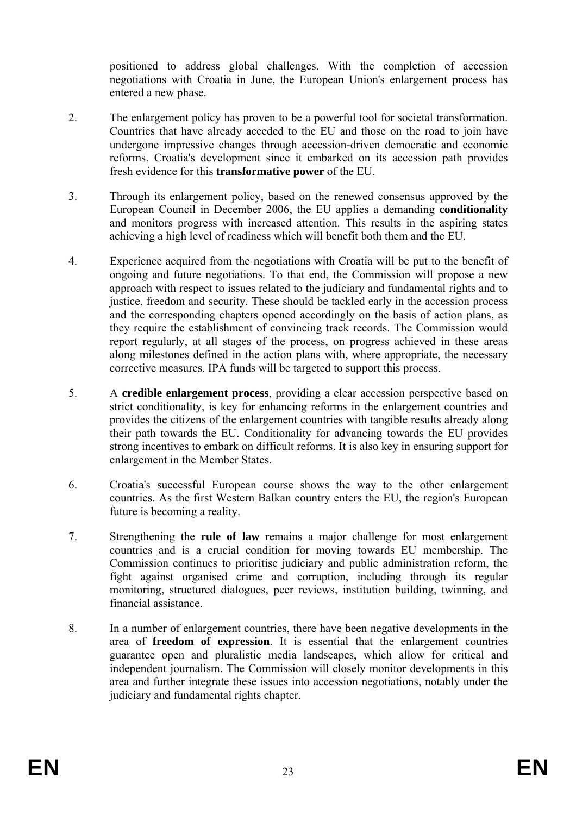positioned to address global challenges. With the completion of accession negotiations with Croatia in June, the European Union's enlargement process has entered a new phase.

- 2. The enlargement policy has proven to be a powerful tool for societal transformation. Countries that have already acceded to the EU and those on the road to join have undergone impressive changes through accession-driven democratic and economic reforms. Croatia's development since it embarked on its accession path provides fresh evidence for this **transformative power** of the EU.
- 3. Through its enlargement policy, based on the renewed consensus approved by the European Council in December 2006, the EU applies a demanding **conditionality** and monitors progress with increased attention. This results in the aspiring states achieving a high level of readiness which will benefit both them and the EU.
- 4. Experience acquired from the negotiations with Croatia will be put to the benefit of ongoing and future negotiations. To that end, the Commission will propose a new approach with respect to issues related to the judiciary and fundamental rights and to justice, freedom and security. These should be tackled early in the accession process and the corresponding chapters opened accordingly on the basis of action plans, as they require the establishment of convincing track records. The Commission would report regularly, at all stages of the process, on progress achieved in these areas along milestones defined in the action plans with, where appropriate, the necessary corrective measures. IPA funds will be targeted to support this process.
- 5. A **credible enlargement process**, providing a clear accession perspective based on strict conditionality, is key for enhancing reforms in the enlargement countries and provides the citizens of the enlargement countries with tangible results already along their path towards the EU. Conditionality for advancing towards the EU provides strong incentives to embark on difficult reforms. It is also key in ensuring support for enlargement in the Member States.
- 6. Croatia's successful European course shows the way to the other enlargement countries. As the first Western Balkan country enters the EU, the region's European future is becoming a reality.
- 7. Strengthening the **rule of law** remains a major challenge for most enlargement countries and is a crucial condition for moving towards EU membership. The Commission continues to prioritise judiciary and public administration reform, the fight against organised crime and corruption, including through its regular monitoring, structured dialogues, peer reviews, institution building, twinning, and financial assistance.
- 8. In a number of enlargement countries, there have been negative developments in the area of **freedom of expression**. It is essential that the enlargement countries guarantee open and pluralistic media landscapes, which allow for critical and independent journalism. The Commission will closely monitor developments in this area and further integrate these issues into accession negotiations, notably under the judiciary and fundamental rights chapter.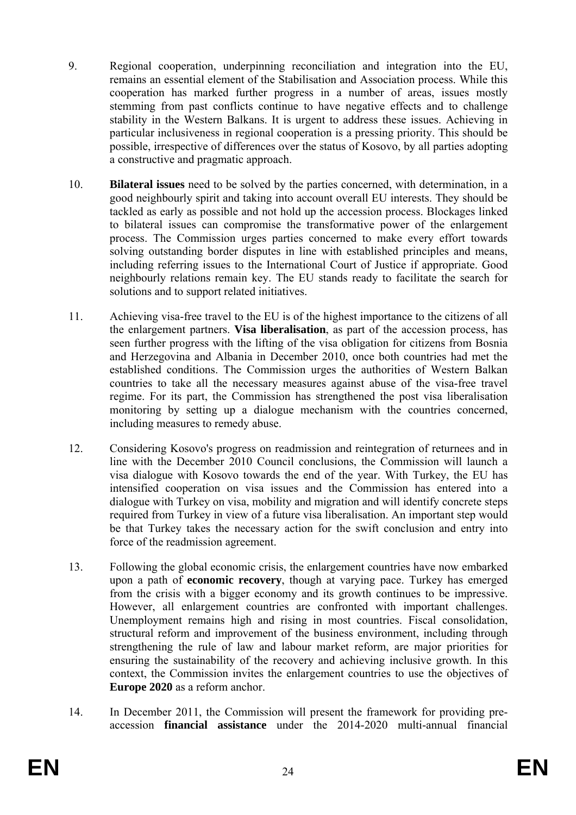- 9. Regional cooperation, underpinning reconciliation and integration into the EU, remains an essential element of the Stabilisation and Association process. While this cooperation has marked further progress in a number of areas, issues mostly stemming from past conflicts continue to have negative effects and to challenge stability in the Western Balkans. It is urgent to address these issues. Achieving in particular inclusiveness in regional cooperation is a pressing priority. This should be possible, irrespective of differences over the status of Kosovo, by all parties adopting a constructive and pragmatic approach.
- 10. **Bilateral issues** need to be solved by the parties concerned, with determination, in a good neighbourly spirit and taking into account overall EU interests. They should be tackled as early as possible and not hold up the accession process. Blockages linked to bilateral issues can compromise the transformative power of the enlargement process. The Commission urges parties concerned to make every effort towards solving outstanding border disputes in line with established principles and means, including referring issues to the International Court of Justice if appropriate. Good neighbourly relations remain key. The EU stands ready to facilitate the search for solutions and to support related initiatives.
- 11. Achieving visa-free travel to the EU is of the highest importance to the citizens of all the enlargement partners. **Visa liberalisation**, as part of the accession process, has seen further progress with the lifting of the visa obligation for citizens from Bosnia and Herzegovina and Albania in December 2010, once both countries had met the established conditions. The Commission urges the authorities of Western Balkan countries to take all the necessary measures against abuse of the visa-free travel regime. For its part, the Commission has strengthened the post visa liberalisation monitoring by setting up a dialogue mechanism with the countries concerned, including measures to remedy abuse.
- 12. Considering Kosovo's progress on readmission and reintegration of returnees and in line with the December 2010 Council conclusions, the Commission will launch a visa dialogue with Kosovo towards the end of the year. With Turkey, the EU has intensified cooperation on visa issues and the Commission has entered into a dialogue with Turkey on visa, mobility and migration and will identify concrete steps required from Turkey in view of a future visa liberalisation. An important step would be that Turkey takes the necessary action for the swift conclusion and entry into force of the readmission agreement.
- 13. Following the global economic crisis, the enlargement countries have now embarked upon a path of **economic recovery**, though at varying pace. Turkey has emerged from the crisis with a bigger economy and its growth continues to be impressive. However, all enlargement countries are confronted with important challenges. Unemployment remains high and rising in most countries. Fiscal consolidation, structural reform and improvement of the business environment, including through strengthening the rule of law and labour market reform, are major priorities for ensuring the sustainability of the recovery and achieving inclusive growth. In this context, the Commission invites the enlargement countries to use the objectives of **Europe 2020** as a reform anchor.
- 14. In December 2011, the Commission will present the framework for providing preaccession **financial assistance** under the 2014-2020 multi-annual financial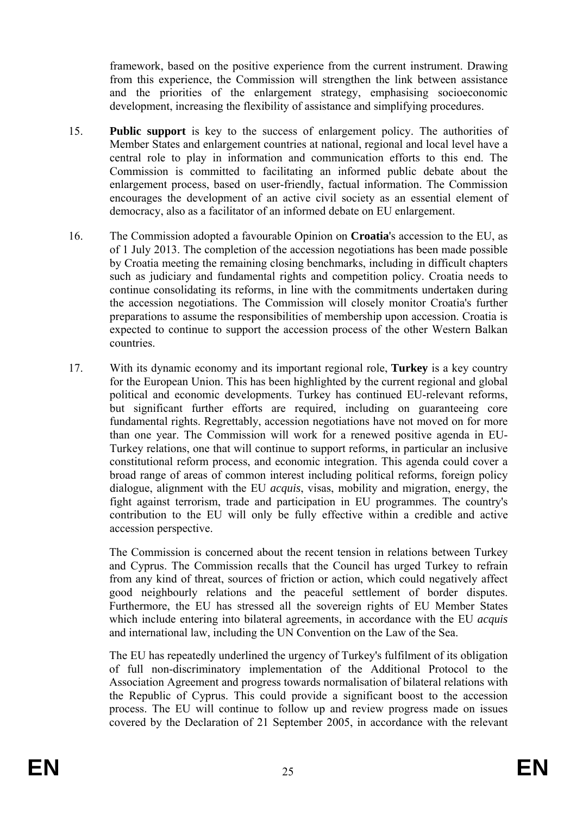framework, based on the positive experience from the current instrument. Drawing from this experience, the Commission will strengthen the link between assistance and the priorities of the enlargement strategy, emphasising socioeconomic development, increasing the flexibility of assistance and simplifying procedures.

- 15. **Public support** is key to the success of enlargement policy. The authorities of Member States and enlargement countries at national, regional and local level have a central role to play in information and communication efforts to this end. The Commission is committed to facilitating an informed public debate about the enlargement process, based on user-friendly, factual information. The Commission encourages the development of an active civil society as an essential element of democracy, also as a facilitator of an informed debate on EU enlargement.
- 16. The Commission adopted a favourable Opinion on **Croatia**'s accession to the EU, as of 1 July 2013. The completion of the accession negotiations has been made possible by Croatia meeting the remaining closing benchmarks, including in difficult chapters such as judiciary and fundamental rights and competition policy. Croatia needs to continue consolidating its reforms, in line with the commitments undertaken during the accession negotiations. The Commission will closely monitor Croatia's further preparations to assume the responsibilities of membership upon accession. Croatia is expected to continue to support the accession process of the other Western Balkan countries.
- 17. With its dynamic economy and its important regional role, **Turkey** is a key country for the European Union. This has been highlighted by the current regional and global political and economic developments. Turkey has continued EU-relevant reforms, but significant further efforts are required, including on guaranteeing core fundamental rights. Regrettably, accession negotiations have not moved on for more than one year. The Commission will work for a renewed positive agenda in EU-Turkey relations, one that will continue to support reforms, in particular an inclusive constitutional reform process, and economic integration. This agenda could cover a broad range of areas of common interest including political reforms, foreign policy dialogue, alignment with the EU *acquis*, visas, mobility and migration, energy, the fight against terrorism, trade and participation in EU programmes. The country's contribution to the EU will only be fully effective within a credible and active accession perspective.

The Commission is concerned about the recent tension in relations between Turkey and Cyprus. The Commission recalls that the Council has urged Turkey to refrain from any kind of threat, sources of friction or action, which could negatively affect good neighbourly relations and the peaceful settlement of border disputes. Furthermore, the EU has stressed all the sovereign rights of EU Member States which include entering into bilateral agreements, in accordance with the EU *acquis* and international law, including the UN Convention on the Law of the Sea.

The EU has repeatedly underlined the urgency of Turkey's fulfilment of its obligation of full non-discriminatory implementation of the Additional Protocol to the Association Agreement and progress towards normalisation of bilateral relations with the Republic of Cyprus. This could provide a significant boost to the accession process. The EU will continue to follow up and review progress made on issues covered by the Declaration of 21 September 2005, in accordance with the relevant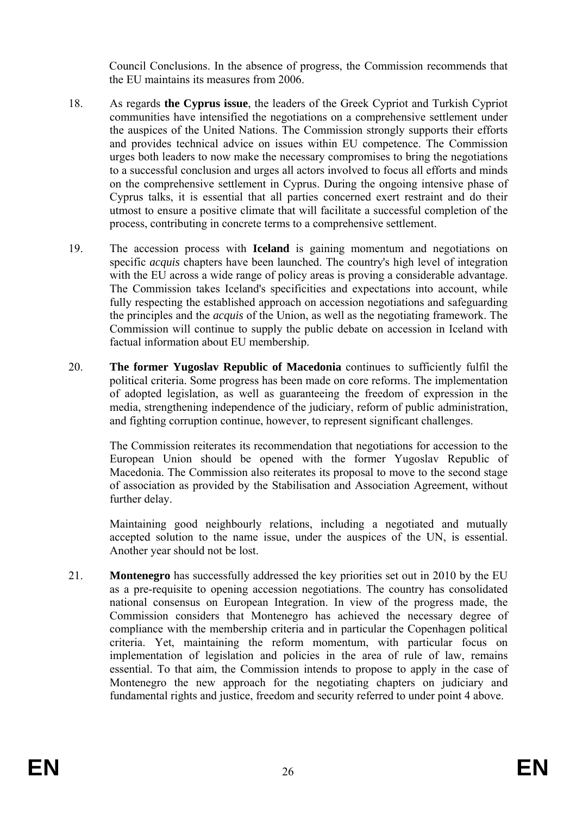Council Conclusions. In the absence of progress, the Commission recommends that the EU maintains its measures from 2006.

- 18. As regards **the Cyprus issue**, the leaders of the Greek Cypriot and Turkish Cypriot communities have intensified the negotiations on a comprehensive settlement under the auspices of the United Nations. The Commission strongly supports their efforts and provides technical advice on issues within EU competence. The Commission urges both leaders to now make the necessary compromises to bring the negotiations to a successful conclusion and urges all actors involved to focus all efforts and minds on the comprehensive settlement in Cyprus. During the ongoing intensive phase of Cyprus talks, it is essential that all parties concerned exert restraint and do their utmost to ensure a positive climate that will facilitate a successful completion of the process, contributing in concrete terms to a comprehensive settlement.
- 19. The accession process with **Iceland** is gaining momentum and negotiations on specific *acquis* chapters have been launched. The country's high level of integration with the EU across a wide range of policy areas is proving a considerable advantage. The Commission takes Iceland's specificities and expectations into account, while fully respecting the established approach on accession negotiations and safeguarding the principles and the *acquis* of the Union, as well as the negotiating framework. The Commission will continue to supply the public debate on accession in Iceland with factual information about EU membership.
- 20. **The former Yugoslav Republic of Macedonia** continues to sufficiently fulfil the political criteria. Some progress has been made on core reforms. The implementation of adopted legislation, as well as guaranteeing the freedom of expression in the media, strengthening independence of the judiciary, reform of public administration, and fighting corruption continue, however, to represent significant challenges.

The Commission reiterates its recommendation that negotiations for accession to the European Union should be opened with the former Yugoslav Republic of Macedonia. The Commission also reiterates its proposal to move to the second stage of association as provided by the Stabilisation and Association Agreement, without further delay.

Maintaining good neighbourly relations, including a negotiated and mutually accepted solution to the name issue, under the auspices of the UN, is essential. Another year should not be lost.

21. **Montenegro** has successfully addressed the key priorities set out in 2010 by the EU as a pre-requisite to opening accession negotiations. The country has consolidated national consensus on European Integration. In view of the progress made, the Commission considers that Montenegro has achieved the necessary degree of compliance with the membership criteria and in particular the Copenhagen political criteria. Yet, maintaining the reform momentum, with particular focus on implementation of legislation and policies in the area of rule of law, remains essential. To that aim, the Commission intends to propose to apply in the case of Montenegro the new approach for the negotiating chapters on judiciary and fundamental rights and justice, freedom and security referred to under point 4 above.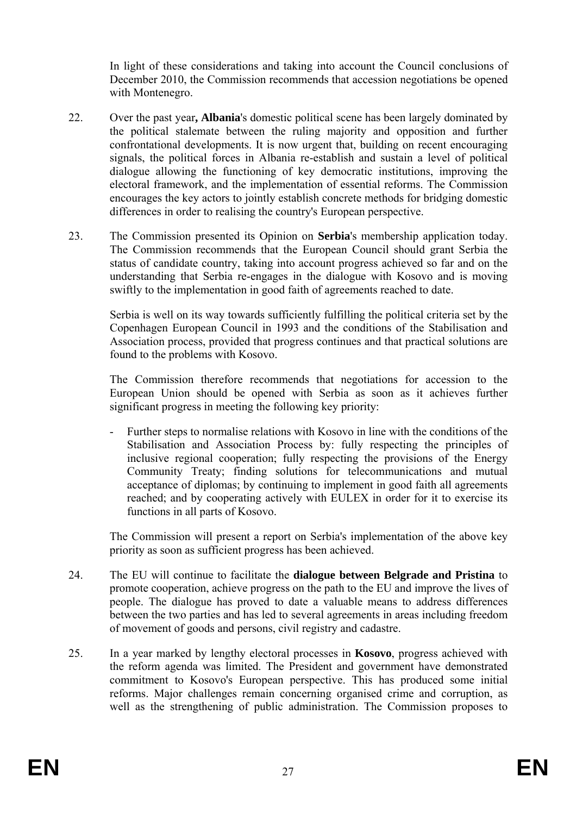In light of these considerations and taking into account the Council conclusions of December 2010, the Commission recommends that accession negotiations be opened with Montenegro.

- 22. Over the past year**, Albania**'s domestic political scene has been largely dominated by the political stalemate between the ruling majority and opposition and further confrontational developments. It is now urgent that, building on recent encouraging signals, the political forces in Albania re-establish and sustain a level of political dialogue allowing the functioning of key democratic institutions, improving the electoral framework, and the implementation of essential reforms. The Commission encourages the key actors to jointly establish concrete methods for bridging domestic differences in order to realising the country's European perspective.
- 23. The Commission presented its Opinion on **Serbia**'s membership application today. The Commission recommends that the European Council should grant Serbia the status of candidate country, taking into account progress achieved so far and on the understanding that Serbia re-engages in the dialogue with Kosovo and is moving swiftly to the implementation in good faith of agreements reached to date.

Serbia is well on its way towards sufficiently fulfilling the political criteria set by the Copenhagen European Council in 1993 and the conditions of the Stabilisation and Association process, provided that progress continues and that practical solutions are found to the problems with Kosovo.

The Commission therefore recommends that negotiations for accession to the European Union should be opened with Serbia as soon as it achieves further significant progress in meeting the following key priority:

- Further steps to normalise relations with Kosovo in line with the conditions of the Stabilisation and Association Process by: fully respecting the principles of inclusive regional cooperation; fully respecting the provisions of the Energy Community Treaty; finding solutions for telecommunications and mutual acceptance of diplomas; by continuing to implement in good faith all agreements reached; and by cooperating actively with EULEX in order for it to exercise its functions in all parts of Kosovo.

The Commission will present a report on Serbia's implementation of the above key priority as soon as sufficient progress has been achieved.

- 24. The EU will continue to facilitate the **dialogue between Belgrade and Pristina** to promote cooperation, achieve progress on the path to the EU and improve the lives of people. The dialogue has proved to date a valuable means to address differences between the two parties and has led to several agreements in areas including freedom of movement of goods and persons, civil registry and cadastre.
- 25. In a year marked by lengthy electoral processes in **Kosovo**, progress achieved with the reform agenda was limited. The President and government have demonstrated commitment to Kosovo's European perspective. This has produced some initial reforms. Major challenges remain concerning organised crime and corruption, as well as the strengthening of public administration. The Commission proposes to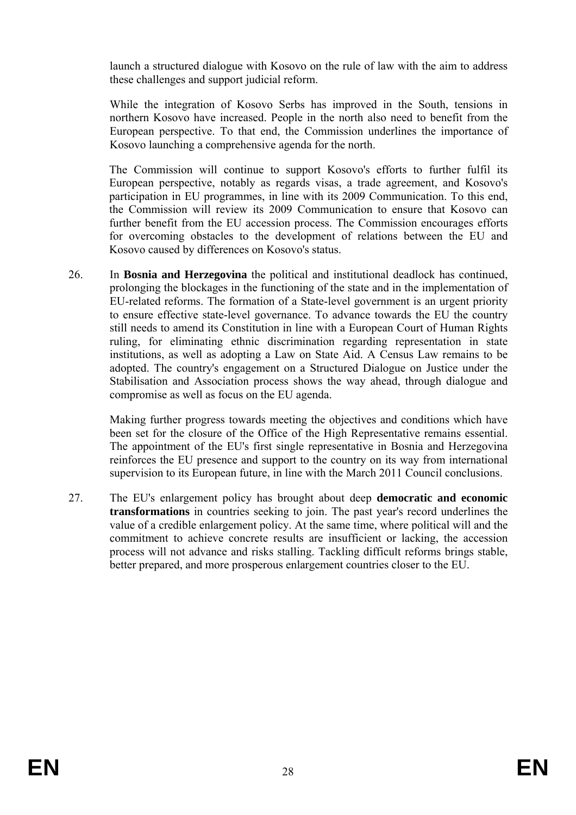launch a structured dialogue with Kosovo on the rule of law with the aim to address these challenges and support judicial reform.

While the integration of Kosovo Serbs has improved in the South, tensions in northern Kosovo have increased. People in the north also need to benefit from the European perspective. To that end, the Commission underlines the importance of Kosovo launching a comprehensive agenda for the north.

The Commission will continue to support Kosovo's efforts to further fulfil its European perspective, notably as regards visas, a trade agreement, and Kosovo's participation in EU programmes, in line with its 2009 Communication. To this end, the Commission will review its 2009 Communication to ensure that Kosovo can further benefit from the EU accession process. The Commission encourages efforts for overcoming obstacles to the development of relations between the EU and Kosovo caused by differences on Kosovo's status.

26. In **Bosnia and Herzegovina** the political and institutional deadlock has continued, prolonging the blockages in the functioning of the state and in the implementation of EU-related reforms. The formation of a State-level government is an urgent priority to ensure effective state-level governance. To advance towards the EU the country still needs to amend its Constitution in line with a European Court of Human Rights ruling, for eliminating ethnic discrimination regarding representation in state institutions, as well as adopting a Law on State Aid. A Census Law remains to be adopted. The country's engagement on a Structured Dialogue on Justice under the Stabilisation and Association process shows the way ahead, through dialogue and compromise as well as focus on the EU agenda.

Making further progress towards meeting the objectives and conditions which have been set for the closure of the Office of the High Representative remains essential. The appointment of the EU's first single representative in Bosnia and Herzegovina reinforces the EU presence and support to the country on its way from international supervision to its European future, in line with the March 2011 Council conclusions.

27. The EU's enlargement policy has brought about deep **democratic and economic transformations** in countries seeking to join. The past year's record underlines the value of a credible enlargement policy. At the same time, where political will and the commitment to achieve concrete results are insufficient or lacking, the accession process will not advance and risks stalling. Tackling difficult reforms brings stable, better prepared, and more prosperous enlargement countries closer to the EU.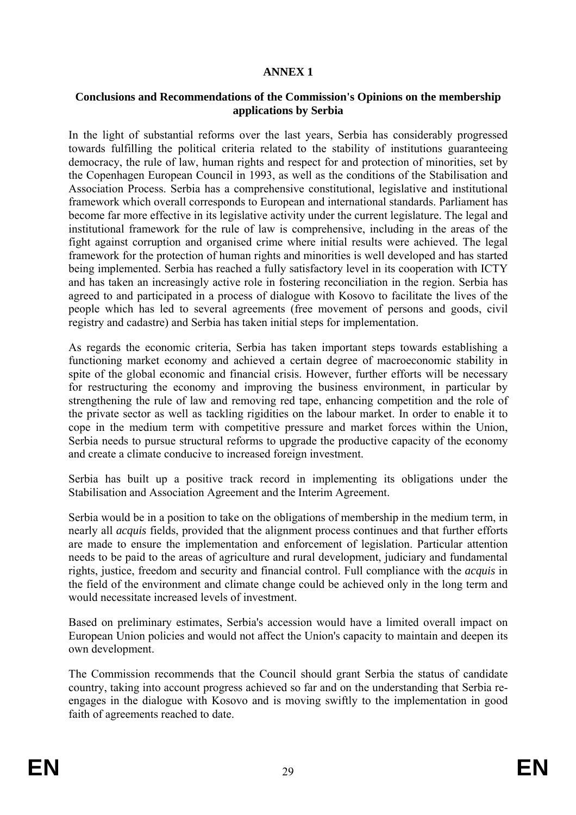#### **ANNEX 1**

#### **Conclusions and Recommendations of the Commission's Opinions on the membership applications by Serbia**

In the light of substantial reforms over the last years, Serbia has considerably progressed towards fulfilling the political criteria related to the stability of institutions guaranteeing democracy, the rule of law, human rights and respect for and protection of minorities, set by the Copenhagen European Council in 1993, as well as the conditions of the Stabilisation and Association Process. Serbia has a comprehensive constitutional, legislative and institutional framework which overall corresponds to European and international standards. Parliament has become far more effective in its legislative activity under the current legislature. The legal and institutional framework for the rule of law is comprehensive, including in the areas of the fight against corruption and organised crime where initial results were achieved. The legal framework for the protection of human rights and minorities is well developed and has started being implemented. Serbia has reached a fully satisfactory level in its cooperation with ICTY and has taken an increasingly active role in fostering reconciliation in the region. Serbia has agreed to and participated in a process of dialogue with Kosovo to facilitate the lives of the people which has led to several agreements (free movement of persons and goods, civil registry and cadastre) and Serbia has taken initial steps for implementation.

As regards the economic criteria, Serbia has taken important steps towards establishing a functioning market economy and achieved a certain degree of macroeconomic stability in spite of the global economic and financial crisis. However, further efforts will be necessary for restructuring the economy and improving the business environment, in particular by strengthening the rule of law and removing red tape, enhancing competition and the role of the private sector as well as tackling rigidities on the labour market. In order to enable it to cope in the medium term with competitive pressure and market forces within the Union, Serbia needs to pursue structural reforms to upgrade the productive capacity of the economy and create a climate conducive to increased foreign investment.

Serbia has built up a positive track record in implementing its obligations under the Stabilisation and Association Agreement and the Interim Agreement.

Serbia would be in a position to take on the obligations of membership in the medium term, in nearly all *acquis* fields, provided that the alignment process continues and that further efforts are made to ensure the implementation and enforcement of legislation. Particular attention needs to be paid to the areas of agriculture and rural development, judiciary and fundamental rights, justice, freedom and security and financial control. Full compliance with the *acquis* in the field of the environment and climate change could be achieved only in the long term and would necessitate increased levels of investment.

Based on preliminary estimates, Serbia's accession would have a limited overall impact on European Union policies and would not affect the Union's capacity to maintain and deepen its own development.

The Commission recommends that the Council should grant Serbia the status of candidate country, taking into account progress achieved so far and on the understanding that Serbia reengages in the dialogue with Kosovo and is moving swiftly to the implementation in good faith of agreements reached to date.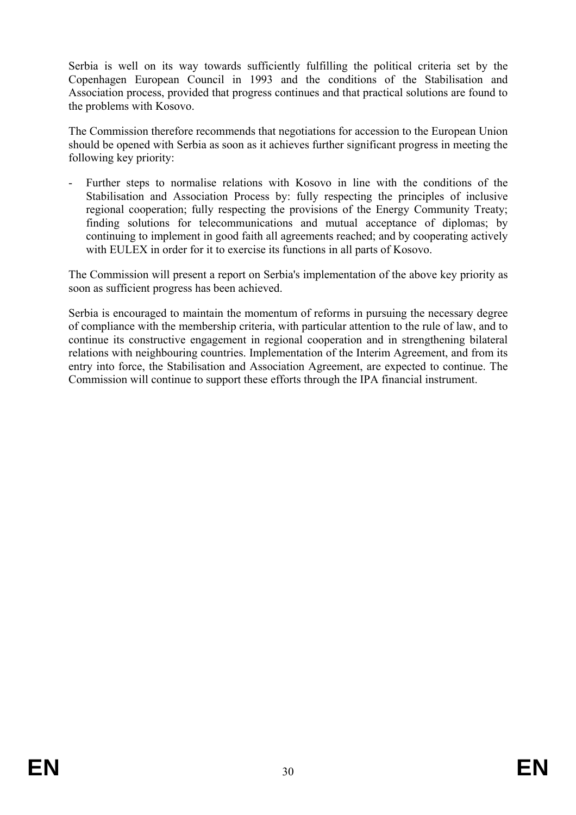Serbia is well on its way towards sufficiently fulfilling the political criteria set by the Copenhagen European Council in 1993 and the conditions of the Stabilisation and Association process, provided that progress continues and that practical solutions are found to the problems with Kosovo.

The Commission therefore recommends that negotiations for accession to the European Union should be opened with Serbia as soon as it achieves further significant progress in meeting the following key priority:

Further steps to normalise relations with Kosovo in line with the conditions of the Stabilisation and Association Process by: fully respecting the principles of inclusive regional cooperation; fully respecting the provisions of the Energy Community Treaty; finding solutions for telecommunications and mutual acceptance of diplomas; by continuing to implement in good faith all agreements reached; and by cooperating actively with EULEX in order for it to exercise its functions in all parts of Kosovo.

The Commission will present a report on Serbia's implementation of the above key priority as soon as sufficient progress has been achieved.

Serbia is encouraged to maintain the momentum of reforms in pursuing the necessary degree of compliance with the membership criteria, with particular attention to the rule of law, and to continue its constructive engagement in regional cooperation and in strengthening bilateral relations with neighbouring countries. Implementation of the Interim Agreement, and from its entry into force, the Stabilisation and Association Agreement, are expected to continue. The Commission will continue to support these efforts through the IPA financial instrument.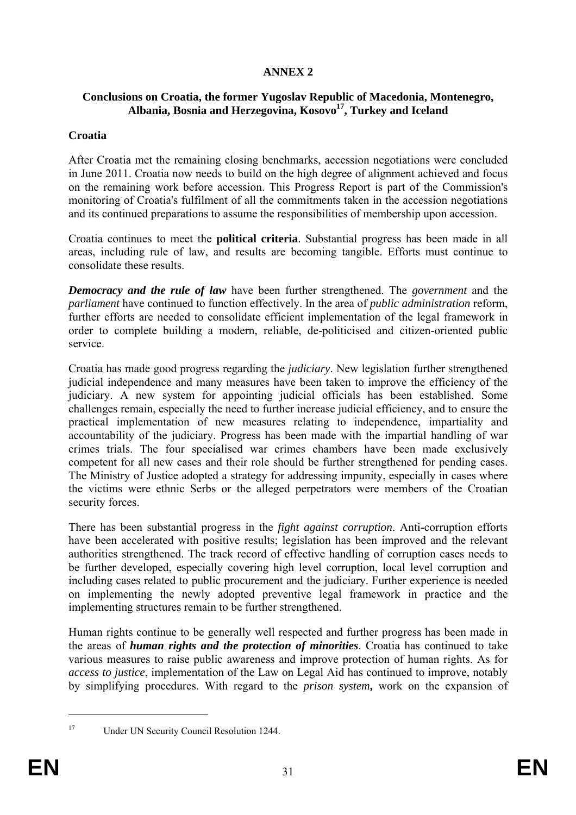# **ANNEX 2**

#### **Conclusions on Croatia, the former Yugoslav Republic of Macedonia, Montenegro, Albania, Bosnia and Herzegovina, Kosovo17, Turkey and Iceland**

#### **Croatia**

After Croatia met the remaining closing benchmarks, accession negotiations were concluded in June 2011. Croatia now needs to build on the high degree of alignment achieved and focus on the remaining work before accession. This Progress Report is part of the Commission's monitoring of Croatia's fulfilment of all the commitments taken in the accession negotiations and its continued preparations to assume the responsibilities of membership upon accession.

Croatia continues to meet the **political criteria**. Substantial progress has been made in all areas, including rule of law, and results are becoming tangible. Efforts must continue to consolidate these results.

*Democracy and the rule of law* have been further strengthened. The *government* and the *parliament* have continued to function effectively. In the area of *public administration* reform, further efforts are needed to consolidate efficient implementation of the legal framework in order to complete building a modern, reliable, de-politicised and citizen-oriented public service.

Croatia has made good progress regarding the *judiciary*. New legislation further strengthened judicial independence and many measures have been taken to improve the efficiency of the judiciary. A new system for appointing judicial officials has been established. Some challenges remain, especially the need to further increase judicial efficiency, and to ensure the practical implementation of new measures relating to independence, impartiality and accountability of the judiciary. Progress has been made with the impartial handling of war crimes trials. The four specialised war crimes chambers have been made exclusively competent for all new cases and their role should be further strengthened for pending cases. The Ministry of Justice adopted a strategy for addressing impunity, especially in cases where the victims were ethnic Serbs or the alleged perpetrators were members of the Croatian security forces.

There has been substantial progress in the *fight against corruption*. Anti-corruption efforts have been accelerated with positive results; legislation has been improved and the relevant authorities strengthened. The track record of effective handling of corruption cases needs to be further developed, especially covering high level corruption, local level corruption and including cases related to public procurement and the judiciary. Further experience is needed on implementing the newly adopted preventive legal framework in practice and the implementing structures remain to be further strengthened.

Human rights continue to be generally well respected and further progress has been made in the areas of *human rights and the protection of minorities*. Croatia has continued to take various measures to raise public awareness and improve protection of human rights. As for *access to justice*, implementation of the Law on Legal Aid has continued to improve, notably by simplifying procedures. With regard to the *prison system***,** work on the expansion of

<sup>1</sup> 

<sup>&</sup>lt;sup>17</sup> Under UN Security Council Resolution 1244.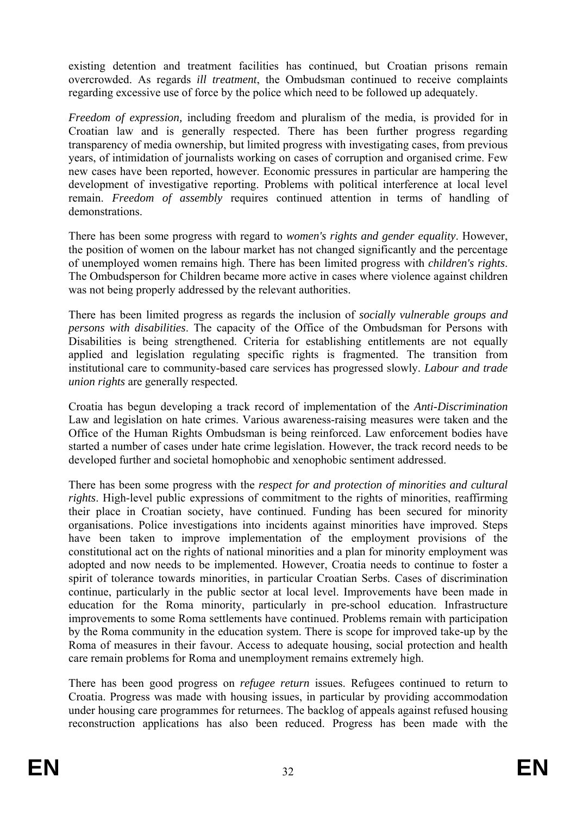existing detention and treatment facilities has continued, but Croatian prisons remain overcrowded. As regards *ill treatment*, the Ombudsman continued to receive complaints regarding excessive use of force by the police which need to be followed up adequately.

*Freedom of expression,* including freedom and pluralism of the media, is provided for in Croatian law and is generally respected. There has been further progress regarding transparency of media ownership, but limited progress with investigating cases, from previous years, of intimidation of journalists working on cases of corruption and organised crime. Few new cases have been reported, however. Economic pressures in particular are hampering the development of investigative reporting. Problems with political interference at local level remain. *Freedom of assembly* requires continued attention in terms of handling of demonstrations.

There has been some progress with regard to *women's rights and gender equality*. However, the position of women on the labour market has not changed significantly and the percentage of unemployed women remains high. There has been limited progress with *children's rights*. The Ombudsperson for Children became more active in cases where violence against children was not being properly addressed by the relevant authorities.

There has been limited progress as regards the inclusion of *socially vulnerable groups and persons with disabilities*. The capacity of the Office of the Ombudsman for Persons with Disabilities is being strengthened. Criteria for establishing entitlements are not equally applied and legislation regulating specific rights is fragmented. The transition from institutional care to community-based care services has progressed slowly. *Labour and trade union rights* are generally respected.

Croatia has begun developing a track record of implementation of the *Anti-Discrimination* Law and legislation on hate crimes. Various awareness-raising measures were taken and the Office of the Human Rights Ombudsman is being reinforced. Law enforcement bodies have started a number of cases under hate crime legislation. However, the track record needs to be developed further and societal homophobic and xenophobic sentiment addressed.

There has been some progress with the *respect for and protection of minorities and cultural rights*. High-level public expressions of commitment to the rights of minorities, reaffirming their place in Croatian society, have continued. Funding has been secured for minority organisations. Police investigations into incidents against minorities have improved. Steps have been taken to improve implementation of the employment provisions of the constitutional act on the rights of national minorities and a plan for minority employment was adopted and now needs to be implemented. However, Croatia needs to continue to foster a spirit of tolerance towards minorities, in particular Croatian Serbs. Cases of discrimination continue, particularly in the public sector at local level. Improvements have been made in education for the Roma minority, particularly in pre-school education. Infrastructure improvements to some Roma settlements have continued. Problems remain with participation by the Roma community in the education system. There is scope for improved take-up by the Roma of measures in their favour. Access to adequate housing, social protection and health care remain problems for Roma and unemployment remains extremely high.

There has been good progress on *refugee return* issues. Refugees continued to return to Croatia. Progress was made with housing issues, in particular by providing accommodation under housing care programmes for returnees. The backlog of appeals against refused housing reconstruction applications has also been reduced. Progress has been made with the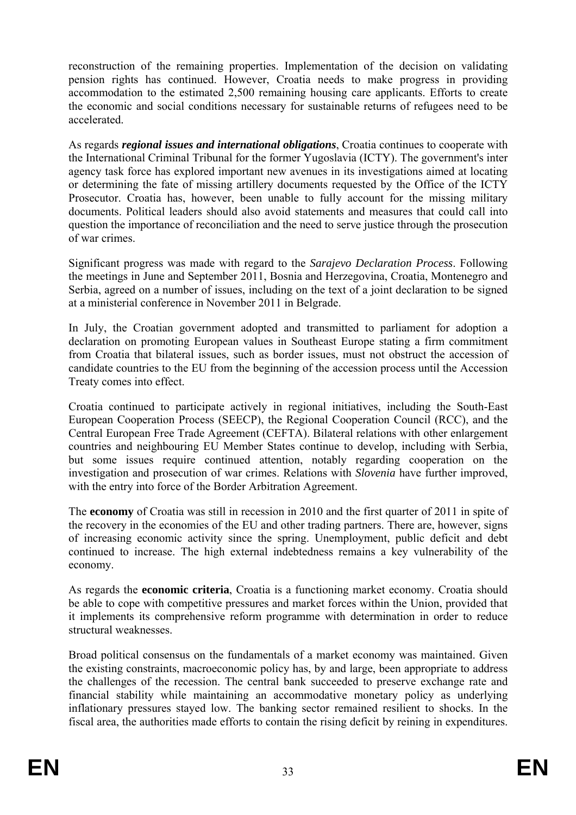reconstruction of the remaining properties. Implementation of the decision on validating pension rights has continued. However, Croatia needs to make progress in providing accommodation to the estimated 2,500 remaining housing care applicants. Efforts to create the economic and social conditions necessary for sustainable returns of refugees need to be accelerated.

As regards *regional issues and international obligations*, Croatia continues to cooperate with the International Criminal Tribunal for the former Yugoslavia (ICTY). The government's inter agency task force has explored important new avenues in its investigations aimed at locating or determining the fate of missing artillery documents requested by the Office of the ICTY Prosecutor. Croatia has, however, been unable to fully account for the missing military documents. Political leaders should also avoid statements and measures that could call into question the importance of reconciliation and the need to serve justice through the prosecution of war crimes.

Significant progress was made with regard to the *Sarajevo Declaration Process*. Following the meetings in June and September 2011, Bosnia and Herzegovina, Croatia, Montenegro and Serbia, agreed on a number of issues, including on the text of a joint declaration to be signed at a ministerial conference in November 2011 in Belgrade.

In July, the Croatian government adopted and transmitted to parliament for adoption a declaration on promoting European values in Southeast Europe stating a firm commitment from Croatia that bilateral issues, such as border issues, must not obstruct the accession of candidate countries to the EU from the beginning of the accession process until the Accession Treaty comes into effect.

Croatia continued to participate actively in regional initiatives, including the South-East European Cooperation Process (SEECP), the Regional Cooperation Council (RCC), and the Central European Free Trade Agreement (CEFTA). Bilateral relations with other enlargement countries and neighbouring EU Member States continue to develop, including with Serbia, but some issues require continued attention, notably regarding cooperation on the investigation and prosecution of war crimes. Relations with *Slovenia* have further improved, with the entry into force of the Border Arbitration Agreement.

The **economy** of Croatia was still in recession in 2010 and the first quarter of 2011 in spite of the recovery in the economies of the EU and other trading partners. There are, however, signs of increasing economic activity since the spring. Unemployment, public deficit and debt continued to increase. The high external indebtedness remains a key vulnerability of the economy.

As regards the **economic criteria**, Croatia is a functioning market economy. Croatia should be able to cope with competitive pressures and market forces within the Union, provided that it implements its comprehensive reform programme with determination in order to reduce structural weaknesses.

Broad political consensus on the fundamentals of a market economy was maintained. Given the existing constraints, macroeconomic policy has, by and large, been appropriate to address the challenges of the recession. The central bank succeeded to preserve exchange rate and financial stability while maintaining an accommodative monetary policy as underlying inflationary pressures stayed low. The banking sector remained resilient to shocks. In the fiscal area, the authorities made efforts to contain the rising deficit by reining in expenditures.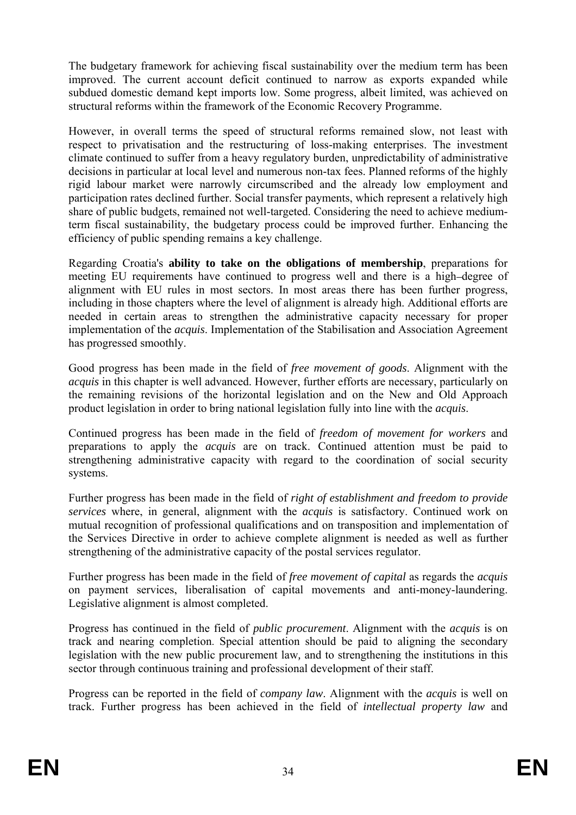The budgetary framework for achieving fiscal sustainability over the medium term has been improved. The current account deficit continued to narrow as exports expanded while subdued domestic demand kept imports low. Some progress, albeit limited, was achieved on structural reforms within the framework of the Economic Recovery Programme.

However, in overall terms the speed of structural reforms remained slow, not least with respect to privatisation and the restructuring of loss-making enterprises. The investment climate continued to suffer from a heavy regulatory burden, unpredictability of administrative decisions in particular at local level and numerous non-tax fees. Planned reforms of the highly rigid labour market were narrowly circumscribed and the already low employment and participation rates declined further. Social transfer payments, which represent a relatively high share of public budgets, remained not well-targeted. Considering the need to achieve mediumterm fiscal sustainability, the budgetary process could be improved further. Enhancing the efficiency of public spending remains a key challenge.

Regarding Croatia's **ability to take on the obligations of membership**, preparations for meeting EU requirements have continued to progress well and there is a high-degree of alignment with EU rules in most sectors. In most areas there has been further progress, including in those chapters where the level of alignment is already high. Additional efforts are needed in certain areas to strengthen the administrative capacity necessary for proper implementation of the *acquis*. Implementation of the Stabilisation and Association Agreement has progressed smoothly.

Good progress has been made in the field of *free movement of goods*. Alignment with the *acquis* in this chapter is well advanced. However, further efforts are necessary, particularly on the remaining revisions of the horizontal legislation and on the New and Old Approach product legislation in order to bring national legislation fully into line with the *acquis*.

Continued progress has been made in the field of *freedom of movement for workers* and preparations to apply the *acquis* are on track. Continued attention must be paid to strengthening administrative capacity with regard to the coordination of social security systems.

Further progress has been made in the field of *right of establishment and freedom to provide services* where, in general, alignment with the *acquis* is satisfactory. Continued work on mutual recognition of professional qualifications and on transposition and implementation of the Services Directive in order to achieve complete alignment is needed as well as further strengthening of the administrative capacity of the postal services regulator.

Further progress has been made in the field of *free movement of capital* as regards the *acquis*  on payment services, liberalisation of capital movements and anti-money-laundering. Legislative alignment is almost completed.

Progress has continued in the field of *public procurement*. Alignment with the *acquis* is on track and nearing completion. Special attention should be paid to aligning the secondary legislation with the new public procurement law*,* and to strengthening the institutions in this sector through continuous training and professional development of their staff.

Progress can be reported in the field of *company law*. Alignment with the *acquis* is well on track. Further progress has been achieved in the field of *intellectual property law* and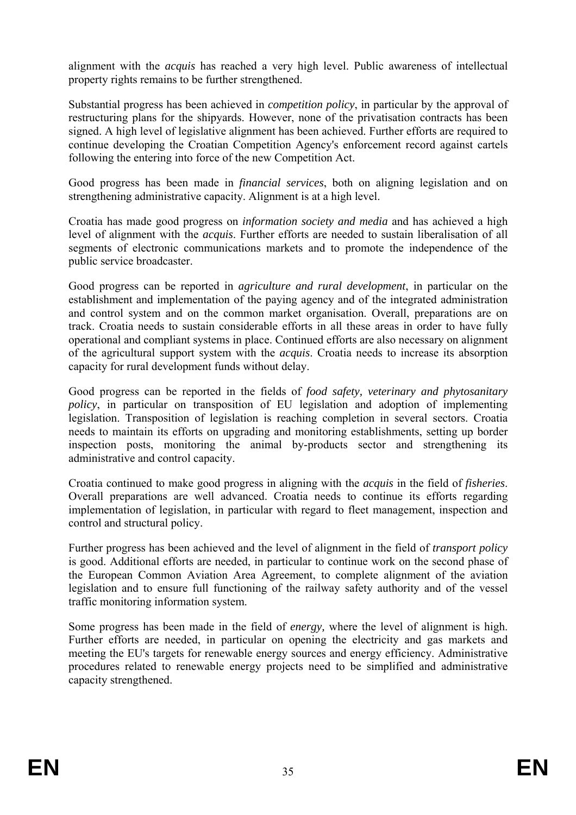alignment with the *acquis* has reached a very high level. Public awareness of intellectual property rights remains to be further strengthened.

Substantial progress has been achieved in *competition policy*, in particular by the approval of restructuring plans for the shipyards. However, none of the privatisation contracts has been signed. A high level of legislative alignment has been achieved. Further efforts are required to continue developing the Croatian Competition Agency's enforcement record against cartels following the entering into force of the new Competition Act.

Good progress has been made in *financial services*, both on aligning legislation and on strengthening administrative capacity. Alignment is at a high level.

Croatia has made good progress on *information society and media* and has achieved a high level of alignment with the *acquis*. Further efforts are needed to sustain liberalisation of all segments of electronic communications markets and to promote the independence of the public service broadcaster.

Good progress can be reported in *agriculture and rural development*, in particular on the establishment and implementation of the paying agency and of the integrated administration and control system and on the common market organisation. Overall, preparations are on track. Croatia needs to sustain considerable efforts in all these areas in order to have fully operational and compliant systems in place. Continued efforts are also necessary on alignment of the agricultural support system with the *acquis*. Croatia needs to increase its absorption capacity for rural development funds without delay.

Good progress can be reported in the fields of *food safety, veterinary and phytosanitary policy*, in particular on transposition of EU legislation and adoption of implementing legislation. Transposition of legislation is reaching completion in several sectors. Croatia needs to maintain its efforts on upgrading and monitoring establishments, setting up border inspection posts, monitoring the animal by-products sector and strengthening its administrative and control capacity.

Croatia continued to make good progress in aligning with the *acquis* in the field of *fisheries*. Overall preparations are well advanced. Croatia needs to continue its efforts regarding implementation of legislation, in particular with regard to fleet management, inspection and control and structural policy.

Further progress has been achieved and the level of alignment in the field of *transport policy*  is good. Additional efforts are needed, in particular to continue work on the second phase of the European Common Aviation Area Agreement, to complete alignment of the aviation legislation and to ensure full functioning of the railway safety authority and of the vessel traffic monitoring information system.

Some progress has been made in the field of *energy,* where the level of alignment is high. Further efforts are needed, in particular on opening the electricity and gas markets and meeting the EU's targets for renewable energy sources and energy efficiency. Administrative procedures related to renewable energy projects need to be simplified and administrative capacity strengthened.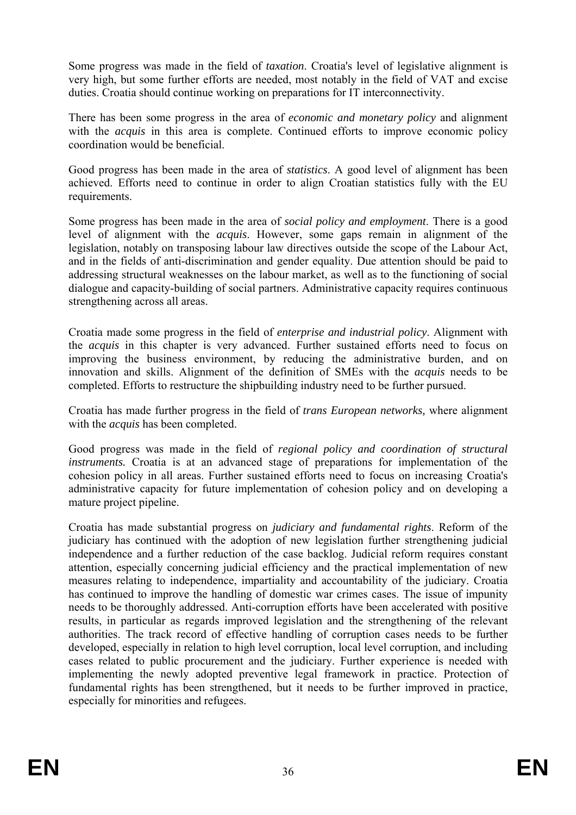Some progress was made in the field of *taxation*. Croatia's level of legislative alignment is very high, but some further efforts are needed, most notably in the field of VAT and excise duties. Croatia should continue working on preparations for IT interconnectivity.

There has been some progress in the area of *economic and monetary policy* and alignment with the *acquis* in this area is complete. Continued efforts to improve economic policy coordination would be beneficial.

Good progress has been made in the area of *statistics*. A good level of alignment has been achieved. Efforts need to continue in order to align Croatian statistics fully with the EU requirements.

Some progress has been made in the area of *social policy and employment*. There is a good level of alignment with the *acquis*. However, some gaps remain in alignment of the legislation, notably on transposing labour law directives outside the scope of the Labour Act, and in the fields of anti-discrimination and gender equality. Due attention should be paid to addressing structural weaknesses on the labour market, as well as to the functioning of social dialogue and capacity-building of social partners. Administrative capacity requires continuous strengthening across all areas.

Croatia made some progress in the field of *enterprise and industrial policy*. Alignment with the *acquis* in this chapter is very advanced. Further sustained efforts need to focus on improving the business environment, by reducing the administrative burden, and on innovation and skills. Alignment of the definition of SMEs with the *acquis* needs to be completed. Efforts to restructure the shipbuilding industry need to be further pursued.

Croatia has made further progress in the field of *trans European networks,* where alignment with the *acquis* has been completed.

Good progress was made in the field of *regional policy and coordination of structural instruments.* Croatia is at an advanced stage of preparations for implementation of the cohesion policy in all areas. Further sustained efforts need to focus on increasing Croatia's administrative capacity for future implementation of cohesion policy and on developing a mature project pipeline.

Croatia has made substantial progress on *judiciary and fundamental rights*. Reform of the judiciary has continued with the adoption of new legislation further strengthening judicial independence and a further reduction of the case backlog. Judicial reform requires constant attention, especially concerning judicial efficiency and the practical implementation of new measures relating to independence, impartiality and accountability of the judiciary. Croatia has continued to improve the handling of domestic war crimes cases. The issue of impunity needs to be thoroughly addressed. Anti-corruption efforts have been accelerated with positive results, in particular as regards improved legislation and the strengthening of the relevant authorities. The track record of effective handling of corruption cases needs to be further developed, especially in relation to high level corruption, local level corruption, and including cases related to public procurement and the judiciary. Further experience is needed with implementing the newly adopted preventive legal framework in practice. Protection of fundamental rights has been strengthened, but it needs to be further improved in practice, especially for minorities and refugees.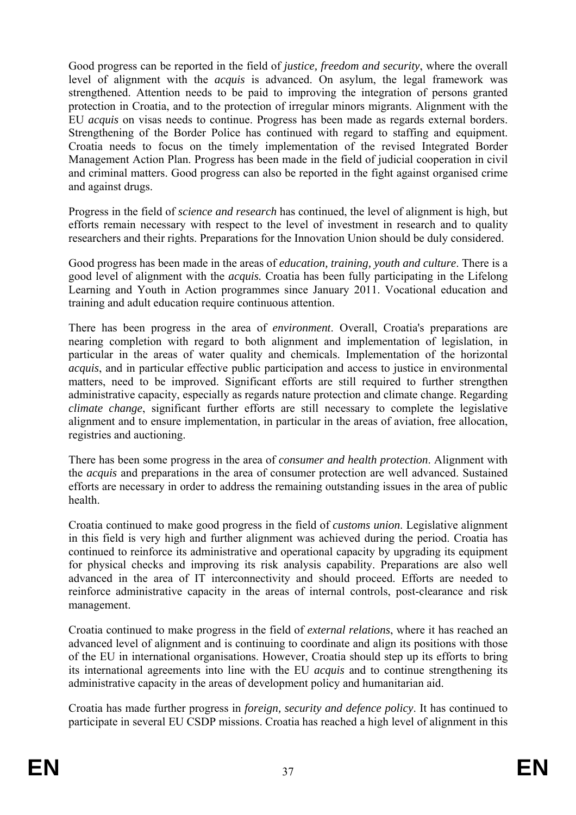Good progress can be reported in the field of *justice, freedom and security*, where the overall level of alignment with the *acquis* is advanced. On asylum, the legal framework was strengthened. Attention needs to be paid to improving the integration of persons granted protection in Croatia, and to the protection of irregular minors migrants. Alignment with the EU *acquis* on visas needs to continue. Progress has been made as regards external borders. Strengthening of the Border Police has continued with regard to staffing and equipment. Croatia needs to focus on the timely implementation of the revised Integrated Border Management Action Plan. Progress has been made in the field of judicial cooperation in civil and criminal matters. Good progress can also be reported in the fight against organised crime and against drugs.

Progress in the field of *science and research* has continued, the level of alignment is high, but efforts remain necessary with respect to the level of investment in research and to quality researchers and their rights. Preparations for the Innovation Union should be duly considered.

Good progress has been made in the areas of *education, training, youth and culture*. There is a good level of alignment with the *acquis.* Croatia has been fully participating in the Lifelong Learning and Youth in Action programmes since January 2011. Vocational education and training and adult education require continuous attention.

There has been progress in the area of *environment*. Overall, Croatia's preparations are nearing completion with regard to both alignment and implementation of legislation, in particular in the areas of water quality and chemicals. Implementation of the horizontal *acquis*, and in particular effective public participation and access to justice in environmental matters, need to be improved. Significant efforts are still required to further strengthen administrative capacity, especially as regards nature protection and climate change. Regarding *climate change*, significant further efforts are still necessary to complete the legislative alignment and to ensure implementation, in particular in the areas of aviation, free allocation, registries and auctioning.

There has been some progress in the area of *consumer and health protection*. Alignment with the *acquis* and preparations in the area of consumer protection are well advanced. Sustained efforts are necessary in order to address the remaining outstanding issues in the area of public health.

Croatia continued to make good progress in the field of *customs union*. Legislative alignment in this field is very high and further alignment was achieved during the period. Croatia has continued to reinforce its administrative and operational capacity by upgrading its equipment for physical checks and improving its risk analysis capability. Preparations are also well advanced in the area of IT interconnectivity and should proceed. Efforts are needed to reinforce administrative capacity in the areas of internal controls, post-clearance and risk management.

Croatia continued to make progress in the field of *external relations*, where it has reached an advanced level of alignment and is continuing to coordinate and align its positions with those of the EU in international organisations. However, Croatia should step up its efforts to bring its international agreements into line with the EU *acquis* and to continue strengthening its administrative capacity in the areas of development policy and humanitarian aid.

Croatia has made further progress in *foreign, security and defence policy*. It has continued to participate in several EU CSDP missions. Croatia has reached a high level of alignment in this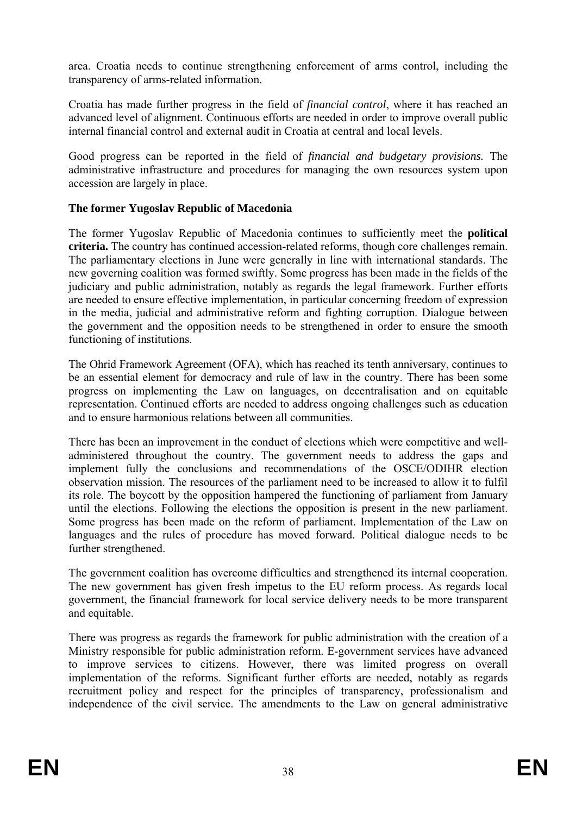area. Croatia needs to continue strengthening enforcement of arms control, including the transparency of arms-related information.

Croatia has made further progress in the field of *financial control*, where it has reached an advanced level of alignment. Continuous efforts are needed in order to improve overall public internal financial control and external audit in Croatia at central and local levels.

Good progress can be reported in the field of *financial and budgetary provisions.* The administrative infrastructure and procedures for managing the own resources system upon accession are largely in place.

## **The former Yugoslav Republic of Macedonia**

The former Yugoslav Republic of Macedonia continues to sufficiently meet the **political criteria.** The country has continued accession-related reforms, though core challenges remain. The parliamentary elections in June were generally in line with international standards. The new governing coalition was formed swiftly. Some progress has been made in the fields of the judiciary and public administration, notably as regards the legal framework. Further efforts are needed to ensure effective implementation, in particular concerning freedom of expression in the media, judicial and administrative reform and fighting corruption. Dialogue between the government and the opposition needs to be strengthened in order to ensure the smooth functioning of institutions.

The Ohrid Framework Agreement (OFA), which has reached its tenth anniversary, continues to be an essential element for democracy and rule of law in the country. There has been some progress on implementing the Law on languages, on decentralisation and on equitable representation. Continued efforts are needed to address ongoing challenges such as education and to ensure harmonious relations between all communities.

There has been an improvement in the conduct of elections which were competitive and welladministered throughout the country. The government needs to address the gaps and implement fully the conclusions and recommendations of the OSCE/ODIHR election observation mission. The resources of the parliament need to be increased to allow it to fulfil its role. The boycott by the opposition hampered the functioning of parliament from January until the elections. Following the elections the opposition is present in the new parliament. Some progress has been made on the reform of parliament. Implementation of the Law on languages and the rules of procedure has moved forward. Political dialogue needs to be further strengthened.

The government coalition has overcome difficulties and strengthened its internal cooperation. The new government has given fresh impetus to the EU reform process. As regards local government, the financial framework for local service delivery needs to be more transparent and equitable.

There was progress as regards the framework for public administration with the creation of a Ministry responsible for public administration reform. E-government services have advanced to improve services to citizens. However, there was limited progress on overall implementation of the reforms. Significant further efforts are needed, notably as regards recruitment policy and respect for the principles of transparency, professionalism and independence of the civil service. The amendments to the Law on general administrative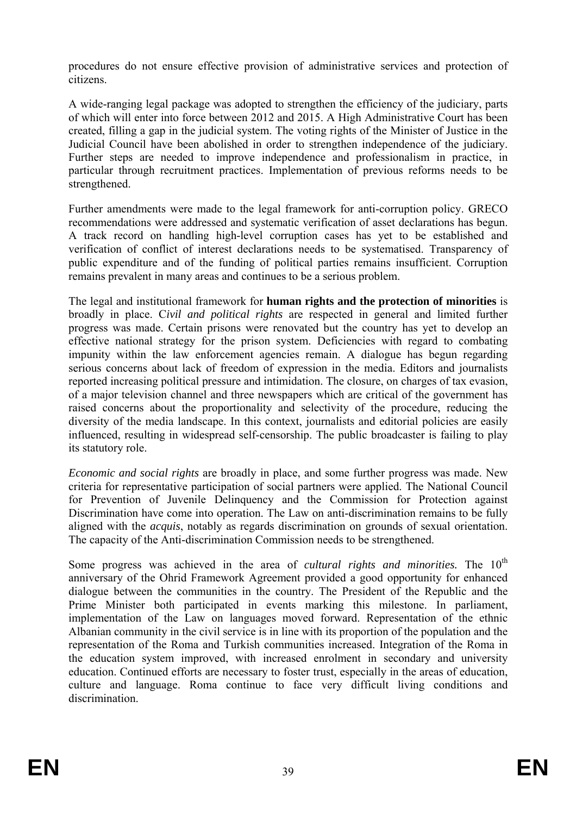procedures do not ensure effective provision of administrative services and protection of citizens.

A wide-ranging legal package was adopted to strengthen the efficiency of the judiciary, parts of which will enter into force between 2012 and 2015. A High Administrative Court has been created, filling a gap in the judicial system. The voting rights of the Minister of Justice in the Judicial Council have been abolished in order to strengthen independence of the judiciary. Further steps are needed to improve independence and professionalism in practice, in particular through recruitment practices. Implementation of previous reforms needs to be strengthened.

Further amendments were made to the legal framework for anti-corruption policy. GRECO recommendations were addressed and systematic verification of asset declarations has begun. A track record on handling high-level corruption cases has yet to be established and verification of conflict of interest declarations needs to be systematised. Transparency of public expenditure and of the funding of political parties remains insufficient. Corruption remains prevalent in many areas and continues to be a serious problem.

The legal and institutional framework for **human rights and the protection of minorities** is broadly in place. C*ivil and political rights* are respected in general and limited further progress was made. Certain prisons were renovated but the country has yet to develop an effective national strategy for the prison system. Deficiencies with regard to combating impunity within the law enforcement agencies remain. A dialogue has begun regarding serious concerns about lack of freedom of expression in the media. Editors and journalists reported increasing political pressure and intimidation. The closure, on charges of tax evasion, of a major television channel and three newspapers which are critical of the government has raised concerns about the proportionality and selectivity of the procedure, reducing the diversity of the media landscape. In this context, journalists and editorial policies are easily influenced, resulting in widespread self-censorship. The public broadcaster is failing to play its statutory role.

*Economic and social rights* are broadly in place, and some further progress was made. New criteria for representative participation of social partners were applied. The National Council for Prevention of Juvenile Delinquency and the Commission for Protection against Discrimination have come into operation. The Law on anti-discrimination remains to be fully aligned with the *acquis*, notably as regards discrimination on grounds of sexual orientation. The capacity of the Anti-discrimination Commission needs to be strengthened.

Some progress was achieved in the area of *cultural rights and minorities*. The 10<sup>th</sup> anniversary of the Ohrid Framework Agreement provided a good opportunity for enhanced dialogue between the communities in the country. The President of the Republic and the Prime Minister both participated in events marking this milestone. In parliament, implementation of the Law on languages moved forward. Representation of the ethnic Albanian community in the civil service is in line with its proportion of the population and the representation of the Roma and Turkish communities increased. Integration of the Roma in the education system improved, with increased enrolment in secondary and university education. Continued efforts are necessary to foster trust, especially in the areas of education, culture and language. Roma continue to face very difficult living conditions and discrimination.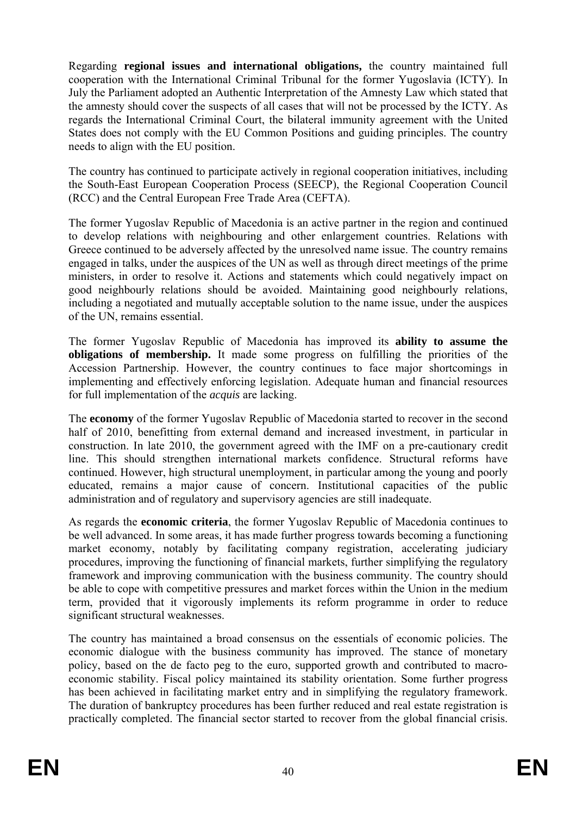Regarding **regional issues and international obligations,** the country maintained full cooperation with the International Criminal Tribunal for the former Yugoslavia (ICTY). In July the Parliament adopted an Authentic Interpretation of the Amnesty Law which stated that the amnesty should cover the suspects of all cases that will not be processed by the ICTY. As regards the International Criminal Court, the bilateral immunity agreement with the United States does not comply with the EU Common Positions and guiding principles. The country needs to align with the EU position.

The country has continued to participate actively in regional cooperation initiatives, including the South-East European Cooperation Process (SEECP), the Regional Cooperation Council (RCC) and the Central European Free Trade Area (CEFTA).

The former Yugoslav Republic of Macedonia is an active partner in the region and continued to develop relations with neighbouring and other enlargement countries. Relations with Greece continued to be adversely affected by the unresolved name issue. The country remains engaged in talks, under the auspices of the UN as well as through direct meetings of the prime ministers, in order to resolve it. Actions and statements which could negatively impact on good neighbourly relations should be avoided. Maintaining good neighbourly relations, including a negotiated and mutually acceptable solution to the name issue, under the auspices of the UN, remains essential.

The former Yugoslav Republic of Macedonia has improved its **ability to assume the obligations of membership.** It made some progress on fulfilling the priorities of the Accession Partnership. However, the country continues to face major shortcomings in implementing and effectively enforcing legislation. Adequate human and financial resources for full implementation of the *acquis* are lacking.

The **economy** of the former Yugoslav Republic of Macedonia started to recover in the second half of 2010, benefitting from external demand and increased investment, in particular in construction. In late 2010, the government agreed with the IMF on a pre-cautionary credit line. This should strengthen international markets confidence. Structural reforms have continued. However, high structural unemployment, in particular among the young and poorly educated, remains a major cause of concern. Institutional capacities of the public administration and of regulatory and supervisory agencies are still inadequate.

As regards the **economic criteria**, the former Yugoslav Republic of Macedonia continues to be well advanced. In some areas, it has made further progress towards becoming a functioning market economy, notably by facilitating company registration, accelerating judiciary procedures, improving the functioning of financial markets, further simplifying the regulatory framework and improving communication with the business community. The country should be able to cope with competitive pressures and market forces within the Union in the medium term, provided that it vigorously implements its reform programme in order to reduce significant structural weaknesses.

The country has maintained a broad consensus on the essentials of economic policies. The economic dialogue with the business community has improved. The stance of monetary policy, based on the de facto peg to the euro, supported growth and contributed to macroeconomic stability. Fiscal policy maintained its stability orientation. Some further progress has been achieved in facilitating market entry and in simplifying the regulatory framework. The duration of bankruptcy procedures has been further reduced and real estate registration is practically completed. The financial sector started to recover from the global financial crisis.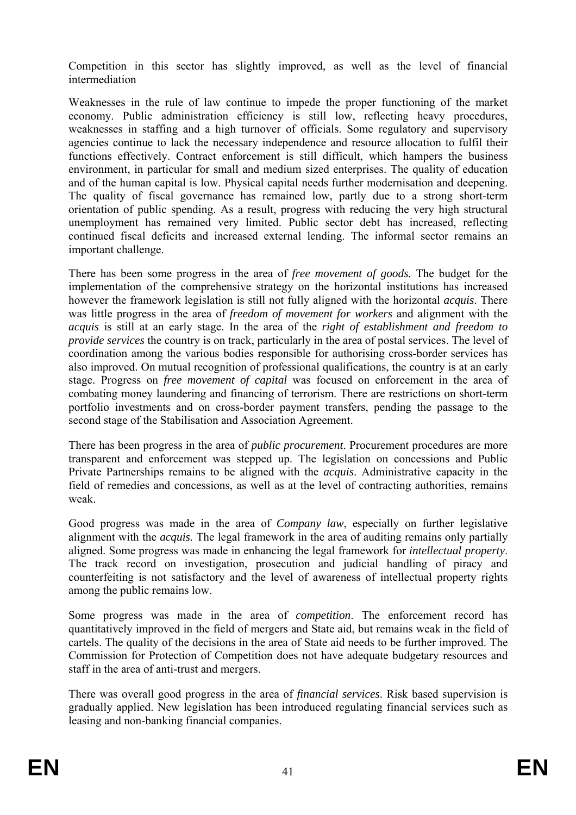Competition in this sector has slightly improved, as well as the level of financial intermediation

Weaknesses in the rule of law continue to impede the proper functioning of the market economy. Public administration efficiency is still low, reflecting heavy procedures, weaknesses in staffing and a high turnover of officials. Some regulatory and supervisory agencies continue to lack the necessary independence and resource allocation to fulfil their functions effectively. Contract enforcement is still difficult, which hampers the business environment, in particular for small and medium sized enterprises. The quality of education and of the human capital is low. Physical capital needs further modernisation and deepening. The quality of fiscal governance has remained low, partly due to a strong short-term orientation of public spending. As a result, progress with reducing the very high structural unemployment has remained very limited. Public sector debt has increased, reflecting continued fiscal deficits and increased external lending. The informal sector remains an important challenge.

There has been some progress in the area of *free movement of goods.* The budget for the implementation of the comprehensive strategy on the horizontal institutions has increased however the framework legislation is still not fully aligned with the horizontal *acquis*. There was little progress in the area of *freedom of movement for workers* and alignment with the *acquis* is still at an early stage. In the area of the *right of establishment and freedom to provide services* the country is on track, particularly in the area of postal services. The level of coordination among the various bodies responsible for authorising cross-border services has also improved. On mutual recognition of professional qualifications, the country is at an early stage. Progress on *free movement of capital* was focused on enforcement in the area of combating money laundering and financing of terrorism. There are restrictions on short-term portfolio investments and on cross-border payment transfers, pending the passage to the second stage of the Stabilisation and Association Agreement.

There has been progress in the area of *public procurement*. Procurement procedures are more transparent and enforcement was stepped up. The legislation on concessions and Public Private Partnerships remains to be aligned with the *acquis*. Administrative capacity in the field of remedies and concessions, as well as at the level of contracting authorities, remains weak.

Good progress was made in the area of *Company law*, especially on further legislative alignment with the *acquis.* The legal framework in the area of auditing remains only partially aligned. Some progress was made in enhancing the legal framework for *intellectual property*. The track record on investigation, prosecution and judicial handling of piracy and counterfeiting is not satisfactory and the level of awareness of intellectual property rights among the public remains low.

Some progress was made in the area of *competition*. The enforcement record has quantitatively improved in the field of mergers and State aid, but remains weak in the field of cartels. The quality of the decisions in the area of State aid needs to be further improved. The Commission for Protection of Competition does not have adequate budgetary resources and staff in the area of anti-trust and mergers.

There was overall good progress in the area of *financial services*. Risk based supervision is gradually applied. New legislation has been introduced regulating financial services such as leasing and non-banking financial companies.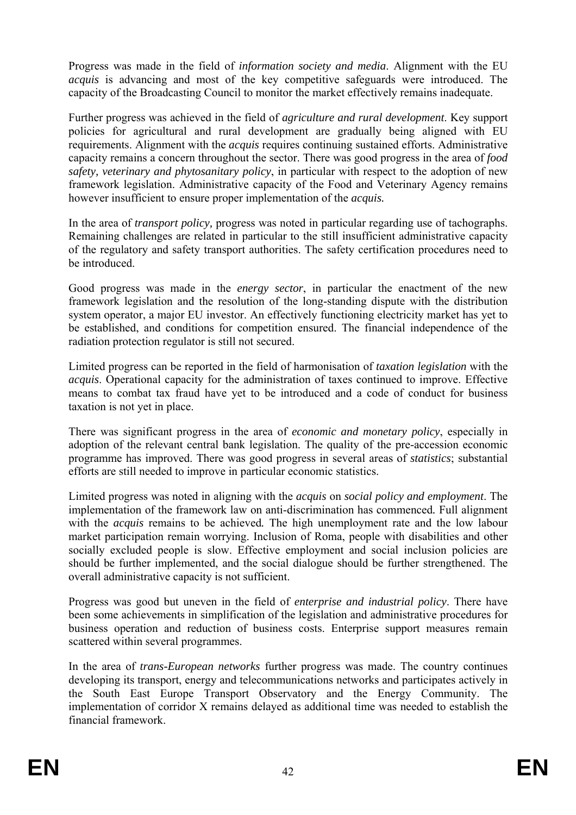Progress was made in the field of *information society and media*. Alignment with the EU *acquis* is advancing and most of the key competitive safeguards were introduced. The capacity of the Broadcasting Council to monitor the market effectively remains inadequate.

Further progress was achieved in the field of *agriculture and rural development*. Key support policies for agricultural and rural development are gradually being aligned with EU requirements. Alignment with the *acquis* requires continuing sustained efforts. Administrative capacity remains a concern throughout the sector. There was good progress in the area of *food safety, veterinary and phytosanitary policy*, in particular with respect to the adoption of new framework legislation. Administrative capacity of the Food and Veterinary Agency remains however insufficient to ensure proper implementation of the *acquis.*

In the area of *transport policy,* progress was noted in particular regarding use of tachographs. Remaining challenges are related in particular to the still insufficient administrative capacity of the regulatory and safety transport authorities. The safety certification procedures need to be introduced.

Good progress was made in the *energy sector*, in particular the enactment of the new framework legislation and the resolution of the long-standing dispute with the distribution system operator, a major EU investor. An effectively functioning electricity market has yet to be established, and conditions for competition ensured. The financial independence of the radiation protection regulator is still not secured.

Limited progress can be reported in the field of harmonisation of *taxation legislation* with the *acquis*. Operational capacity for the administration of taxes continued to improve. Effective means to combat tax fraud have yet to be introduced and a code of conduct for business taxation is not yet in place.

There was significant progress in the area of *economic and monetary policy*, especially in adoption of the relevant central bank legislation. The quality of the pre-accession economic programme has improved. There was good progress in several areas of *statistics*; substantial efforts are still needed to improve in particular economic statistics.

Limited progress was noted in aligning with the *acquis* on *social policy and employment*. The implementation of the framework law on anti-discrimination has commenced*.* Full alignment with the *acquis* remains to be achieved*.* The high unemployment rate and the low labour market participation remain worrying. Inclusion of Roma, people with disabilities and other socially excluded people is slow. Effective employment and social inclusion policies are should be further implemented, and the social dialogue should be further strengthened. The overall administrative capacity is not sufficient.

Progress was good but uneven in the field of *enterprise and industrial policy*. There have been some achievements in simplification of the legislation and administrative procedures for business operation and reduction of business costs. Enterprise support measures remain scattered within several programmes.

In the area of *trans-European networks* further progress was made. The country continues developing its transport, energy and telecommunications networks and participates actively in the South East Europe Transport Observatory and the Energy Community. The implementation of corridor X remains delayed as additional time was needed to establish the financial framework.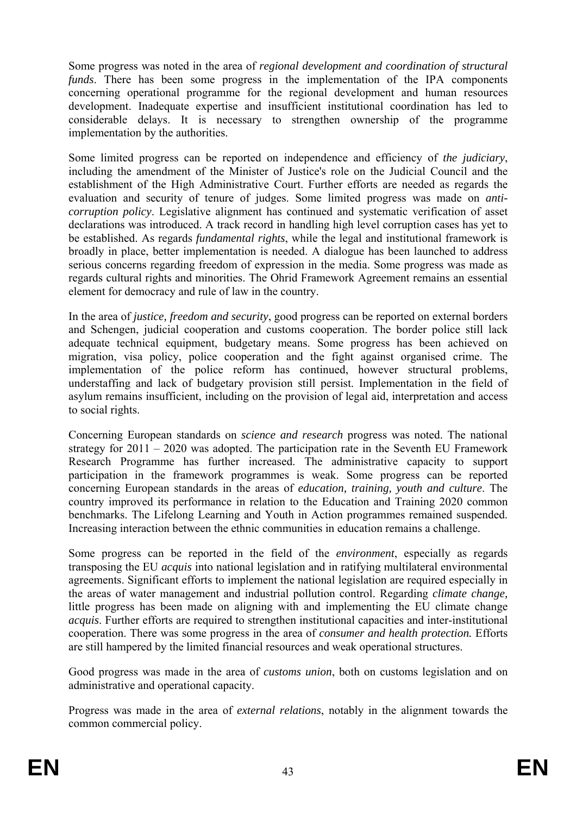Some progress was noted in the area of *regional development and coordination of structural funds*. There has been some progress in the implementation of the IPA components concerning operational programme for the regional development and human resources development. Inadequate expertise and insufficient institutional coordination has led to considerable delays. It is necessary to strengthen ownership of the programme implementation by the authorities.

Some limited progress can be reported on independence and efficiency of *the judiciary*, including the amendment of the Minister of Justice's role on the Judicial Council and the establishment of the High Administrative Court. Further efforts are needed as regards the evaluation and security of tenure of judges. Some limited progress was made on *anticorruption policy*. Legislative alignment has continued and systematic verification of asset declarations was introduced. A track record in handling high level corruption cases has yet to be established. As regards *fundamental rights*, while the legal and institutional framework is broadly in place, better implementation is needed. A dialogue has been launched to address serious concerns regarding freedom of expression in the media. Some progress was made as regards cultural rights and minorities. The Ohrid Framework Agreement remains an essential element for democracy and rule of law in the country.

In the area of *justice, freedom and security*, good progress can be reported on external borders and Schengen, judicial cooperation and customs cooperation. The border police still lack adequate technical equipment, budgetary means. Some progress has been achieved on migration, visa policy, police cooperation and the fight against organised crime. The implementation of the police reform has continued, however structural problems, understaffing and lack of budgetary provision still persist. Implementation in the field of asylum remains insufficient, including on the provision of legal aid, interpretation and access to social rights.

Concerning European standards on *science and research* progress was noted. The national strategy for 2011 – 2020 was adopted. The participation rate in the Seventh EU Framework Research Programme has further increased. The administrative capacity to support participation in the framework programmes is weak. Some progress can be reported concerning European standards in the areas of *education, training, youth and culture*. The country improved its performance in relation to the Education and Training 2020 common benchmarks. The Lifelong Learning and Youth in Action programmes remained suspended. Increasing interaction between the ethnic communities in education remains a challenge.

Some progress can be reported in the field of the *environment*, especially as regards transposing the EU *acquis* into national legislation and in ratifying multilateral environmental agreements. Significant efforts to implement the national legislation are required especially in the areas of water management and industrial pollution control. Regarding *climate change,* little progress has been made on aligning with and implementing the EU climate change *acquis*. Further efforts are required to strengthen institutional capacities and inter-institutional cooperation. There was some progress in the area of *consumer and health protection.* Efforts are still hampered by the limited financial resources and weak operational structures.

Good progress was made in the area of *customs union*, both on customs legislation and on administrative and operational capacity.

Progress was made in the area of *external relations*, notably in the alignment towards the common commercial policy.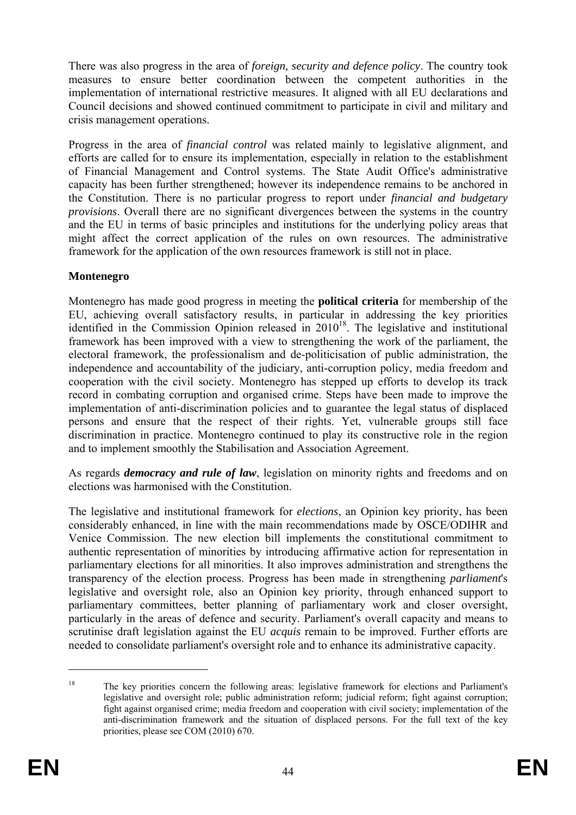There was also progress in the area of *foreign, security and defence policy*. The country took measures to ensure better coordination between the competent authorities in the implementation of international restrictive measures. It aligned with all EU declarations and Council decisions and showed continued commitment to participate in civil and military and crisis management operations.

Progress in the area of *financial control* was related mainly to legislative alignment, and efforts are called for to ensure its implementation, especially in relation to the establishment of Financial Management and Control systems. The State Audit Office's administrative capacity has been further strengthened; however its independence remains to be anchored in the Constitution. There is no particular progress to report under *financial and budgetary provisions*. Overall there are no significant divergences between the systems in the country and the EU in terms of basic principles and institutions for the underlying policy areas that might affect the correct application of the rules on own resources. The administrative framework for the application of the own resources framework is still not in place.

#### **Montenegro**

Montenegro has made good progress in meeting the **political criteria** for membership of the EU, achieving overall satisfactory results, in particular in addressing the key priorities identified in the Commission Opinion released in  $2010^{18}$ . The legislative and institutional framework has been improved with a view to strengthening the work of the parliament, the electoral framework, the professionalism and de-politicisation of public administration, the independence and accountability of the judiciary, anti-corruption policy, media freedom and cooperation with the civil society. Montenegro has stepped up efforts to develop its track record in combating corruption and organised crime. Steps have been made to improve the implementation of anti-discrimination policies and to guarantee the legal status of displaced persons and ensure that the respect of their rights. Yet, vulnerable groups still face discrimination in practice. Montenegro continued to play its constructive role in the region and to implement smoothly the Stabilisation and Association Agreement.

As regards *democracy and rule of law*, legislation on minority rights and freedoms and on elections was harmonised with the Constitution.

The legislative and institutional framework for *elections*, an Opinion key priority, has been considerably enhanced, in line with the main recommendations made by OSCE/ODIHR and Venice Commission. The new election bill implements the constitutional commitment to authentic representation of minorities by introducing affirmative action for representation in parliamentary elections for all minorities. It also improves administration and strengthens the transparency of the election process. Progress has been made in strengthening *parliament*'s legislative and oversight role, also an Opinion key priority, through enhanced support to parliamentary committees, better planning of parliamentary work and closer oversight, particularly in the areas of defence and security. Parliament's overall capacity and means to scrutinise draft legislation against the EU *acquis* remain to be improved. Further efforts are needed to consolidate parliament's oversight role and to enhance its administrative capacity.

<u>.</u>

<sup>18</sup> The key priorities concern the following areas: legislative framework for elections and Parliament's legislative and oversight role; public administration reform; judicial reform; fight against corruption; fight against organised crime; media freedom and cooperation with civil society; implementation of the anti-discrimination framework and the situation of displaced persons. For the full text of the key priorities, please see COM (2010) 670.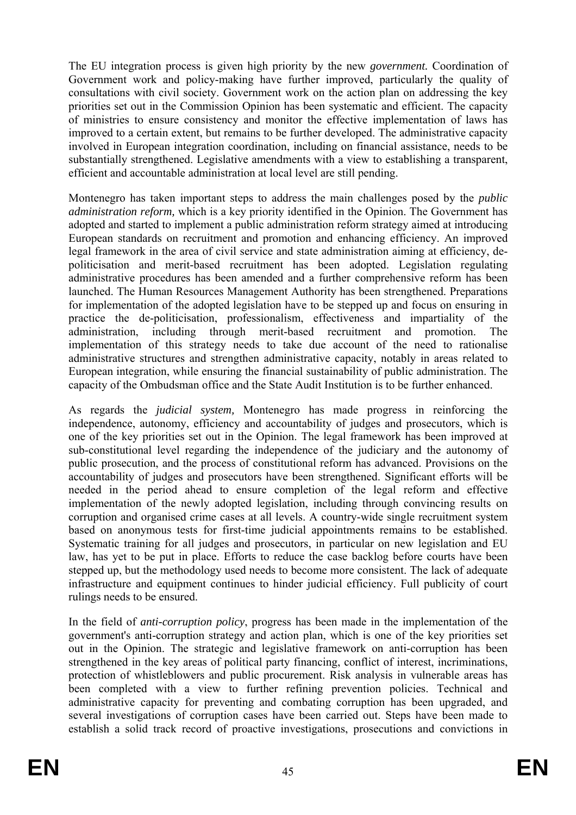The EU integration process is given high priority by the new *government.* Coordination of Government work and policy-making have further improved, particularly the quality of consultations with civil society. Government work on the action plan on addressing the key priorities set out in the Commission Opinion has been systematic and efficient. The capacity of ministries to ensure consistency and monitor the effective implementation of laws has improved to a certain extent, but remains to be further developed. The administrative capacity involved in European integration coordination, including on financial assistance, needs to be substantially strengthened. Legislative amendments with a view to establishing a transparent, efficient and accountable administration at local level are still pending.

Montenegro has taken important steps to address the main challenges posed by the *public administration reform,* which is a key priority identified in the Opinion. The Government has adopted and started to implement a public administration reform strategy aimed at introducing European standards on recruitment and promotion and enhancing efficiency. An improved legal framework in the area of civil service and state administration aiming at efficiency, depoliticisation and merit-based recruitment has been adopted. Legislation regulating administrative procedures has been amended and a further comprehensive reform has been launched. The Human Resources Management Authority has been strengthened. Preparations for implementation of the adopted legislation have to be stepped up and focus on ensuring in practice the de-politicisation, professionalism, effectiveness and impartiality of the administration, including through merit-based recruitment and promotion. The implementation of this strategy needs to take due account of the need to rationalise administrative structures and strengthen administrative capacity, notably in areas related to European integration, while ensuring the financial sustainability of public administration. The capacity of the Ombudsman office and the State Audit Institution is to be further enhanced.

As regards the *judicial system,* Montenegro has made progress in reinforcing the independence, autonomy, efficiency and accountability of judges and prosecutors, which is one of the key priorities set out in the Opinion. The legal framework has been improved at sub-constitutional level regarding the independence of the judiciary and the autonomy of public prosecution, and the process of constitutional reform has advanced. Provisions on the accountability of judges and prosecutors have been strengthened. Significant efforts will be needed in the period ahead to ensure completion of the legal reform and effective implementation of the newly adopted legislation, including through convincing results on corruption and organised crime cases at all levels. A country-wide single recruitment system based on anonymous tests for first-time judicial appointments remains to be established. Systematic training for all judges and prosecutors, in particular on new legislation and EU law, has yet to be put in place. Efforts to reduce the case backlog before courts have been stepped up, but the methodology used needs to become more consistent. The lack of adequate infrastructure and equipment continues to hinder judicial efficiency. Full publicity of court rulings needs to be ensured.

In the field of *anti-corruption policy*, progress has been made in the implementation of the government's anti-corruption strategy and action plan, which is one of the key priorities set out in the Opinion. The strategic and legislative framework on anti-corruption has been strengthened in the key areas of political party financing, conflict of interest, incriminations, protection of whistleblowers and public procurement. Risk analysis in vulnerable areas has been completed with a view to further refining prevention policies. Technical and administrative capacity for preventing and combating corruption has been upgraded, and several investigations of corruption cases have been carried out. Steps have been made to establish a solid track record of proactive investigations, prosecutions and convictions in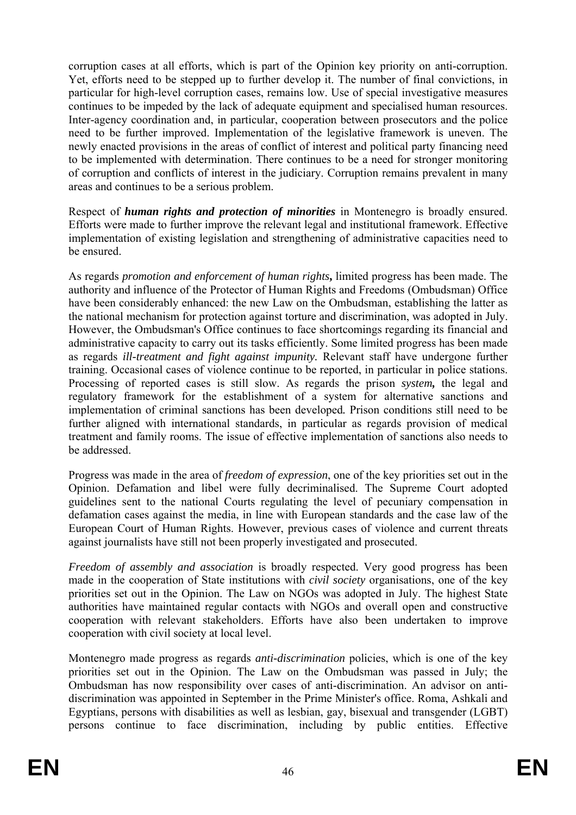corruption cases at all efforts, which is part of the Opinion key priority on anti-corruption. Yet, efforts need to be stepped up to further develop it. The number of final convictions, in particular for high-level corruption cases, remains low. Use of special investigative measures continues to be impeded by the lack of adequate equipment and specialised human resources. Inter-agency coordination and, in particular, cooperation between prosecutors and the police need to be further improved. Implementation of the legislative framework is uneven. The newly enacted provisions in the areas of conflict of interest and political party financing need to be implemented with determination. There continues to be a need for stronger monitoring of corruption and conflicts of interest in the judiciary. Corruption remains prevalent in many areas and continues to be a serious problem.

Respect of *human rights and protection of minorities* in Montenegro is broadly ensured. Efforts were made to further improve the relevant legal and institutional framework. Effective implementation of existing legislation and strengthening of administrative capacities need to be ensured.

As regards *promotion and enforcement of human rights***,** limited progress has been made. The authority and influence of the Protector of Human Rights and Freedoms (Ombudsman) Office have been considerably enhanced: the new Law on the Ombudsman, establishing the latter as the national mechanism for protection against torture and discrimination, was adopted in July. However, the Ombudsman's Office continues to face shortcomings regarding its financial and administrative capacity to carry out its tasks efficiently. Some limited progress has been made as regards *ill-treatment and fight against impunity.* Relevant staff have undergone further training. Occasional cases of violence continue to be reported, in particular in police stations. Processing of reported cases is still slow. As regards the prison *system,* the legal and regulatory framework for the establishment of a system for alternative sanctions and implementation of criminal sanctions has been developed*.* Prison conditions still need to be further aligned with international standards, in particular as regards provision of medical treatment and family rooms. The issue of effective implementation of sanctions also needs to be addressed.

Progress was made in the area of *freedom of expression*, one of the key priorities set out in the Opinion. Defamation and libel were fully decriminalised. The Supreme Court adopted guidelines sent to the national Courts regulating the level of pecuniary compensation in defamation cases against the media, in line with European standards and the case law of the European Court of Human Rights. However, previous cases of violence and current threats against journalists have still not been properly investigated and prosecuted.

*Freedom of assembly and association* is broadly respected. Very good progress has been made in the cooperation of State institutions with *civil society* organisations, one of the key priorities set out in the Opinion. The Law on NGOs was adopted in July. The highest State authorities have maintained regular contacts with NGOs and overall open and constructive cooperation with relevant stakeholders. Efforts have also been undertaken to improve cooperation with civil society at local level.

Montenegro made progress as regards *anti-discrimination* policies, which is one of the key priorities set out in the Opinion. The Law on the Ombudsman was passed in July; the Ombudsman has now responsibility over cases of anti-discrimination. An advisor on antidiscrimination was appointed in September in the Prime Minister's office. Roma, Ashkali and Egyptians, persons with disabilities as well as lesbian, gay, bisexual and transgender (LGBT) persons continue to face discrimination, including by public entities. Effective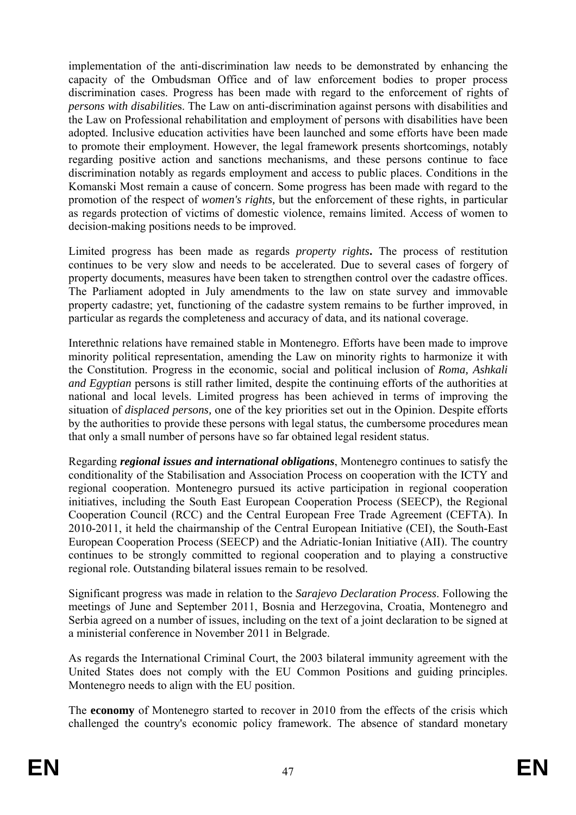implementation of the anti-discrimination law needs to be demonstrated by enhancing the capacity of the Ombudsman Office and of law enforcement bodies to proper process discrimination cases. Progress has been made with regard to the enforcement of rights of *persons with disabilitie*s. The Law on anti-discrimination against persons with disabilities and the Law on Professional rehabilitation and employment of persons with disabilities have been adopted. Inclusive education activities have been launched and some efforts have been made to promote their employment. However, the legal framework presents shortcomings, notably regarding positive action and sanctions mechanisms, and these persons continue to face discrimination notably as regards employment and access to public places. Conditions in the Komanski Most remain a cause of concern. Some progress has been made with regard to the promotion of the respect of *women's rights,* but the enforcement of these rights, in particular as regards protection of victims of domestic violence, remains limited. Access of women to decision-making positions needs to be improved.

Limited progress has been made as regards *property rights***.** The process of restitution continues to be very slow and needs to be accelerated. Due to several cases of forgery of property documents, measures have been taken to strengthen control over the cadastre offices. The Parliament adopted in July amendments to the law on state survey and immovable property cadastre; yet, functioning of the cadastre system remains to be further improved, in particular as regards the completeness and accuracy of data, and its national coverage.

Interethnic relations have remained stable in Montenegro. Efforts have been made to improve minority political representation, amending the Law on minority rights to harmonize it with the Constitution. Progress in the economic, social and political inclusion of *Roma, Ashkali and Egyptian* persons is still rather limited, despite the continuing efforts of the authorities at national and local levels. Limited progress has been achieved in terms of improving the situation of *displaced persons,* one of the key priorities set out in the Opinion. Despite efforts by the authorities to provide these persons with legal status, the cumbersome procedures mean that only a small number of persons have so far obtained legal resident status.

Regarding *regional issues and international obligations*, Montenegro continues to satisfy the conditionality of the Stabilisation and Association Process on cooperation with the ICTY and regional cooperation. Montenegro pursued its active participation in regional cooperation initiatives, including the South East European Cooperation Process (SEECP), the Regional Cooperation Council (RCC) and the Central European Free Trade Agreement (CEFTA). In 2010-2011, it held the chairmanship of the Central European Initiative (CEI), the South-East European Cooperation Process (SEECP) and the Adriatic-Ionian Initiative (AII). The country continues to be strongly committed to regional cooperation and to playing a constructive regional role. Outstanding bilateral issues remain to be resolved.

Significant progress was made in relation to the *Sarajevo Declaration Process*. Following the meetings of June and September 2011, Bosnia and Herzegovina, Croatia, Montenegro and Serbia agreed on a number of issues, including on the text of a joint declaration to be signed at a ministerial conference in November 2011 in Belgrade.

As regards the International Criminal Court, the 2003 bilateral immunity agreement with the United States does not comply with the EU Common Positions and guiding principles. Montenegro needs to align with the EU position.

The **economy** of Montenegro started to recover in 2010 from the effects of the crisis which challenged the country's economic policy framework. The absence of standard monetary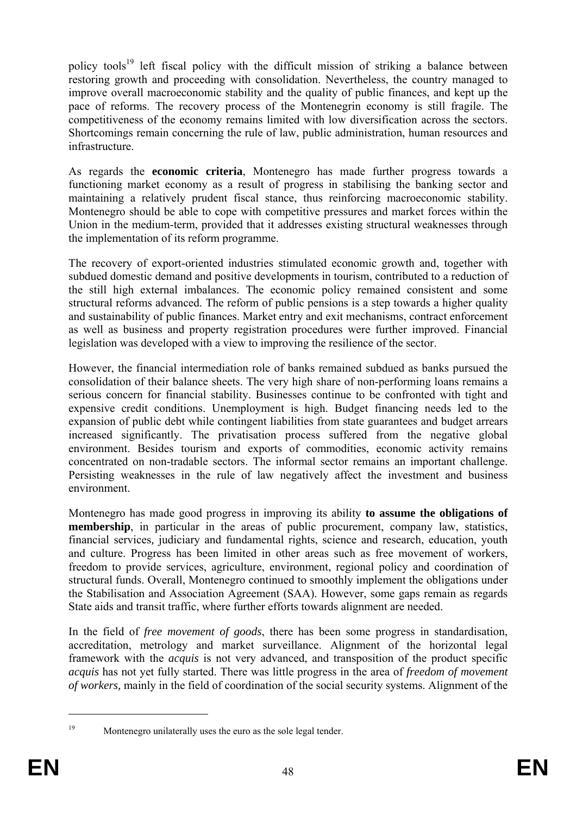policy tools<sup>19</sup> left fiscal policy with the difficult mission of striking a balance between restoring growth and proceeding with consolidation. Nevertheless, the country managed to improve overall macroeconomic stability and the quality of public finances, and kept up the pace of reforms. The recovery process of the Montenegrin economy is still fragile. The competitiveness of the economy remains limited with low diversification across the sectors. Shortcomings remain concerning the rule of law, public administration, human resources and infrastructure.

As regards the **economic criteria**, Montenegro has made further progress towards a functioning market economy as a result of progress in stabilising the banking sector and maintaining a relatively prudent fiscal stance, thus reinforcing macroeconomic stability. Montenegro should be able to cope with competitive pressures and market forces within the Union in the medium-term, provided that it addresses existing structural weaknesses through the implementation of its reform programme.

The recovery of export-oriented industries stimulated economic growth and, together with subdued domestic demand and positive developments in tourism, contributed to a reduction of the still high external imbalances. The economic policy remained consistent and some structural reforms advanced. The reform of public pensions is a step towards a higher quality and sustainability of public finances. Market entry and exit mechanisms, contract enforcement as well as business and property registration procedures were further improved. Financial legislation was developed with a view to improving the resilience of the sector.

However, the financial intermediation role of banks remained subdued as banks pursued the consolidation of their balance sheets. The very high share of non-performing loans remains a serious concern for financial stability. Businesses continue to be confronted with tight and expensive credit conditions. Unemployment is high. Budget financing needs led to the expansion of public debt while contingent liabilities from state guarantees and budget arrears increased significantly. The privatisation process suffered from the negative global environment. Besides tourism and exports of commodities, economic activity remains concentrated on non-tradable sectors. The informal sector remains an important challenge. Persisting weaknesses in the rule of law negatively affect the investment and business environment.

Montenegro has made good progress in improving its ability **to assume the obligations of membership**, in particular in the areas of public procurement, company law, statistics, financial services*,* judiciary and fundamental rights, science and research, education, youth and culture. Progress has been limited in other areas such as free movement of workers, freedom to provide services, agriculture, environment, regional policy and coordination of structural funds. Overall, Montenegro continued to smoothly implement the obligations under the Stabilisation and Association Agreement (SAA). However, some gaps remain as regards State aids and transit traffic, where further efforts towards alignment are needed.

In the field of *free movement of goods*, there has been some progress in standardisation, accreditation, metrology and market surveillance. Alignment of the horizontal legal framework with the *acquis* is not very advanced, and transposition of the product specific *acquis* has not yet fully started. There was little progress in the area of *freedom of movement of workers,* mainly in the field of coordination of the social security systems. Alignment of the

<sup>1</sup> 

<sup>&</sup>lt;sup>19</sup> Montenegro unilaterally uses the euro as the sole legal tender.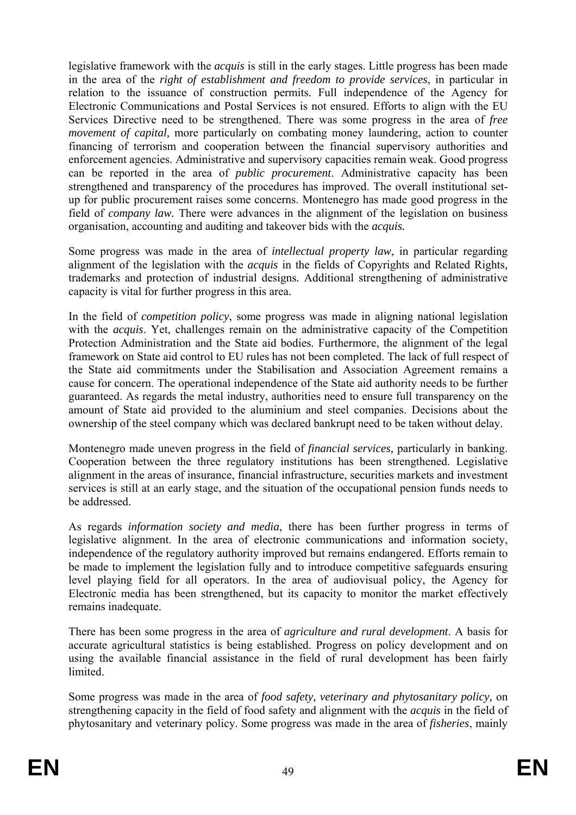legislative framework with the *acquis* is still in the early stages. Little progress has been made in the area of the *right of establishment and freedom to provide services*, in particular in relation to the issuance of construction permits. Full independence of the Agency for Electronic Communications and Postal Services is not ensured. Efforts to align with the EU Services Directive need to be strengthened. There was some progress in the area of *free movement of capital,* more particularly on combating money laundering, action to counter financing of terrorism and cooperation between the financial supervisory authorities and enforcement agencies. Administrative and supervisory capacities remain weak. Good progress can be reported in the area of *public procurement*. Administrative capacity has been strengthened and transparency of the procedures has improved. The overall institutional setup for public procurement raises some concerns. Montenegro has made good progress in the field of *company law.* There were advances in the alignment of the legislation on business organisation, accounting and auditing and takeover bids with the *acquis.*

Some progress was made in the area of *intellectual property law*, in particular regarding alignment of the legislation with the *acquis* in the fields of Copyrights and Related Rights*,*  trademarks and protection of industrial designs*.* Additional strengthening of administrative capacity is vital for further progress in this area.

In the field of *competition policy*, some progress was made in aligning national legislation with the *acquis*. Yet, challenges remain on the administrative capacity of the Competition Protection Administration and the State aid bodies. Furthermore, the alignment of the legal framework on State aid control to EU rules has not been completed. The lack of full respect of the State aid commitments under the Stabilisation and Association Agreement remains a cause for concern. The operational independence of the State aid authority needs to be further guaranteed. As regards the metal industry, authorities need to ensure full transparency on the amount of State aid provided to the aluminium and steel companies. Decisions about the ownership of the steel company which was declared bankrupt need to be taken without delay.

Montenegro made uneven progress in the field of *financial services,* particularly in banking. Cooperation between the three regulatory institutions has been strengthened. Legislative alignment in the areas of insurance, financial infrastructure, securities markets and investment services is still at an early stage, and the situation of the occupational pension funds needs to be addressed.

As regards *information society and media*, there has been further progress in terms of legislative alignment. In the area of electronic communications and information society, independence of the regulatory authority improved but remains endangered. Efforts remain to be made to implement the legislation fully and to introduce competitive safeguards ensuring level playing field for all operators. In the area of audiovisual policy, the Agency for Electronic media has been strengthened, but its capacity to monitor the market effectively remains inadequate.

There has been some progress in the area of *agriculture and rural development*. A basis for accurate agricultural statistics is being established. Progress on policy development and on using the available financial assistance in the field of rural development has been fairly **limited** 

Some progress was made in the area of *food safety, veterinary and phytosanitary policy,* on strengthening capacity in the field of food safety and alignment with the *acquis* in the field of phytosanitary and veterinary policy. Some progress was made in the area of *fisheries*, mainly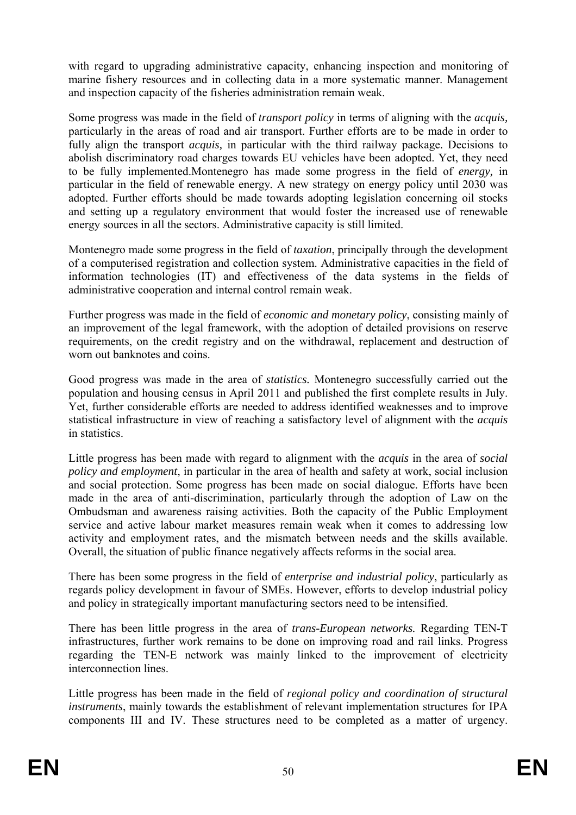with regard to upgrading administrative capacity, enhancing inspection and monitoring of marine fishery resources and in collecting data in a more systematic manner. Management and inspection capacity of the fisheries administration remain weak.

Some progress was made in the field of *transport policy* in terms of aligning with the *acquis,*  particularly in the areas of road and air transport. Further efforts are to be made in order to fully align the transport *acquis,* in particular with the third railway package. Decisions to abolish discriminatory road charges towards EU vehicles have been adopted. Yet, they need to be fully implemented.Montenegro has made some progress in the field of *energy,* in particular in the field of renewable energy*.* A new strategy on energy policy until 2030 was adopted. Further efforts should be made towards adopting legislation concerning oil stocks and setting up a regulatory environment that would foster the increased use of renewable energy sources in all the sectors. Administrative capacity is still limited.

Montenegro made some progress in the field of *taxation*, principally through the development of a computerised registration and collection system. Administrative capacities in the field of information technologies (IT) and effectiveness of the data systems in the fields of administrative cooperation and internal control remain weak.

Further progress was made in the field of *economic and monetary policy*, consisting mainly of an improvement of the legal framework, with the adoption of detailed provisions on reserve requirements, on the credit registry and on the withdrawal, replacement and destruction of worn out banknotes and coins.

Good progress was made in the area of *statistics.* Montenegro successfully carried out the population and housing census in April 2011 and published the first complete results in July. Yet, further considerable efforts are needed to address identified weaknesses and to improve statistical infrastructure in view of reaching a satisfactory level of alignment with the *acquis* in statistics.

Little progress has been made with regard to alignment with the *acquis* in the area of *social policy and employment*, in particular in the area of health and safety at work, social inclusion and social protection. Some progress has been made on social dialogue. Efforts have been made in the area of anti-discrimination, particularly through the adoption of Law on the Ombudsman and awareness raising activities. Both the capacity of the Public Employment service and active labour market measures remain weak when it comes to addressing low activity and employment rates, and the mismatch between needs and the skills available. Overall, the situation of public finance negatively affects reforms in the social area.

There has been some progress in the field of *enterprise and industrial policy*, particularly as regards policy development in favour of SMEs. However, efforts to develop industrial policy and policy in strategically important manufacturing sectors need to be intensified.

There has been little progress in the area of *trans-European networks.* Regarding TEN-T infrastructures, further work remains to be done on improving road and rail links. Progress regarding the TEN-E network was mainly linked to the improvement of electricity interconnection lines.

Little progress has been made in the field of *regional policy and coordination of structural instruments*, mainly towards the establishment of relevant implementation structures for IPA components III and IV. These structures need to be completed as a matter of urgency.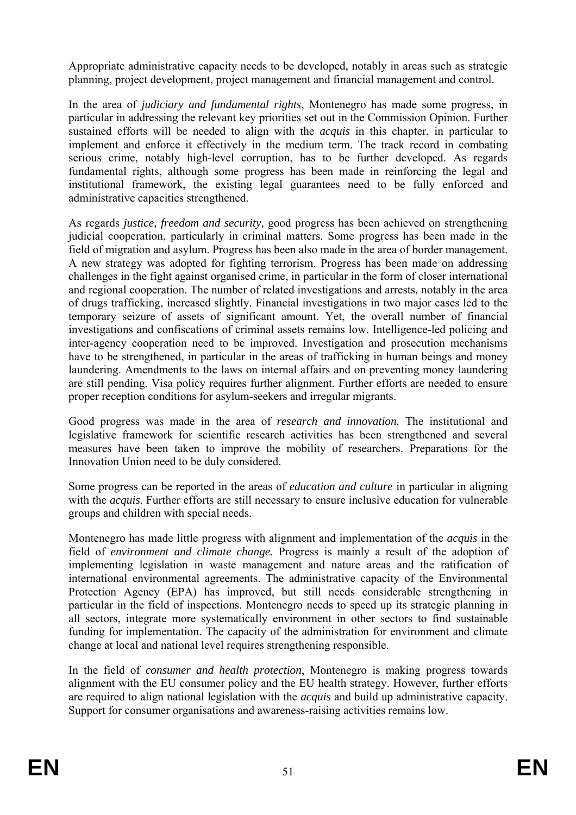Appropriate administrative capacity needs to be developed, notably in areas such as strategic planning, project development, project management and financial management and control.

In the area of *judiciary and fundamental rights*, Montenegro has made some progress, in particular in addressing the relevant key priorities set out in the Commission Opinion. Further sustained efforts will be needed to align with the *acquis* in this chapter, in particular to implement and enforce it effectively in the medium term. The track record in combating serious crime, notably high-level corruption, has to be further developed. As regards fundamental rights, although some progress has been made in reinforcing the legal and institutional framework, the existing legal guarantees need to be fully enforced and administrative capacities strengthened.

As regards *justice, freedom and security,* good progress has been achieved on strengthening judicial cooperation, particularly in criminal matters. Some progress has been made in the field of migration and asylum. Progress has been also made in the area of border management. A new strategy was adopted for fighting terrorism. Progress has been made on addressing challenges in the fight against organised crime, in particular in the form of closer international and regional cooperation. The number of related investigations and arrests, notably in the area of drugs trafficking, increased slightly. Financial investigations in two major cases led to the temporary seizure of assets of significant amount. Yet, the overall number of financial investigations and confiscations of criminal assets remains low. Intelligence-led policing and inter-agency cooperation need to be improved. Investigation and prosecution mechanisms have to be strengthened, in particular in the areas of trafficking in human beings and money laundering. Amendments to the laws on internal affairs and on preventing money laundering are still pending. Visa policy requires further alignment. Further efforts are needed to ensure proper reception conditions for asylum-seekers and irregular migrants.

Good progress was made in the area of *research and innovation.* The institutional and legislative framework for scientific research activities has been strengthened and several measures have been taken to improve the mobility of researchers. Preparations for the Innovation Union need to be duly considered.

Some progress can be reported in the areas of *education and culture* in particular in aligning with the *acquis*. Further efforts are still necessary to ensure inclusive education for vulnerable groups and children with special needs.

Montenegro has made little progress with alignment and implementation of the *acquis* in the field of *environment and climate change.* Progress is mainly a result of the adoption of implementing legislation in waste management and nature areas and the ratification of international environmental agreements. The administrative capacity of the Environmental Protection Agency (EPA) has improved, but still needs considerable strengthening in particular in the field of inspections. Montenegro needs to speed up its strategic planning in all sectors, integrate more systematically environment in other sectors to find sustainable funding for implementation. The capacity of the administration for environment and climate change at local and national level requires strengthening responsible.

In the field of *consumer and health protection*, Montenegro is making progress towards alignment with the EU consumer policy and the EU health strategy. However, further efforts are required to align national legislation with the *acquis* and build up administrative capacity. Support for consumer organisations and awareness-raising activities remains low.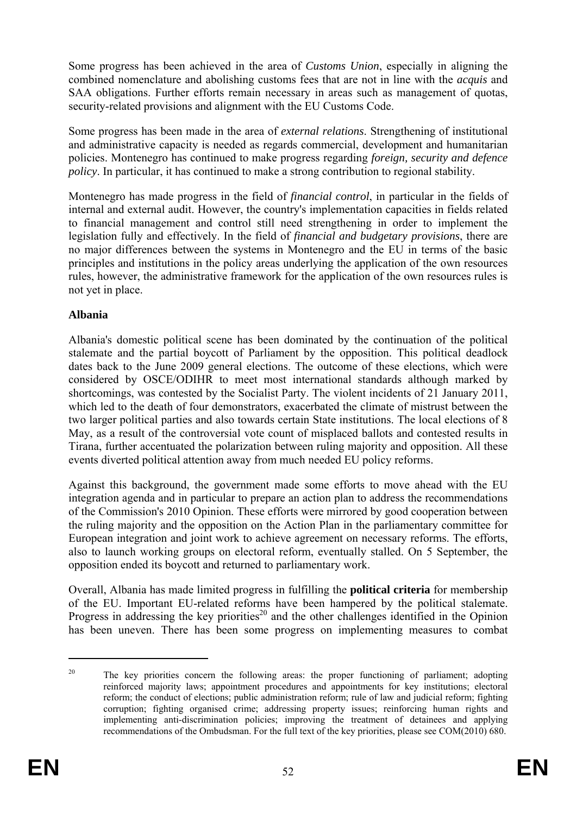Some progress has been achieved in the area of *Customs Union*, especially in aligning the combined nomenclature and abolishing customs fees that are not in line with the *acquis* and SAA obligations. Further efforts remain necessary in areas such as management of quotas, security-related provisions and alignment with the EU Customs Code.

Some progress has been made in the area of *external relations*. Strengthening of institutional and administrative capacity is needed as regards commercial, development and humanitarian policies. Montenegro has continued to make progress regarding *foreign, security and defence policy*. In particular, it has continued to make a strong contribution to regional stability.

Montenegro has made progress in the field of *financial control*, in particular in the fields of internal and external audit. However, the country's implementation capacities in fields related to financial management and control still need strengthening in order to implement the legislation fully and effectively. In the field of *financial and budgetary provisions*, there are no major differences between the systems in Montenegro and the EU in terms of the basic principles and institutions in the policy areas underlying the application of the own resources rules, however, the administrative framework for the application of the own resources rules is not yet in place.

### **Albania**

Albania's domestic political scene has been dominated by the continuation of the political stalemate and the partial boycott of Parliament by the opposition. This political deadlock dates back to the June 2009 general elections. The outcome of these elections, which were considered by OSCE/ODIHR to meet most international standards although marked by shortcomings, was contested by the Socialist Party. The violent incidents of 21 January 2011, which led to the death of four demonstrators, exacerbated the climate of mistrust between the two larger political parties and also towards certain State institutions. The local elections of 8 May, as a result of the controversial vote count of misplaced ballots and contested results in Tirana, further accentuated the polarization between ruling majority and opposition. All these events diverted political attention away from much needed EU policy reforms.

Against this background, the government made some efforts to move ahead with the EU integration agenda and in particular to prepare an action plan to address the recommendations of the Commission's 2010 Opinion. These efforts were mirrored by good cooperation between the ruling majority and the opposition on the Action Plan in the parliamentary committee for European integration and joint work to achieve agreement on necessary reforms. The efforts, also to launch working groups on electoral reform, eventually stalled. On 5 September, the opposition ended its boycott and returned to parliamentary work.

Overall, Albania has made limited progress in fulfilling the **political criteria** for membership of the EU. Important EU-related reforms have been hampered by the political stalemate. Progress in addressing the key priorities<sup>20</sup> and the other challenges identified in the Opinion has been uneven. There has been some progress on implementing measures to combat

1

<sup>&</sup>lt;sup>20</sup> The key priorities concern the following areas: the proper functioning of parliament; adopting reinforced majority laws; appointment procedures and appointments for key institutions; electoral reform; the conduct of elections; public administration reform; rule of law and judicial reform; fighting corruption; fighting organised crime; addressing property issues; reinforcing human rights and implementing anti-discrimination policies; improving the treatment of detainees and applying recommendations of the Ombudsman. For the full text of the key priorities, please see COM(2010) 680.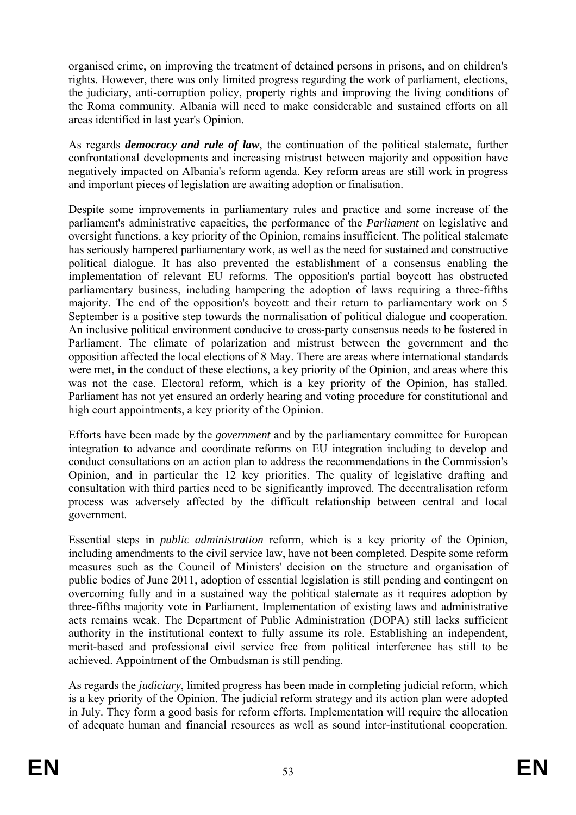organised crime, on improving the treatment of detained persons in prisons, and on children's rights. However, there was only limited progress regarding the work of parliament, elections, the judiciary, anti-corruption policy, property rights and improving the living conditions of the Roma community. Albania will need to make considerable and sustained efforts on all areas identified in last year's Opinion.

As regards *democracy and rule of law*, the continuation of the political stalemate, further confrontational developments and increasing mistrust between majority and opposition have negatively impacted on Albania's reform agenda. Key reform areas are still work in progress and important pieces of legislation are awaiting adoption or finalisation.

Despite some improvements in parliamentary rules and practice and some increase of the parliament's administrative capacities, the performance of the *Parliament* on legislative and oversight functions, a key priority of the Opinion, remains insufficient. The political stalemate has seriously hampered parliamentary work, as well as the need for sustained and constructive political dialogue. It has also prevented the establishment of a consensus enabling the implementation of relevant EU reforms. The opposition's partial boycott has obstructed parliamentary business, including hampering the adoption of laws requiring a three-fifths majority. The end of the opposition's boycott and their return to parliamentary work on 5 September is a positive step towards the normalisation of political dialogue and cooperation. An inclusive political environment conducive to cross-party consensus needs to be fostered in Parliament. The climate of polarization and mistrust between the government and the opposition affected the local elections of 8 May. There are areas where international standards were met, in the conduct of these elections, a key priority of the Opinion, and areas where this was not the case. Electoral reform, which is a key priority of the Opinion, has stalled. Parliament has not yet ensured an orderly hearing and voting procedure for constitutional and high court appointments, a key priority of the Opinion.

Efforts have been made by the *government* and by the parliamentary committee for European integration to advance and coordinate reforms on EU integration including to develop and conduct consultations on an action plan to address the recommendations in the Commission's Opinion, and in particular the 12 key priorities. The quality of legislative drafting and consultation with third parties need to be significantly improved. The decentralisation reform process was adversely affected by the difficult relationship between central and local government.

Essential steps in *public administration* reform, which is a key priority of the Opinion, including amendments to the civil service law, have not been completed. Despite some reform measures such as the Council of Ministers' decision on the structure and organisation of public bodies of June 2011, adoption of essential legislation is still pending and contingent on overcoming fully and in a sustained way the political stalemate as it requires adoption by three-fifths majority vote in Parliament. Implementation of existing laws and administrative acts remains weak. The Department of Public Administration (DOPA) still lacks sufficient authority in the institutional context to fully assume its role. Establishing an independent, merit-based and professional civil service free from political interference has still to be achieved. Appointment of the Ombudsman is still pending.

As regards the *judiciary*, limited progress has been made in completing judicial reform, which is a key priority of the Opinion. The judicial reform strategy and its action plan were adopted in July. They form a good basis for reform efforts. Implementation will require the allocation of adequate human and financial resources as well as sound inter-institutional cooperation.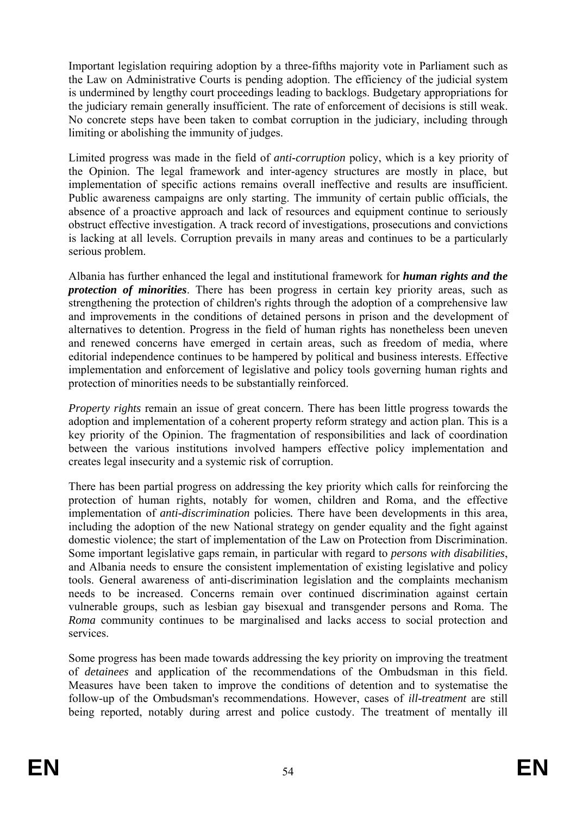Important legislation requiring adoption by a three-fifths majority vote in Parliament such as the Law on Administrative Courts is pending adoption. The efficiency of the judicial system is undermined by lengthy court proceedings leading to backlogs. Budgetary appropriations for the judiciary remain generally insufficient. The rate of enforcement of decisions is still weak. No concrete steps have been taken to combat corruption in the judiciary, including through limiting or abolishing the immunity of judges.

Limited progress was made in the field of *anti-corruption* policy, which is a key priority of the Opinion. The legal framework and inter-agency structures are mostly in place, but implementation of specific actions remains overall ineffective and results are insufficient. Public awareness campaigns are only starting. The immunity of certain public officials, the absence of a proactive approach and lack of resources and equipment continue to seriously obstruct effective investigation. A track record of investigations, prosecutions and convictions is lacking at all levels. Corruption prevails in many areas and continues to be a particularly serious problem.

Albania has further enhanced the legal and institutional framework for *human rights and the protection of minorities*. There has been progress in certain key priority areas, such as strengthening the protection of children's rights through the adoption of a comprehensive law and improvements in the conditions of detained persons in prison and the development of alternatives to detention. Progress in the field of human rights has nonetheless been uneven and renewed concerns have emerged in certain areas, such as freedom of media, where editorial independence continues to be hampered by political and business interests. Effective implementation and enforcement of legislative and policy tools governing human rights and protection of minorities needs to be substantially reinforced.

*Property rights* remain an issue of great concern. There has been little progress towards the adoption and implementation of a coherent property reform strategy and action plan. This is a key priority of the Opinion. The fragmentation of responsibilities and lack of coordination between the various institutions involved hampers effective policy implementation and creates legal insecurity and a systemic risk of corruption.

There has been partial progress on addressing the key priority which calls for reinforcing the protection of human rights, notably for women, children and Roma, and the effective implementation of *anti-discrimination* policies*.* There have been developments in this area, including the adoption of the new National strategy on gender equality and the fight against domestic violence; the start of implementation of the Law on Protection from Discrimination. Some important legislative gaps remain, in particular with regard to *persons with disabilities*, and Albania needs to ensure the consistent implementation of existing legislative and policy tools. General awareness of anti-discrimination legislation and the complaints mechanism needs to be increased. Concerns remain over continued discrimination against certain vulnerable groups, such as lesbian gay bisexual and transgender persons and Roma. The *Roma* community continues to be marginalised and lacks access to social protection and services.

Some progress has been made towards addressing the key priority on improving the treatment of *detainees* and application of the recommendations of the Ombudsman in this field. Measures have been taken to improve the conditions of detention and to systematise the follow-up of the Ombudsman's recommendations. However, cases of *ill-treatment* are still being reported, notably during arrest and police custody. The treatment of mentally ill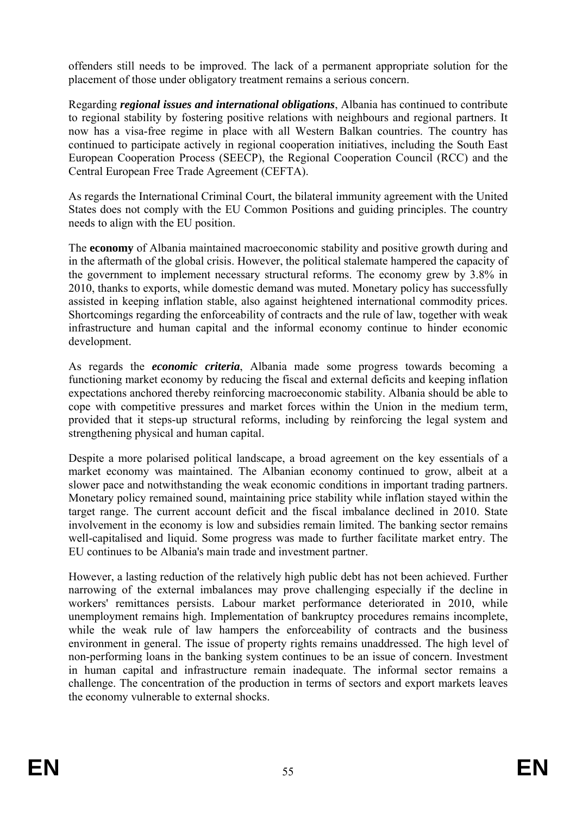offenders still needs to be improved. The lack of a permanent appropriate solution for the placement of those under obligatory treatment remains a serious concern.

Regarding *regional issues and international obligations*, Albania has continued to contribute to regional stability by fostering positive relations with neighbours and regional partners. It now has a visa-free regime in place with all Western Balkan countries. The country has continued to participate actively in regional cooperation initiatives, including the South East European Cooperation Process (SEECP), the Regional Cooperation Council (RCC) and the Central European Free Trade Agreement (CEFTA).

As regards the International Criminal Court, the bilateral immunity agreement with the United States does not comply with the EU Common Positions and guiding principles. The country needs to align with the EU position.

The **economy** of Albania maintained macroeconomic stability and positive growth during and in the aftermath of the global crisis. However, the political stalemate hampered the capacity of the government to implement necessary structural reforms. The economy grew by 3.8% in 2010, thanks to exports, while domestic demand was muted. Monetary policy has successfully assisted in keeping inflation stable, also against heightened international commodity prices. Shortcomings regarding the enforceability of contracts and the rule of law, together with weak infrastructure and human capital and the informal economy continue to hinder economic development.

As regards the *economic criteria*, Albania made some progress towards becoming a functioning market economy by reducing the fiscal and external deficits and keeping inflation expectations anchored thereby reinforcing macroeconomic stability. Albania should be able to cope with competitive pressures and market forces within the Union in the medium term, provided that it steps-up structural reforms, including by reinforcing the legal system and strengthening physical and human capital.

Despite a more polarised political landscape, a broad agreement on the key essentials of a market economy was maintained. The Albanian economy continued to grow, albeit at a slower pace and notwithstanding the weak economic conditions in important trading partners. Monetary policy remained sound, maintaining price stability while inflation stayed within the target range. The current account deficit and the fiscal imbalance declined in 2010. State involvement in the economy is low and subsidies remain limited. The banking sector remains well-capitalised and liquid. Some progress was made to further facilitate market entry. The EU continues to be Albania's main trade and investment partner.

However, a lasting reduction of the relatively high public debt has not been achieved. Further narrowing of the external imbalances may prove challenging especially if the decline in workers' remittances persists. Labour market performance deteriorated in 2010, while unemployment remains high. Implementation of bankruptcy procedures remains incomplete, while the weak rule of law hampers the enforceability of contracts and the business environment in general. The issue of property rights remains unaddressed. The high level of non-performing loans in the banking system continues to be an issue of concern. Investment in human capital and infrastructure remain inadequate. The informal sector remains a challenge. The concentration of the production in terms of sectors and export markets leaves the economy vulnerable to external shocks.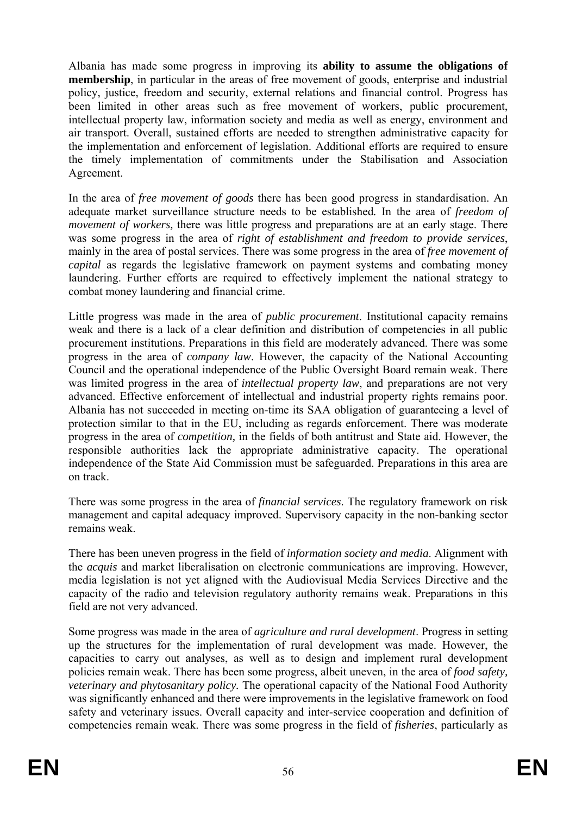Albania has made some progress in improving its **ability to assume the obligations of membership**, in particular in the areas of free movement of goods, enterprise and industrial policy, justice, freedom and security, external relations and financial control. Progress has been limited in other areas such as free movement of workers, public procurement, intellectual property law, information society and media as well as energy, environment and air transport. Overall, sustained efforts are needed to strengthen administrative capacity for the implementation and enforcement of legislation. Additional efforts are required to ensure the timely implementation of commitments under the Stabilisation and Association Agreement.

In the area of *free movement of goods* there has been good progress in standardisation. An adequate market surveillance structure needs to be established*.* In the area of *freedom of movement of workers,* there was little progress and preparations are at an early stage. There was some progress in the area of *right of establishment and freedom to provide services*, mainly in the area of postal services. There was some progress in the area of *free movement of capital* as regards the legislative framework on payment systems and combating money laundering. Further efforts are required to effectively implement the national strategy to combat money laundering and financial crime.

Little progress was made in the area of *public procurement*. Institutional capacity remains weak and there is a lack of a clear definition and distribution of competencies in all public procurement institutions. Preparations in this field are moderately advanced. There was some progress in the area of *company law*. However, the capacity of the National Accounting Council and the operational independence of the Public Oversight Board remain weak. There was limited progress in the area of *intellectual property law*, and preparations are not very advanced. Effective enforcement of intellectual and industrial property rights remains poor. Albania has not succeeded in meeting on-time its SAA obligation of guaranteeing a level of protection similar to that in the EU, including as regards enforcement. There was moderate progress in the area of *competition,* in the fields of both antitrust and State aid. However, the responsible authorities lack the appropriate administrative capacity. The operational independence of the State Aid Commission must be safeguarded. Preparations in this area are on track.

There was some progress in the area of *financial services*. The regulatory framework on risk management and capital adequacy improved. Supervisory capacity in the non-banking sector remains weak.

There has been uneven progress in the field of *information society and media*. Alignment with the *acquis* and market liberalisation on electronic communications are improving. However, media legislation is not yet aligned with the Audiovisual Media Services Directive and the capacity of the radio and television regulatory authority remains weak. Preparations in this field are not very advanced.

Some progress was made in the area of *agriculture and rural development*. Progress in setting up the structures for the implementation of rural development was made. However, the capacities to carry out analyses, as well as to design and implement rural development policies remain weak. There has been some progress, albeit uneven, in the area of *food safety, veterinary and phytosanitary policy.* The operational capacity of the National Food Authority was significantly enhanced and there were improvements in the legislative framework on food safety and veterinary issues. Overall capacity and inter-service cooperation and definition of competencies remain weak. There was some progress in the field of *fisheries*, particularly as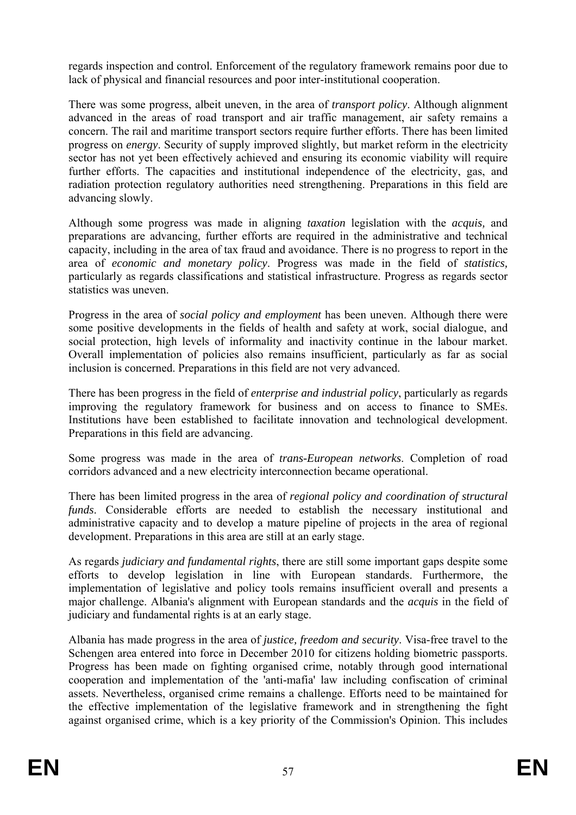regards inspection and control*.* Enforcement of the regulatory framework remains poor due to lack of physical and financial resources and poor inter-institutional cooperation.

There was some progress, albeit uneven, in the area of *transport policy*. Although alignment advanced in the areas of road transport and air traffic management, air safety remains a concern. The rail and maritime transport sectors require further efforts. There has been limited progress on *energy*. Security of supply improved slightly, but market reform in the electricity sector has not yet been effectively achieved and ensuring its economic viability will require further efforts. The capacities and institutional independence of the electricity, gas, and radiation protection regulatory authorities need strengthening. Preparations in this field are advancing slowly.

Although some progress was made in aligning *taxation* legislation with the *acquis,* and preparations are advancing, further efforts are required in the administrative and technical capacity, including in the area of tax fraud and avoidance. There is no progress to report in the area of *economic and monetary policy*. Progress was made in the field of *statistics,*  particularly as regards classifications and statistical infrastructure. Progress as regards sector statistics was uneven.

Progress in the area of *social policy and employment* has been uneven. Although there were some positive developments in the fields of health and safety at work, social dialogue, and social protection, high levels of informality and inactivity continue in the labour market. Overall implementation of policies also remains insufficient, particularly as far as social inclusion is concerned. Preparations in this field are not very advanced.

There has been progress in the field of *enterprise and industrial policy*, particularly as regards improving the regulatory framework for business and on access to finance to SMEs. Institutions have been established to facilitate innovation and technological development. Preparations in this field are advancing.

Some progress was made in the area of *trans-European networks*. Completion of road corridors advanced and a new electricity interconnection became operational.

There has been limited progress in the area of *regional policy and coordination of structural funds*. Considerable efforts are needed to establish the necessary institutional and administrative capacity and to develop a mature pipeline of projects in the area of regional development. Preparations in this area are still at an early stage.

As regards *judiciary and fundamental rights*, there are still some important gaps despite some efforts to develop legislation in line with European standards. Furthermore, the implementation of legislative and policy tools remains insufficient overall and presents a major challenge. Albania's alignment with European standards and the *acquis* in the field of judiciary and fundamental rights is at an early stage.

Albania has made progress in the area of *justice, freedom and security*. Visa-free travel to the Schengen area entered into force in December 2010 for citizens holding biometric passports. Progress has been made on fighting organised crime, notably through good international cooperation and implementation of the 'anti-mafia' law including confiscation of criminal assets. Nevertheless, organised crime remains a challenge. Efforts need to be maintained for the effective implementation of the legislative framework and in strengthening the fight against organised crime, which is a key priority of the Commission's Opinion. This includes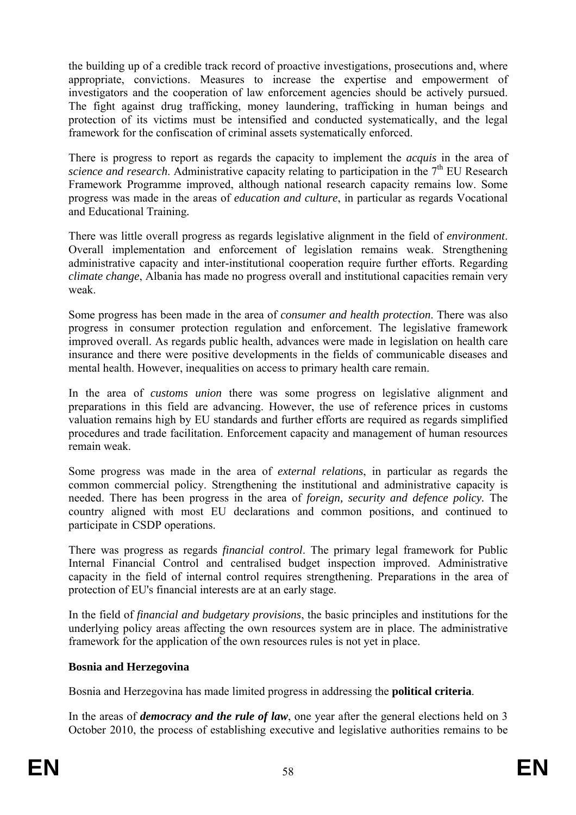the building up of a credible track record of proactive investigations, prosecutions and, where appropriate, convictions. Measures to increase the expertise and empowerment of investigators and the cooperation of law enforcement agencies should be actively pursued. The fight against drug trafficking, money laundering, trafficking in human beings and protection of its victims must be intensified and conducted systematically, and the legal framework for the confiscation of criminal assets systematically enforced.

There is progress to report as regards the capacity to implement the *acquis* in the area of *science and research*. Administrative capacity relating to participation in the 7<sup>th</sup> EU Research Framework Programme improved, although national research capacity remains low. Some progress was made in the areas of *education and culture*, in particular as regards Vocational and Educational Training*.* 

There was little overall progress as regards legislative alignment in the field of *environment*. Overall implementation and enforcement of legislation remains weak. Strengthening administrative capacity and inter-institutional cooperation require further efforts. Regarding *climate change*, Albania has made no progress overall and institutional capacities remain very weak.

Some progress has been made in the area of *consumer and health protection*. There was also progress in consumer protection regulation and enforcement. The legislative framework improved overall. As regards public health, advances were made in legislation on health care insurance and there were positive developments in the fields of communicable diseases and mental health. However, inequalities on access to primary health care remain.

In the area of *customs union* there was some progress on legislative alignment and preparations in this field are advancing. However, the use of reference prices in customs valuation remains high by EU standards and further efforts are required as regards simplified procedures and trade facilitation. Enforcement capacity and management of human resources remain weak.

Some progress was made in the area of *external relations*, in particular as regards the common commercial policy. Strengthening the institutional and administrative capacity is needed. There has been progress in the area of *foreign, security and defence policy.* The country aligned with most EU declarations and common positions, and continued to participate in CSDP operations.

There was progress as regards *financial control*. The primary legal framework for Public Internal Financial Control and centralised budget inspection improved. Administrative capacity in the field of internal control requires strengthening. Preparations in the area of protection of EU's financial interests are at an early stage.

In the field of *financial and budgetary provisions*, the basic principles and institutions for the underlying policy areas affecting the own resources system are in place. The administrative framework for the application of the own resources rules is not yet in place.

### **Bosnia and Herzegovina**

Bosnia and Herzegovina has made limited progress in addressing the **political criteria**.

In the areas of *democracy and the rule of law*, one year after the general elections held on 3 October 2010, the process of establishing executive and legislative authorities remains to be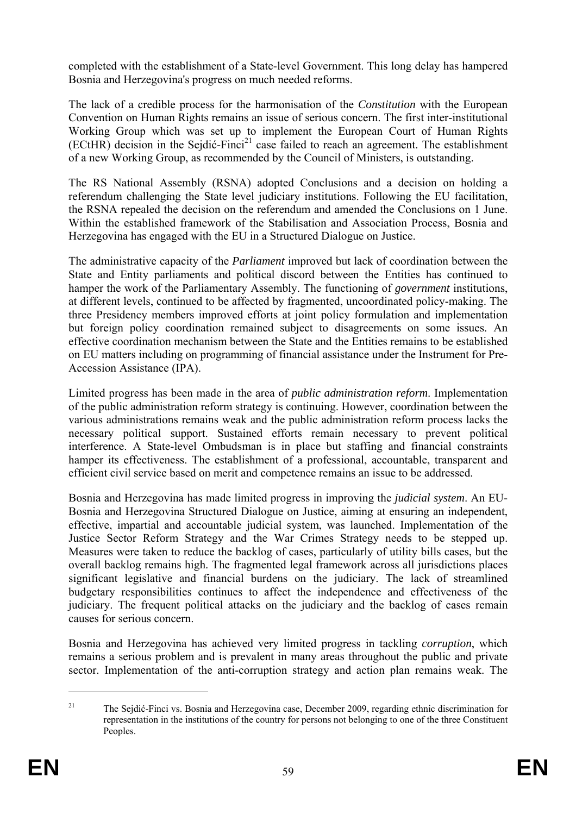completed with the establishment of a State-level Government. This long delay has hampered Bosnia and Herzegovina's progress on much needed reforms.

The lack of a credible process for the harmonisation of the *Constitution* with the European Convention on Human Rights remains an issue of serious concern. The first inter-institutional Working Group which was set up to implement the European Court of Human Rights  $(ECthR)$  decision in the Seidić-Finci<sup>21</sup> case failed to reach an agreement. The establishment of a new Working Group, as recommended by the Council of Ministers, is outstanding.

The RS National Assembly (RSNA) adopted Conclusions and a decision on holding a referendum challenging the State level judiciary institutions. Following the EU facilitation, the RSNA repealed the decision on the referendum and amended the Conclusions on 1 June. Within the established framework of the Stabilisation and Association Process, Bosnia and Herzegovina has engaged with the EU in a Structured Dialogue on Justice.

The administrative capacity of the *Parliament* improved but lack of coordination between the State and Entity parliaments and political discord between the Entities has continued to hamper the work of the Parliamentary Assembly. The functioning of *government* institutions, at different levels, continued to be affected by fragmented, uncoordinated policy-making. The three Presidency members improved efforts at joint policy formulation and implementation but foreign policy coordination remained subject to disagreements on some issues. An effective coordination mechanism between the State and the Entities remains to be established on EU matters including on programming of financial assistance under the Instrument for Pre-Accession Assistance (IPA).

Limited progress has been made in the area of *public administration reform*. Implementation of the public administration reform strategy is continuing. However, coordination between the various administrations remains weak and the public administration reform process lacks the necessary political support. Sustained efforts remain necessary to prevent political interference. A State-level Ombudsman is in place but staffing and financial constraints hamper its effectiveness. The establishment of a professional, accountable, transparent and efficient civil service based on merit and competence remains an issue to be addressed.

Bosnia and Herzegovina has made limited progress in improving the *judicial system*. An EU-Bosnia and Herzegovina Structured Dialogue on Justice, aiming at ensuring an independent, effective, impartial and accountable judicial system, was launched. Implementation of the Justice Sector Reform Strategy and the War Crimes Strategy needs to be stepped up. Measures were taken to reduce the backlog of cases, particularly of utility bills cases, but the overall backlog remains high. The fragmented legal framework across all jurisdictions places significant legislative and financial burdens on the judiciary. The lack of streamlined budgetary responsibilities continues to affect the independence and effectiveness of the judiciary. The frequent political attacks on the judiciary and the backlog of cases remain causes for serious concern.

Bosnia and Herzegovina has achieved very limited progress in tackling *corruption*, which remains a serious problem and is prevalent in many areas throughout the public and private sector. Implementation of the anti-corruption strategy and action plan remains weak. The

1

<sup>&</sup>lt;sup>21</sup> The Sejdić-Finci vs. Bosnia and Herzegovina case, December 2009, regarding ethnic discrimination for representation in the institutions of the country for persons not belonging to one of the three Constituent Peoples.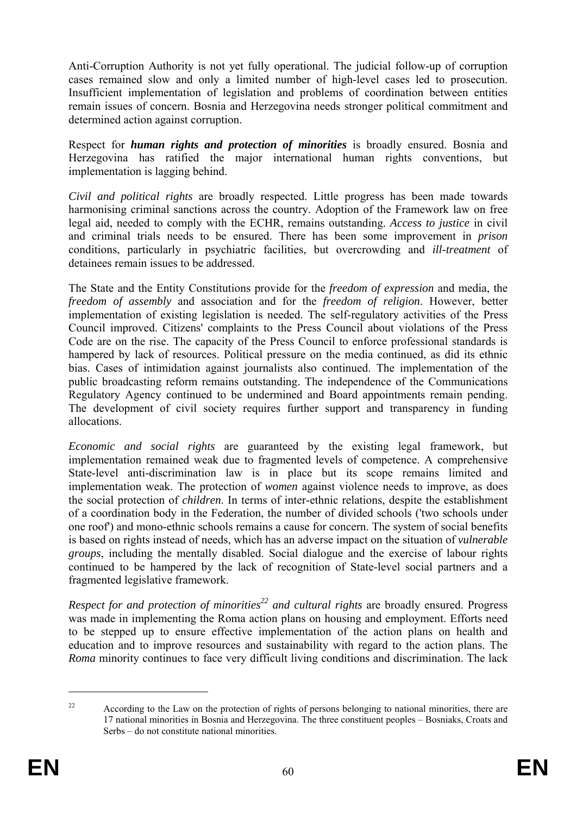Anti-Corruption Authority is not yet fully operational. The judicial follow-up of corruption cases remained slow and only a limited number of high-level cases led to prosecution. Insufficient implementation of legislation and problems of coordination between entities remain issues of concern. Bosnia and Herzegovina needs stronger political commitment and determined action against corruption.

Respect for *human rights and protection of minorities* is broadly ensured. Bosnia and Herzegovina has ratified the major international human rights conventions, but implementation is lagging behind.

*Civil and political rights* are broadly respected. Little progress has been made towards harmonising criminal sanctions across the country. Adoption of the Framework law on free legal aid, needed to comply with the ECHR, remains outstanding. *Access to justice* in civil and criminal trials needs to be ensured. There has been some improvement in *prison*  conditions, particularly in psychiatric facilities, but overcrowding and *ill-treatment* of detainees remain issues to be addressed.

The State and the Entity Constitutions provide for the *freedom of expression* and media, the *freedom of assembly* and association and for the *freedom of religion*. However, better implementation of existing legislation is needed. The self-regulatory activities of the Press Council improved. Citizens' complaints to the Press Council about violations of the Press Code are on the rise. The capacity of the Press Council to enforce professional standards is hampered by lack of resources. Political pressure on the media continued, as did its ethnic bias. Cases of intimidation against journalists also continued. The implementation of the public broadcasting reform remains outstanding. The independence of the Communications Regulatory Agency continued to be undermined and Board appointments remain pending. The development of civil society requires further support and transparency in funding allocations.

*Economic and social rights* are guaranteed by the existing legal framework, but implementation remained weak due to fragmented levels of competence. A comprehensive State-level anti-discrimination law is in place but its scope remains limited and implementation weak. The protection of *women* against violence needs to improve, as does the social protection of *children*. In terms of inter-ethnic relations, despite the establishment of a coordination body in the Federation, the number of divided schools ('two schools under one roof') and mono-ethnic schools remains a cause for concern. The system of social benefits is based on rights instead of needs, which has an adverse impact on the situation of *vulnerable groups*, including the mentally disabled. Social dialogue and the exercise of labour rights continued to be hampered by the lack of recognition of State-level social partners and a fragmented legislative framework.

*Respect for and protection of minorities*<sup>22</sup> and cultural rights are broadly ensured. Progress was made in implementing the Roma action plans on housing and employment. Efforts need to be stepped up to ensure effective implementation of the action plans on health and education and to improve resources and sustainability with regard to the action plans. The *Roma* minority continues to face very difficult living conditions and discrimination. The lack

1

<sup>&</sup>lt;sup>22</sup> According to the Law on the protection of rights of persons belonging to national minorities, there are 17 national minorities in Bosnia and Herzegovina. The three constituent peoples – Bosniaks, Croats and Serbs – do not constitute national minorities.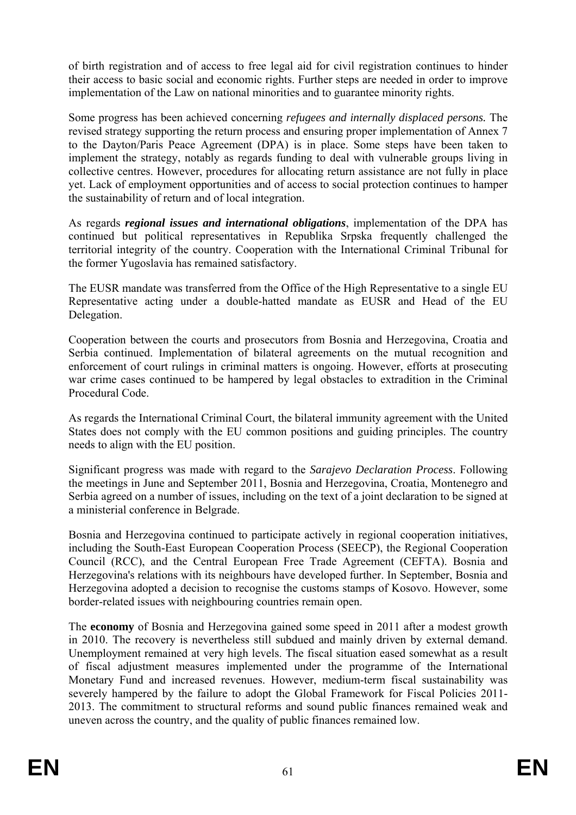of birth registration and of access to free legal aid for civil registration continues to hinder their access to basic social and economic rights. Further steps are needed in order to improve implementation of the Law on national minorities and to guarantee minority rights.

Some progress has been achieved concerning *refugees and internally displaced persons.* The revised strategy supporting the return process and ensuring proper implementation of Annex 7 to the Dayton/Paris Peace Agreement (DPA) is in place. Some steps have been taken to implement the strategy, notably as regards funding to deal with vulnerable groups living in collective centres. However, procedures for allocating return assistance are not fully in place yet. Lack of employment opportunities and of access to social protection continues to hamper the sustainability of return and of local integration.

As regards *regional issues and international obligations*, implementation of the DPA has continued but political representatives in Republika Srpska frequently challenged the territorial integrity of the country. Cooperation with the International Criminal Tribunal for the former Yugoslavia has remained satisfactory.

The EUSR mandate was transferred from the Office of the High Representative to a single EU Representative acting under a double-hatted mandate as EUSR and Head of the EU Delegation.

Cooperation between the courts and prosecutors from Bosnia and Herzegovina, Croatia and Serbia continued. Implementation of bilateral agreements on the mutual recognition and enforcement of court rulings in criminal matters is ongoing. However, efforts at prosecuting war crime cases continued to be hampered by legal obstacles to extradition in the Criminal Procedural Code.

As regards the International Criminal Court, the bilateral immunity agreement with the United States does not comply with the EU common positions and guiding principles. The country needs to align with the EU position.

Significant progress was made with regard to the *Sarajevo Declaration Process*. Following the meetings in June and September 2011, Bosnia and Herzegovina, Croatia, Montenegro and Serbia agreed on a number of issues, including on the text of a joint declaration to be signed at a ministerial conference in Belgrade.

Bosnia and Herzegovina continued to participate actively in regional cooperation initiatives, including the South-East European Cooperation Process (SEECP), the Regional Cooperation Council (RCC), and the Central European Free Trade Agreement (CEFTA). Bosnia and Herzegovina's relations with its neighbours have developed further. In September, Bosnia and Herzegovina adopted a decision to recognise the customs stamps of Kosovo. However, some border-related issues with neighbouring countries remain open.

The **economy** of Bosnia and Herzegovina gained some speed in 2011 after a modest growth in 2010. The recovery is nevertheless still subdued and mainly driven by external demand. Unemployment remained at very high levels. The fiscal situation eased somewhat as a result of fiscal adjustment measures implemented under the programme of the International Monetary Fund and increased revenues. However, medium-term fiscal sustainability was severely hampered by the failure to adopt the Global Framework for Fiscal Policies 2011- 2013. The commitment to structural reforms and sound public finances remained weak and uneven across the country, and the quality of public finances remained low.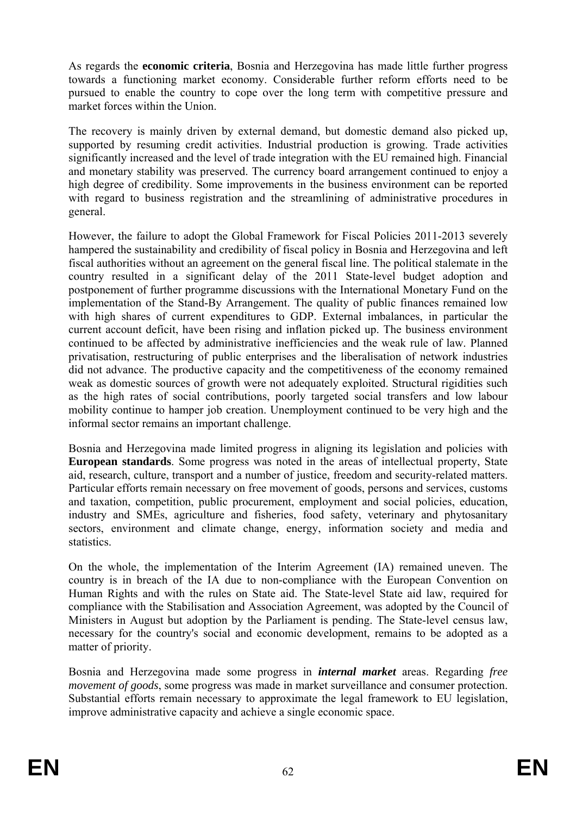As regards the **economic criteria**, Bosnia and Herzegovina has made little further progress towards a functioning market economy. Considerable further reform efforts need to be pursued to enable the country to cope over the long term with competitive pressure and market forces within the Union.

The recovery is mainly driven by external demand, but domestic demand also picked up, supported by resuming credit activities. Industrial production is growing. Trade activities significantly increased and the level of trade integration with the EU remained high. Financial and monetary stability was preserved. The currency board arrangement continued to enjoy a high degree of credibility. Some improvements in the business environment can be reported with regard to business registration and the streamlining of administrative procedures in general.

However, the failure to adopt the Global Framework for Fiscal Policies 2011-2013 severely hampered the sustainability and credibility of fiscal policy in Bosnia and Herzegovina and left fiscal authorities without an agreement on the general fiscal line. The political stalemate in the country resulted in a significant delay of the 2011 State-level budget adoption and postponement of further programme discussions with the International Monetary Fund on the implementation of the Stand-By Arrangement. The quality of public finances remained low with high shares of current expenditures to GDP. External imbalances, in particular the current account deficit, have been rising and inflation picked up. The business environment continued to be affected by administrative inefficiencies and the weak rule of law. Planned privatisation, restructuring of public enterprises and the liberalisation of network industries did not advance. The productive capacity and the competitiveness of the economy remained weak as domestic sources of growth were not adequately exploited. Structural rigidities such as the high rates of social contributions, poorly targeted social transfers and low labour mobility continue to hamper job creation. Unemployment continued to be very high and the informal sector remains an important challenge.

Bosnia and Herzegovina made limited progress in aligning its legislation and policies with **European standards**. Some progress was noted in the areas of intellectual property, State aid, research, culture, transport and a number of justice, freedom and security-related matters. Particular efforts remain necessary on free movement of goods, persons and services, customs and taxation, competition, public procurement, employment and social policies, education, industry and SMEs, agriculture and fisheries, food safety, veterinary and phytosanitary sectors, environment and climate change, energy, information society and media and statistics.

On the whole, the implementation of the Interim Agreement (IA) remained uneven. The country is in breach of the IA due to non-compliance with the European Convention on Human Rights and with the rules on State aid. The State-level State aid law, required for compliance with the Stabilisation and Association Agreement, was adopted by the Council of Ministers in August but adoption by the Parliament is pending. The State-level census law, necessary for the country's social and economic development, remains to be adopted as a matter of priority.

Bosnia and Herzegovina made some progress in *internal market* areas. Regarding *free movement of goods*, some progress was made in market surveillance and consumer protection. Substantial efforts remain necessary to approximate the legal framework to EU legislation, improve administrative capacity and achieve a single economic space.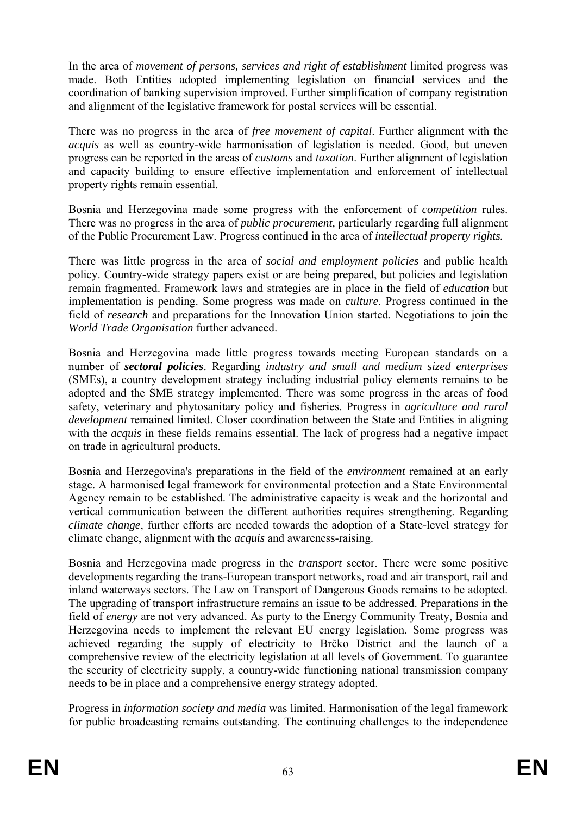In the area of *movement of persons, services and right of establishment* limited progress was made. Both Entities adopted implementing legislation on financial services and the coordination of banking supervision improved. Further simplification of company registration and alignment of the legislative framework for postal services will be essential.

There was no progress in the area of *free movement of capital*. Further alignment with the *acquis* as well as country-wide harmonisation of legislation is needed. Good, but uneven progress can be reported in the areas of *customs* and *taxation*. Further alignment of legislation and capacity building to ensure effective implementation and enforcement of intellectual property rights remain essential.

Bosnia and Herzegovina made some progress with the enforcement of *competition* rules. There was no progress in the area of *public procurement,* particularly regarding full alignment of the Public Procurement Law. Progress continued in the area of *intellectual property rights.*

There was little progress in the area of *social and employment policies* and public health policy. Country-wide strategy papers exist or are being prepared, but policies and legislation remain fragmented. Framework laws and strategies are in place in the field of *education* but implementation is pending. Some progress was made on *culture*. Progress continued in the field of *research* and preparations for the Innovation Union started. Negotiations to join the *World Trade Organisation* further advanced.

Bosnia and Herzegovina made little progress towards meeting European standards on a number of *sectoral policies*. Regarding *industry and small and medium sized enterprises* (SMEs), a country development strategy including industrial policy elements remains to be adopted and the SME strategy implemented. There was some progress in the areas of food safety, veterinary and phytosanitary policy and fisheries. Progress in *agriculture and rural development* remained limited. Closer coordination between the State and Entities in aligning with the *acquis* in these fields remains essential. The lack of progress had a negative impact on trade in agricultural products.

Bosnia and Herzegovina's preparations in the field of the *environment* remained at an early stage. A harmonised legal framework for environmental protection and a State Environmental Agency remain to be established. The administrative capacity is weak and the horizontal and vertical communication between the different authorities requires strengthening. Regarding *climate change*, further efforts are needed towards the adoption of a State-level strategy for climate change, alignment with the *acquis* and awareness-raising.

Bosnia and Herzegovina made progress in the *transport* sector. There were some positive developments regarding the trans-European transport networks, road and air transport, rail and inland waterways sectors. The Law on Transport of Dangerous Goods remains to be adopted. The upgrading of transport infrastructure remains an issue to be addressed. Preparations in the field of *energy* are not very advanced. As party to the Energy Community Treaty, Bosnia and Herzegovina needs to implement the relevant EU energy legislation. Some progress was achieved regarding the supply of electricity to Brčko District and the launch of a comprehensive review of the electricity legislation at all levels of Government. To guarantee the security of electricity supply, a country-wide functioning national transmission company needs to be in place and a comprehensive energy strategy adopted.

Progress in *information society and media* was limited. Harmonisation of the legal framework for public broadcasting remains outstanding. The continuing challenges to the independence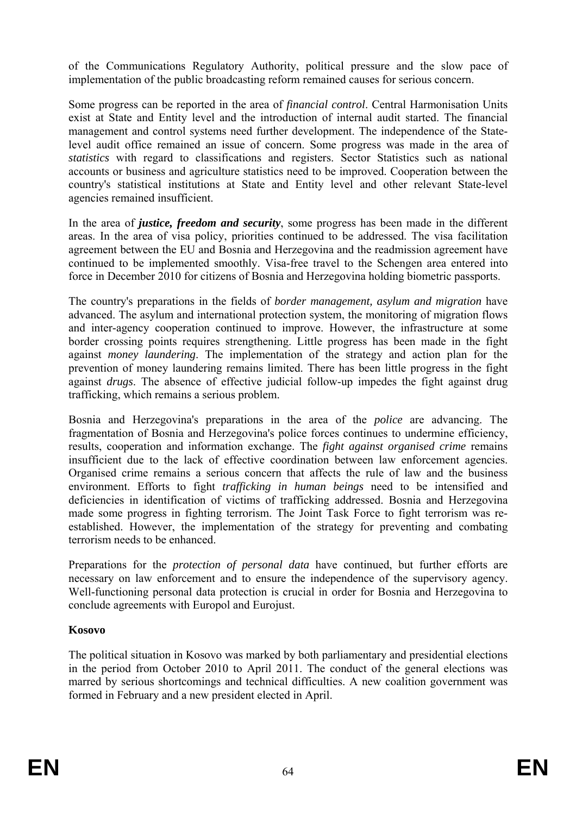of the Communications Regulatory Authority, political pressure and the slow pace of implementation of the public broadcasting reform remained causes for serious concern.

Some progress can be reported in the area of *financial control*. Central Harmonisation Units exist at State and Entity level and the introduction of internal audit started. The financial management and control systems need further development. The independence of the Statelevel audit office remained an issue of concern. Some progress was made in the area of *statistics* with regard to classifications and registers. Sector Statistics such as national accounts or business and agriculture statistics need to be improved. Cooperation between the country's statistical institutions at State and Entity level and other relevant State-level agencies remained insufficient.

In the area of *justice, freedom and security*, some progress has been made in the different areas. In the area of visa policy, priorities continued to be addressed. The visa facilitation agreement between the EU and Bosnia and Herzegovina and the readmission agreement have continued to be implemented smoothly. Visa-free travel to the Schengen area entered into force in December 2010 for citizens of Bosnia and Herzegovina holding biometric passports.

The country's preparations in the fields of *border management, asylum and migration* have advanced. The asylum and international protection system, the monitoring of migration flows and inter-agency cooperation continued to improve. However, the infrastructure at some border crossing points requires strengthening. Little progress has been made in the fight against *money laundering*. The implementation of the strategy and action plan for the prevention of money laundering remains limited. There has been little progress in the fight against *drugs*. The absence of effective judicial follow-up impedes the fight against drug trafficking, which remains a serious problem.

Bosnia and Herzegovina's preparations in the area of the *police* are advancing. The fragmentation of Bosnia and Herzegovina's police forces continues to undermine efficiency, results, cooperation and information exchange. The *fight against organised crime* remains insufficient due to the lack of effective coordination between law enforcement agencies. Organised crime remains a serious concern that affects the rule of law and the business environment. Efforts to fight *trafficking in human beings* need to be intensified and deficiencies in identification of victims of trafficking addressed. Bosnia and Herzegovina made some progress in fighting terrorism. The Joint Task Force to fight terrorism was reestablished. However, the implementation of the strategy for preventing and combating terrorism needs to be enhanced.

Preparations for the *protection of personal data* have continued, but further efforts are necessary on law enforcement and to ensure the independence of the supervisory agency. Well-functioning personal data protection is crucial in order for Bosnia and Herzegovina to conclude agreements with Europol and Eurojust.

# **Kosovo**

The political situation in Kosovo was marked by both parliamentary and presidential elections in the period from October 2010 to April 2011. The conduct of the general elections was marred by serious shortcomings and technical difficulties. A new coalition government was formed in February and a new president elected in April.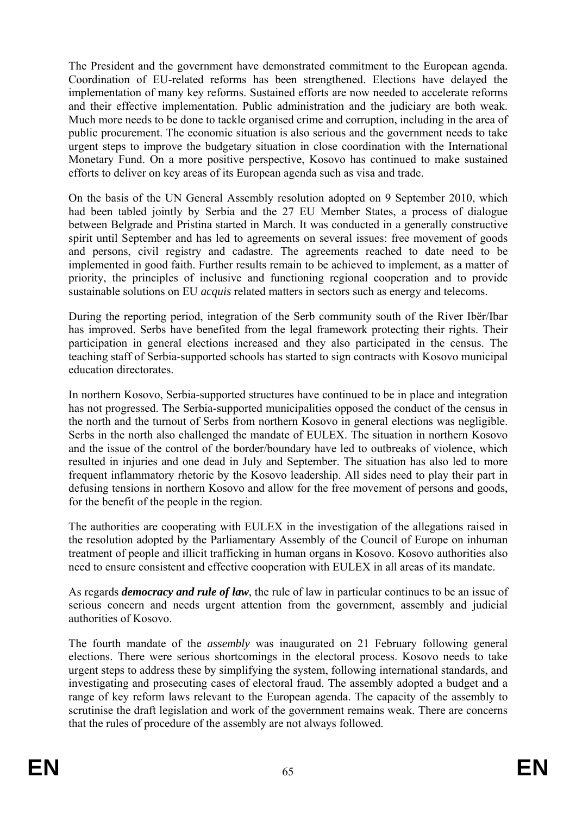The President and the government have demonstrated commitment to the European agenda. Coordination of EU-related reforms has been strengthened. Elections have delayed the implementation of many key reforms. Sustained efforts are now needed to accelerate reforms and their effective implementation. Public administration and the judiciary are both weak. Much more needs to be done to tackle organised crime and corruption, including in the area of public procurement. The economic situation is also serious and the government needs to take urgent steps to improve the budgetary situation in close coordination with the International Monetary Fund. On a more positive perspective, Kosovo has continued to make sustained efforts to deliver on key areas of its European agenda such as visa and trade.

On the basis of the UN General Assembly resolution adopted on 9 September 2010, which had been tabled jointly by Serbia and the 27 EU Member States, a process of dialogue between Belgrade and Pristina started in March. It was conducted in a generally constructive spirit until September and has led to agreements on several issues: free movement of goods and persons, civil registry and cadastre. The agreements reached to date need to be implemented in good faith. Further results remain to be achieved to implement, as a matter of priority, the principles of inclusive and functioning regional cooperation and to provide sustainable solutions on EU *acquis* related matters in sectors such as energy and telecoms.

During the reporting period, integration of the Serb community south of the River Ibër/Ibar has improved. Serbs have benefited from the legal framework protecting their rights. Their participation in general elections increased and they also participated in the census. The teaching staff of Serbia-supported schools has started to sign contracts with Kosovo municipal education directorates.

In northern Kosovo, Serbia-supported structures have continued to be in place and integration has not progressed. The Serbia-supported municipalities opposed the conduct of the census in the north and the turnout of Serbs from northern Kosovo in general elections was negligible. Serbs in the north also challenged the mandate of EULEX. The situation in northern Kosovo and the issue of the control of the border/boundary have led to outbreaks of violence, which resulted in injuries and one dead in July and September. The situation has also led to more frequent inflammatory rhetoric by the Kosovo leadership. All sides need to play their part in defusing tensions in northern Kosovo and allow for the free movement of persons and goods, for the benefit of the people in the region.

The authorities are cooperating with EULEX in the investigation of the allegations raised in the resolution adopted by the Parliamentary Assembly of the Council of Europe on inhuman treatment of people and illicit trafficking in human organs in Kosovo. Kosovo authorities also need to ensure consistent and effective cooperation with EULEX in all areas of its mandate.

As regards *democracy and rule of law*, the rule of law in particular continues to be an issue of serious concern and needs urgent attention from the government, assembly and judicial authorities of Kosovo.

The fourth mandate of the *assembly* was inaugurated on 21 February following general elections. There were serious shortcomings in the electoral process. Kosovo needs to take urgent steps to address these by simplifying the system, following international standards, and investigating and prosecuting cases of electoral fraud. The assembly adopted a budget and a range of key reform laws relevant to the European agenda. The capacity of the assembly to scrutinise the draft legislation and work of the government remains weak. There are concerns that the rules of procedure of the assembly are not always followed.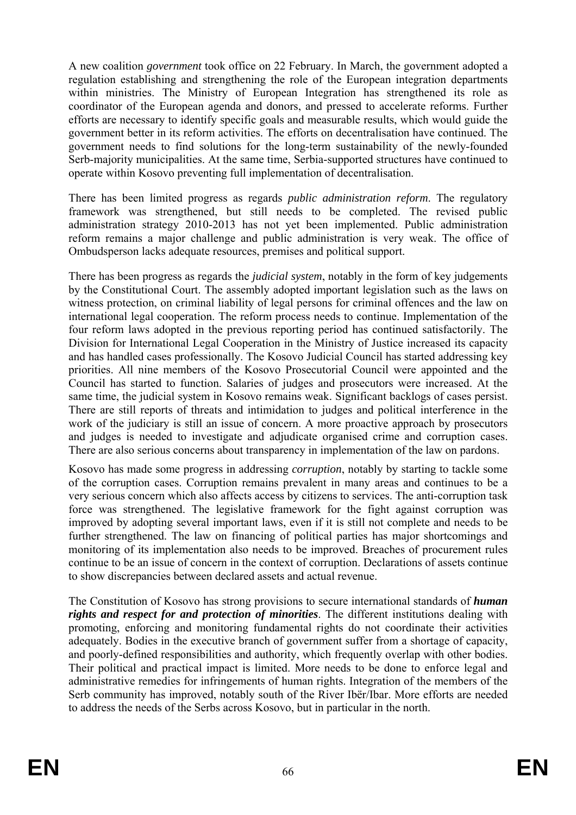A new coalition *government* took office on 22 February. In March, the government adopted a regulation establishing and strengthening the role of the European integration departments within ministries. The Ministry of European Integration has strengthened its role as coordinator of the European agenda and donors, and pressed to accelerate reforms. Further efforts are necessary to identify specific goals and measurable results, which would guide the government better in its reform activities. The efforts on decentralisation have continued. The government needs to find solutions for the long-term sustainability of the newly-founded Serb-majority municipalities. At the same time, Serbia-supported structures have continued to operate within Kosovo preventing full implementation of decentralisation.

There has been limited progress as regards *public administration reform*. The regulatory framework was strengthened, but still needs to be completed. The revised public administration strategy 2010-2013 has not yet been implemented. Public administration reform remains a major challenge and public administration is very weak. The office of Ombudsperson lacks adequate resources, premises and political support.

There has been progress as regards the *judicial system*, notably in the form of key judgements by the Constitutional Court. The assembly adopted important legislation such as the laws on witness protection, on criminal liability of legal persons for criminal offences and the law on international legal cooperation. The reform process needs to continue. Implementation of the four reform laws adopted in the previous reporting period has continued satisfactorily. The Division for International Legal Cooperation in the Ministry of Justice increased its capacity and has handled cases professionally. The Kosovo Judicial Council has started addressing key priorities. All nine members of the Kosovo Prosecutorial Council were appointed and the Council has started to function. Salaries of judges and prosecutors were increased. At the same time, the judicial system in Kosovo remains weak. Significant backlogs of cases persist. There are still reports of threats and intimidation to judges and political interference in the work of the judiciary is still an issue of concern. A more proactive approach by prosecutors and judges is needed to investigate and adjudicate organised crime and corruption cases. There are also serious concerns about transparency in implementation of the law on pardons.

Kosovo has made some progress in addressing *corruption*, notably by starting to tackle some of the corruption cases. Corruption remains prevalent in many areas and continues to be a very serious concern which also affects access by citizens to services. The anti-corruption task force was strengthened. The legislative framework for the fight against corruption was improved by adopting several important laws, even if it is still not complete and needs to be further strengthened. The law on financing of political parties has major shortcomings and monitoring of its implementation also needs to be improved. Breaches of procurement rules continue to be an issue of concern in the context of corruption. Declarations of assets continue to show discrepancies between declared assets and actual revenue.

The Constitution of Kosovo has strong provisions to secure international standards of *human rights and respect for and protection of minorities*. The different institutions dealing with promoting, enforcing and monitoring fundamental rights do not coordinate their activities adequately. Bodies in the executive branch of government suffer from a shortage of capacity, and poorly-defined responsibilities and authority, which frequently overlap with other bodies. Their political and practical impact is limited. More needs to be done to enforce legal and administrative remedies for infringements of human rights. Integration of the members of the Serb community has improved, notably south of the River Ibër/Ibar. More efforts are needed to address the needs of the Serbs across Kosovo, but in particular in the north.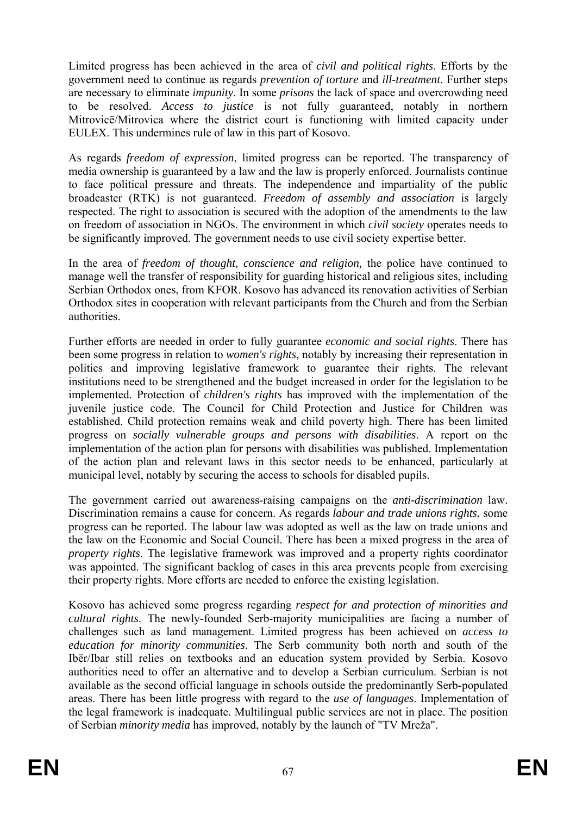Limited progress has been achieved in the area of *civil and political rights*. Efforts by the government need to continue as regards *prevention of torture* and *ill-treatment*. Further steps are necessary to eliminate *impunity*. In some *prisons* the lack of space and overcrowding need to be resolved. *Access to justice* is not fully guaranteed, notably in northern Mitrovicë/Mitrovica where the district court is functioning with limited capacity under EULEX. This undermines rule of law in this part of Kosovo.

As regards *freedom of expression*, limited progress can be reported. The transparency of media ownership is guaranteed by a law and the law is properly enforced. Journalists continue to face political pressure and threats. The independence and impartiality of the public broadcaster (RTK) is not guaranteed. *Freedom of assembly and association* is largely respected. The right to association is secured with the adoption of the amendments to the law on freedom of association in NGOs. The environment in which *civil society* operates needs to be significantly improved. The government needs to use civil society expertise better.

In the area of *freedom of thought, conscience and religion,* the police have continued to manage well the transfer of responsibility for guarding historical and religious sites, including Serbian Orthodox ones, from KFOR. Kosovo has advanced its renovation activities of Serbian Orthodox sites in cooperation with relevant participants from the Church and from the Serbian authorities.

Further efforts are needed in order to fully guarantee *economic and social rights*. There has been some progress in relation to *women's rights*, notably by increasing their representation in politics and improving legislative framework to guarantee their rights. The relevant institutions need to be strengthened and the budget increased in order for the legislation to be implemented. Protection of *children's rights* has improved with the implementation of the juvenile justice code. The Council for Child Protection and Justice for Children was established. Child protection remains weak and child poverty high. There has been limited progress on *socially vulnerable groups and persons with disabilities*. A report on the implementation of the action plan for persons with disabilities was published. Implementation of the action plan and relevant laws in this sector needs to be enhanced, particularly at municipal level, notably by securing the access to schools for disabled pupils.

The government carried out awareness-raising campaigns on the *anti-discrimination* law. Discrimination remains a cause for concern. As regards *labour and trade unions rights*, some progress can be reported. The labour law was adopted as well as the law on trade unions and the law on the Economic and Social Council. There has been a mixed progress in the area of *property rights*. The legislative framework was improved and a property rights coordinator was appointed. The significant backlog of cases in this area prevents people from exercising their property rights. More efforts are needed to enforce the existing legislation.

Kosovo has achieved some progress regarding *respect for and protection of minorities and cultural rights*. The newly-founded Serb-majority municipalities are facing a number of challenges such as land management. Limited progress has been achieved on *access to education for minority communities*. The Serb community both north and south of the Ibër/Ibar still relies on textbooks and an education system provided by Serbia. Kosovo authorities need to offer an alternative and to develop a Serbian curriculum. Serbian is not available as the second official language in schools outside the predominantly Serb-populated areas. There has been little progress with regard to the *use of languages*. Implementation of the legal framework is inadequate. Multilingual public services are not in place. The position of Serbian *minority media* has improved, notably by the launch of "TV Mreža".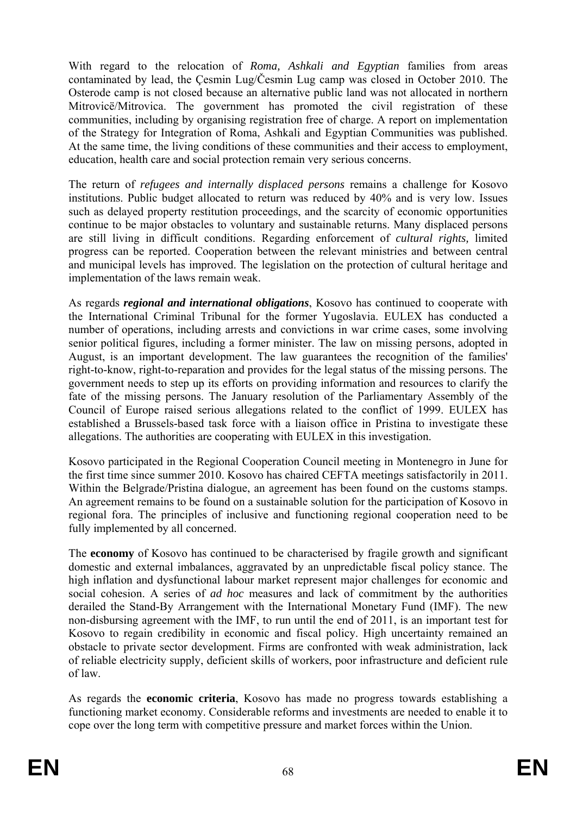With regard to the relocation of *Roma, Ashkali and Egyptian* families from areas contaminated by lead, the Çesmin Lug/Česmin Lug camp was closed in October 2010. The Osterode camp is not closed because an alternative public land was not allocated in northern Mitrovicë/Mitrovica. The government has promoted the civil registration of these communities, including by organising registration free of charge. A report on implementation of the Strategy for Integration of Roma, Ashkali and Egyptian Communities was published. At the same time, the living conditions of these communities and their access to employment, education, health care and social protection remain very serious concerns.

The return of *refugees and internally displaced persons* remains a challenge for Kosovo institutions. Public budget allocated to return was reduced by 40% and is very low. Issues such as delayed property restitution proceedings, and the scarcity of economic opportunities continue to be major obstacles to voluntary and sustainable returns. Many displaced persons are still living in difficult conditions. Regarding enforcement of *cultural rights,* limited progress can be reported. Cooperation between the relevant ministries and between central and municipal levels has improved. The legislation on the protection of cultural heritage and implementation of the laws remain weak.

As regards *regional and international obligations*, Kosovo has continued to cooperate with the International Criminal Tribunal for the former Yugoslavia. EULEX has conducted a number of operations, including arrests and convictions in war crime cases, some involving senior political figures, including a former minister. The law on missing persons, adopted in August, is an important development. The law guarantees the recognition of the families' right-to-know, right-to-reparation and provides for the legal status of the missing persons. The government needs to step up its efforts on providing information and resources to clarify the fate of the missing persons. The January resolution of the Parliamentary Assembly of the Council of Europe raised serious allegations related to the conflict of 1999. EULEX has established a Brussels-based task force with a liaison office in Pristina to investigate these allegations. The authorities are cooperating with EULEX in this investigation.

Kosovo participated in the Regional Cooperation Council meeting in Montenegro in June for the first time since summer 2010. Kosovo has chaired CEFTA meetings satisfactorily in 2011. Within the Belgrade/Pristina dialogue, an agreement has been found on the customs stamps. An agreement remains to be found on a sustainable solution for the participation of Kosovo in regional fora. The principles of inclusive and functioning regional cooperation need to be fully implemented by all concerned.

The **economy** of Kosovo has continued to be characterised by fragile growth and significant domestic and external imbalances, aggravated by an unpredictable fiscal policy stance. The high inflation and dysfunctional labour market represent major challenges for economic and social cohesion. A series of *ad hoc* measures and lack of commitment by the authorities derailed the Stand-By Arrangement with the International Monetary Fund (IMF). The new non-disbursing agreement with the IMF, to run until the end of 2011, is an important test for Kosovo to regain credibility in economic and fiscal policy. High uncertainty remained an obstacle to private sector development. Firms are confronted with weak administration, lack of reliable electricity supply, deficient skills of workers, poor infrastructure and deficient rule of law.

As regards the **economic criteria**, Kosovo has made no progress towards establishing a functioning market economy. Considerable reforms and investments are needed to enable it to cope over the long term with competitive pressure and market forces within the Union.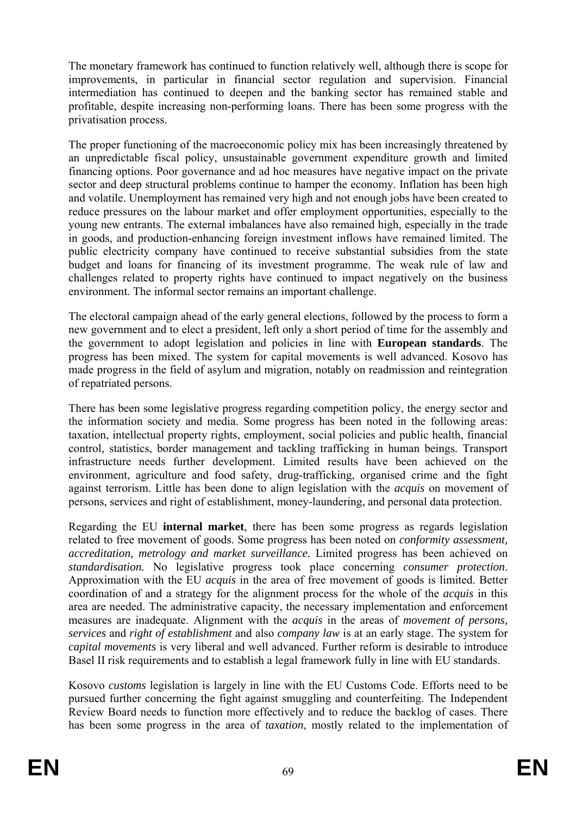The monetary framework has continued to function relatively well, although there is scope for improvements, in particular in financial sector regulation and supervision. Financial intermediation has continued to deepen and the banking sector has remained stable and profitable, despite increasing non-performing loans. There has been some progress with the privatisation process.

The proper functioning of the macroeconomic policy mix has been increasingly threatened by an unpredictable fiscal policy, unsustainable government expenditure growth and limited financing options. Poor governance and ad hoc measures have negative impact on the private sector and deep structural problems continue to hamper the economy. Inflation has been high and volatile. Unemployment has remained very high and not enough jobs have been created to reduce pressures on the labour market and offer employment opportunities, especially to the young new entrants. The external imbalances have also remained high, especially in the trade in goods, and production-enhancing foreign investment inflows have remained limited. The public electricity company have continued to receive substantial subsidies from the state budget and loans for financing of its investment programme. The weak rule of law and challenges related to property rights have continued to impact negatively on the business environment. The informal sector remains an important challenge.

The electoral campaign ahead of the early general elections, followed by the process to form a new government and to elect a president, left only a short period of time for the assembly and the government to adopt legislation and policies in line with **European standards**. The progress has been mixed. The system for capital movements is well advanced. Kosovo has made progress in the field of asylum and migration, notably on readmission and reintegration of repatriated persons.

There has been some legislative progress regarding competition policy, the energy sector and the information society and media. Some progress has been noted in the following areas: taxation, intellectual property rights, employment, social policies and public health, financial control, statistics, border management and tackling trafficking in human beings. Transport infrastructure needs further development. Limited results have been achieved on the environment, agriculture and food safety, drug-trafficking, organised crime and the fight against terrorism. Little has been done to align legislation with the *acquis* on movement of persons, services and right of establishment, money-laundering, and personal data protection.

Regarding the EU **internal market**, there has been some progress as regards legislation related to free movement of goods. Some progress has been noted on *conformity assessment, accreditation, metrology and market surveillance.* Limited progress has been achieved on *standardisation.* No legislative progress took place concerning *consumer protection*. Approximation with the EU *acquis* in the area of free movement of goods is limited. Better coordination of and a strategy for the alignment process for the whole of the *acquis* in this area are needed. The administrative capacity, the necessary implementation and enforcement measures are inadequate. Alignment with the *acquis* in the areas of *movement of persons, services* and *right of establishment* and also *company law* is at an early stage. The system for *capital movements* is very liberal and well advanced. Further reform is desirable to introduce Basel II risk requirements and to establish a legal framework fully in line with EU standards.

Kosovo *customs* legislation is largely in line with the EU Customs Code. Efforts need to be pursued further concerning the fight against smuggling and counterfeiting. The Independent Review Board needs to function more effectively and to reduce the backlog of cases. There has been some progress in the area of *taxation*, mostly related to the implementation of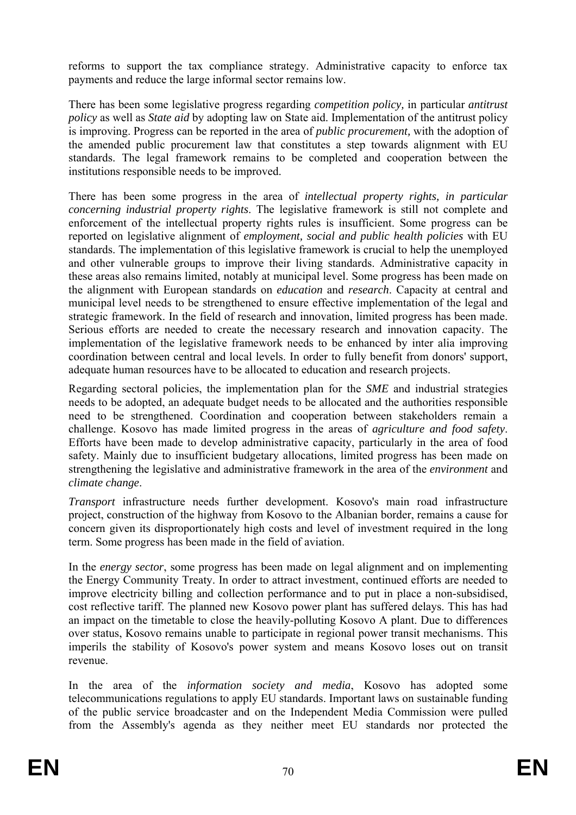reforms to support the tax compliance strategy. Administrative capacity to enforce tax payments and reduce the large informal sector remains low.

There has been some legislative progress regarding *competition policy,* in particular *antitrust policy* as well as *State aid* by adopting law on State aid. Implementation of the antitrust policy is improving. Progress can be reported in the area of *public procurement,* with the adoption of the amended public procurement law that constitutes a step towards alignment with EU standards. The legal framework remains to be completed and cooperation between the institutions responsible needs to be improved.

There has been some progress in the area of *intellectual property rights, in particular concerning industrial property rights*. The legislative framework is still not complete and enforcement of the intellectual property rights rules is insufficient. Some progress can be reported on legislative alignment of *employment, social and public health policies* with EU standards. The implementation of this legislative framework is crucial to help the unemployed and other vulnerable groups to improve their living standards. Administrative capacity in these areas also remains limited, notably at municipal level. Some progress has been made on the alignment with European standards on *education* and *research*. Capacity at central and municipal level needs to be strengthened to ensure effective implementation of the legal and strategic framework. In the field of research and innovation, limited progress has been made. Serious efforts are needed to create the necessary research and innovation capacity. The implementation of the legislative framework needs to be enhanced by inter alia improving coordination between central and local levels. In order to fully benefit from donors' support, adequate human resources have to be allocated to education and research projects.

Regarding sectoral policies, the implementation plan for the *SME* and industrial strategies needs to be adopted, an adequate budget needs to be allocated and the authorities responsible need to be strengthened. Coordination and cooperation between stakeholders remain a challenge. Kosovo has made limited progress in the areas of *agriculture and food safety*. Efforts have been made to develop administrative capacity, particularly in the area of food safety. Mainly due to insufficient budgetary allocations, limited progress has been made on strengthening the legislative and administrative framework in the area of the *environment* and *climate change*.

*Transport* infrastructure needs further development. Kosovo's main road infrastructure project, construction of the highway from Kosovo to the Albanian border, remains a cause for concern given its disproportionately high costs and level of investment required in the long term. Some progress has been made in the field of aviation.

In the *energy sector*, some progress has been made on legal alignment and on implementing the Energy Community Treaty. In order to attract investment, continued efforts are needed to improve electricity billing and collection performance and to put in place a non-subsidised, cost reflective tariff. The planned new Kosovo power plant has suffered delays. This has had an impact on the timetable to close the heavily-polluting Kosovo A plant. Due to differences over status, Kosovo remains unable to participate in regional power transit mechanisms. This imperils the stability of Kosovo's power system and means Kosovo loses out on transit revenue.

In the area of the *information society and media*, Kosovo has adopted some telecommunications regulations to apply EU standards. Important laws on sustainable funding of the public service broadcaster and on the Independent Media Commission were pulled from the Assembly's agenda as they neither meet EU standards nor protected the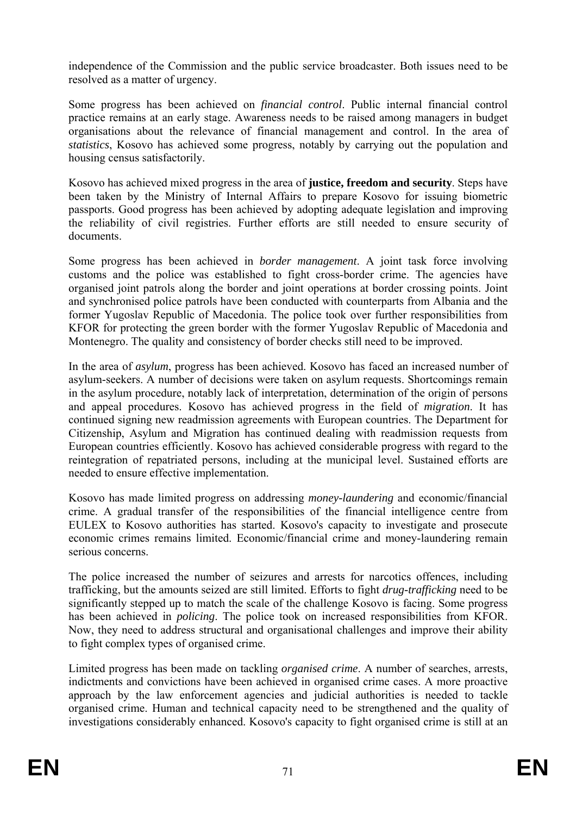independence of the Commission and the public service broadcaster. Both issues need to be resolved as a matter of urgency.

Some progress has been achieved on *financial control*. Public internal financial control practice remains at an early stage. Awareness needs to be raised among managers in budget organisations about the relevance of financial management and control. In the area of *statistics*, Kosovo has achieved some progress, notably by carrying out the population and housing census satisfactorily.

Kosovo has achieved mixed progress in the area of **justice, freedom and security**. Steps have been taken by the Ministry of Internal Affairs to prepare Kosovo for issuing biometric passports. Good progress has been achieved by adopting adequate legislation and improving the reliability of civil registries. Further efforts are still needed to ensure security of documents.

Some progress has been achieved in *border management*. A joint task force involving customs and the police was established to fight cross-border crime. The agencies have organised joint patrols along the border and joint operations at border crossing points. Joint and synchronised police patrols have been conducted with counterparts from Albania and the former Yugoslav Republic of Macedonia. The police took over further responsibilities from KFOR for protecting the green border with the former Yugoslav Republic of Macedonia and Montenegro. The quality and consistency of border checks still need to be improved.

In the area of *asylum*, progress has been achieved. Kosovo has faced an increased number of asylum-seekers. A number of decisions were taken on asylum requests. Shortcomings remain in the asylum procedure, notably lack of interpretation, determination of the origin of persons and appeal procedures. Kosovo has achieved progress in the field of *migration*. It has continued signing new readmission agreements with European countries. The Department for Citizenship, Asylum and Migration has continued dealing with readmission requests from European countries efficiently. Kosovo has achieved considerable progress with regard to the reintegration of repatriated persons, including at the municipal level. Sustained efforts are needed to ensure effective implementation.

Kosovo has made limited progress on addressing *money-laundering* and economic/financial crime. A gradual transfer of the responsibilities of the financial intelligence centre from EULEX to Kosovo authorities has started. Kosovo's capacity to investigate and prosecute economic crimes remains limited. Economic/financial crime and money-laundering remain serious concerns.

The police increased the number of seizures and arrests for narcotics offences, including trafficking, but the amounts seized are still limited. Efforts to fight *drug-trafficking* need to be significantly stepped up to match the scale of the challenge Kosovo is facing. Some progress has been achieved in *policing*. The police took on increased responsibilities from KFOR. Now, they need to address structural and organisational challenges and improve their ability to fight complex types of organised crime.

Limited progress has been made on tackling *organised crime*. A number of searches, arrests, indictments and convictions have been achieved in organised crime cases. A more proactive approach by the law enforcement agencies and judicial authorities is needed to tackle organised crime. Human and technical capacity need to be strengthened and the quality of investigations considerably enhanced. Kosovo's capacity to fight organised crime is still at an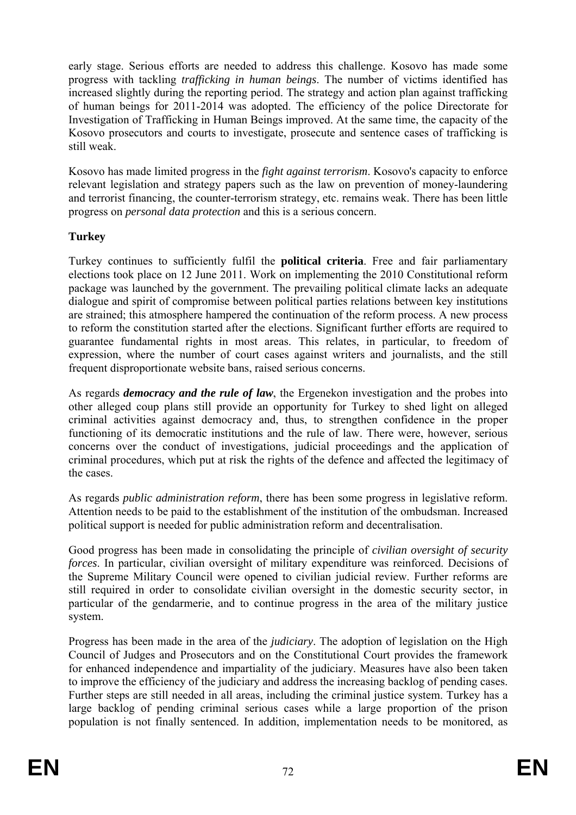early stage. Serious efforts are needed to address this challenge. Kosovo has made some progress with tackling *trafficking in human beings*. The number of victims identified has increased slightly during the reporting period. The strategy and action plan against trafficking of human beings for 2011-2014 was adopted. The efficiency of the police Directorate for Investigation of Trafficking in Human Beings improved. At the same time, the capacity of the Kosovo prosecutors and courts to investigate, prosecute and sentence cases of trafficking is still weak.

Kosovo has made limited progress in the *fight against terrorism*. Kosovo's capacity to enforce relevant legislation and strategy papers such as the law on prevention of money-laundering and terrorist financing, the counter-terrorism strategy, etc. remains weak. There has been little progress on *personal data protection* and this is a serious concern.

## **Turkey**

Turkey continues to sufficiently fulfil the **political criteria**. Free and fair parliamentary elections took place on 12 June 2011. Work on implementing the 2010 Constitutional reform package was launched by the government. The prevailing political climate lacks an adequate dialogue and spirit of compromise between political parties relations between key institutions are strained; this atmosphere hampered the continuation of the reform process. A new process to reform the constitution started after the elections. Significant further efforts are required to guarantee fundamental rights in most areas. This relates, in particular, to freedom of expression, where the number of court cases against writers and journalists, and the still frequent disproportionate website bans, raised serious concerns.

As regards *democracy and the rule of law*, the Ergenekon investigation and the probes into other alleged coup plans still provide an opportunity for Turkey to shed light on alleged criminal activities against democracy and, thus, to strengthen confidence in the proper functioning of its democratic institutions and the rule of law. There were, however, serious concerns over the conduct of investigations, judicial proceedings and the application of criminal procedures, which put at risk the rights of the defence and affected the legitimacy of the cases.

As regards *public administration reform*, there has been some progress in legislative reform. Attention needs to be paid to the establishment of the institution of the ombudsman. Increased political support is needed for public administration reform and decentralisation.

Good progress has been made in consolidating the principle of *civilian oversight of security forces*. In particular, civilian oversight of military expenditure was reinforced. Decisions of the Supreme Military Council were opened to civilian judicial review. Further reforms are still required in order to consolidate civilian oversight in the domestic security sector, in particular of the gendarmerie, and to continue progress in the area of the military justice system.

Progress has been made in the area of the *judiciary*. The adoption of legislation on the High Council of Judges and Prosecutors and on the Constitutional Court provides the framework for enhanced independence and impartiality of the judiciary. Measures have also been taken to improve the efficiency of the judiciary and address the increasing backlog of pending cases. Further steps are still needed in all areas, including the criminal justice system. Turkey has a large backlog of pending criminal serious cases while a large proportion of the prison population is not finally sentenced. In addition, implementation needs to be monitored, as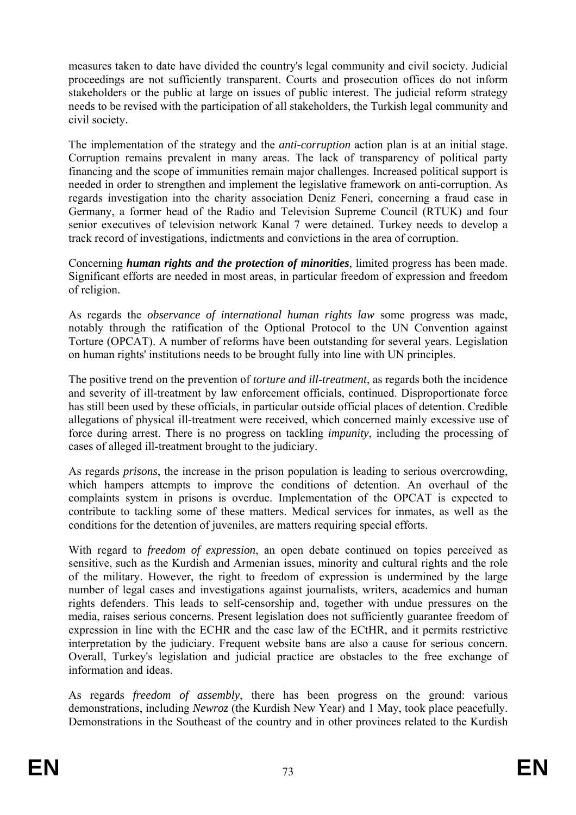measures taken to date have divided the country's legal community and civil society. Judicial proceedings are not sufficiently transparent. Courts and prosecution offices do not inform stakeholders or the public at large on issues of public interest. The judicial reform strategy needs to be revised with the participation of all stakeholders, the Turkish legal community and civil society.

The implementation of the strategy and the *anti-corruption* action plan is at an initial stage. Corruption remains prevalent in many areas. The lack of transparency of political party financing and the scope of immunities remain major challenges. Increased political support is needed in order to strengthen and implement the legislative framework on anti-corruption. As regards investigation into the charity association Deniz Feneri, concerning a fraud case in Germany, a former head of the Radio and Television Supreme Council (RTUK) and four senior executives of television network Kanal 7 were detained. Turkey needs to develop a track record of investigations, indictments and convictions in the area of corruption.

Concerning *human rights and the protection of minorities*, limited progress has been made. Significant efforts are needed in most areas, in particular freedom of expression and freedom of religion.

As regards the *observance of international human rights law* some progress was made, notably through the ratification of the Optional Protocol to the UN Convention against Torture (OPCAT). A number of reforms have been outstanding for several years. Legislation on human rights' institutions needs to be brought fully into line with UN principles.

The positive trend on the prevention of *torture and ill-treatment*, as regards both the incidence and severity of ill-treatment by law enforcement officials, continued. Disproportionate force has still been used by these officials, in particular outside official places of detention. Credible allegations of physical ill-treatment were received, which concerned mainly excessive use of force during arrest. There is no progress on tackling *impunity*, including the processing of cases of alleged ill-treatment brought to the judiciary.

As regards *prisons*, the increase in the prison population is leading to serious overcrowding, which hampers attempts to improve the conditions of detention. An overhaul of the complaints system in prisons is overdue. Implementation of the OPCAT is expected to contribute to tackling some of these matters. Medical services for inmates, as well as the conditions for the detention of juveniles, are matters requiring special efforts.

With regard to *freedom of expression*, an open debate continued on topics perceived as sensitive, such as the Kurdish and Armenian issues, minority and cultural rights and the role of the military. However, the right to freedom of expression is undermined by the large number of legal cases and investigations against journalists, writers, academics and human rights defenders. This leads to self-censorship and, together with undue pressures on the media, raises serious concerns. Present legislation does not sufficiently guarantee freedom of expression in line with the ECHR and the case law of the ECtHR, and it permits restrictive interpretation by the judiciary. Frequent website bans are also a cause for serious concern. Overall, Turkey's legislation and judicial practice are obstacles to the free exchange of information and ideas.

As regards *freedom of assembly*, there has been progress on the ground: various demonstrations, including *Newroz* (the Kurdish New Year) and 1 May, took place peacefully. Demonstrations in the Southeast of the country and in other provinces related to the Kurdish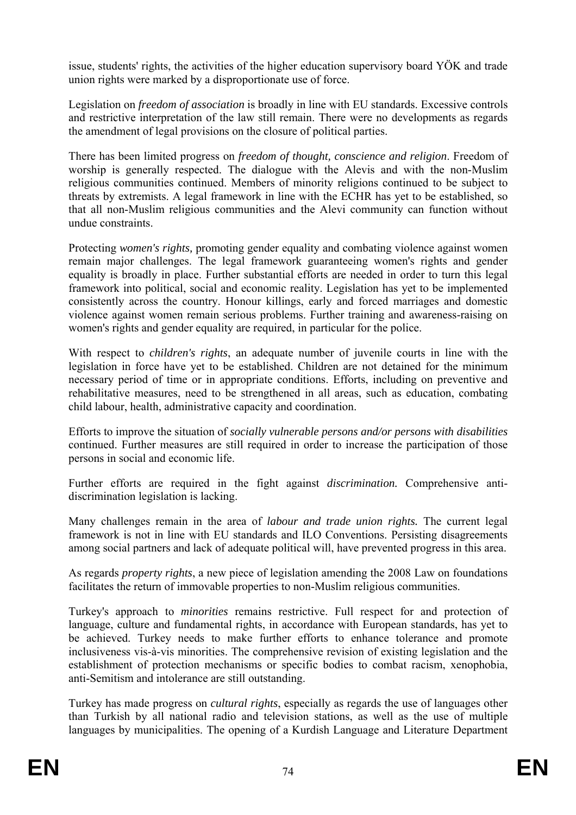issue, students' rights, the activities of the higher education supervisory board YÖK and trade union rights were marked by a disproportionate use of force.

Legislation on *freedom of association* is broadly in line with EU standards. Excessive controls and restrictive interpretation of the law still remain. There were no developments as regards the amendment of legal provisions on the closure of political parties.

There has been limited progress on *freedom of thought, conscience and religion*. Freedom of worship is generally respected. The dialogue with the Alevis and with the non-Muslim religious communities continued. Members of minority religions continued to be subject to threats by extremists. A legal framework in line with the ECHR has yet to be established, so that all non-Muslim religious communities and the Alevi community can function without undue constraints.

Protecting *women's rights,* promoting gender equality and combating violence against women remain major challenges. The legal framework guaranteeing women's rights and gender equality is broadly in place. Further substantial efforts are needed in order to turn this legal framework into political, social and economic reality. Legislation has yet to be implemented consistently across the country. Honour killings, early and forced marriages and domestic violence against women remain serious problems. Further training and awareness-raising on women's rights and gender equality are required, in particular for the police.

With respect to *children's rights*, an adequate number of juvenile courts in line with the legislation in force have yet to be established. Children are not detained for the minimum necessary period of time or in appropriate conditions. Efforts, including on preventive and rehabilitative measures, need to be strengthened in all areas, such as education, combating child labour, health, administrative capacity and coordination.

Efforts to improve the situation of *socially vulnerable persons and/or persons with disabilities* continued. Further measures are still required in order to increase the participation of those persons in social and economic life.

Further efforts are required in the fight against *discrimination.* Comprehensive antidiscrimination legislation is lacking.

Many challenges remain in the area of *labour and trade union rights.* The current legal framework is not in line with EU standards and ILO Conventions. Persisting disagreements among social partners and lack of adequate political will, have prevented progress in this area.

As regards *property rights*, a new piece of legislation amending the 2008 Law on foundations facilitates the return of immovable properties to non-Muslim religious communities.

Turkey's approach to *minorities* remains restrictive. Full respect for and protection of language, culture and fundamental rights, in accordance with European standards, has yet to be achieved. Turkey needs to make further efforts to enhance tolerance and promote inclusiveness vis-à-vis minorities. The comprehensive revision of existing legislation and the establishment of protection mechanisms or specific bodies to combat racism, xenophobia, anti-Semitism and intolerance are still outstanding.

Turkey has made progress on *cultural rights*, especially as regards the use of languages other than Turkish by all national radio and television stations, as well as the use of multiple languages by municipalities. The opening of a Kurdish Language and Literature Department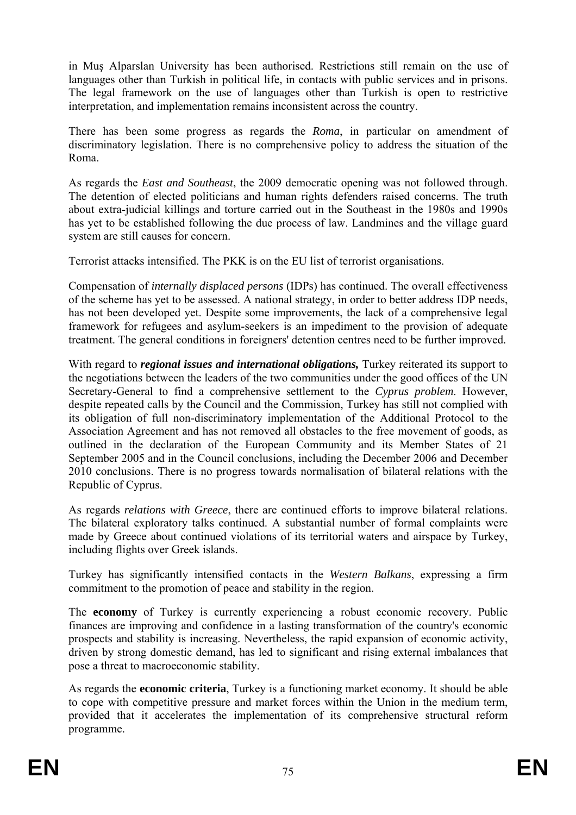in Muş Alparslan University has been authorised. Restrictions still remain on the use of languages other than Turkish in political life, in contacts with public services and in prisons. The legal framework on the use of languages other than Turkish is open to restrictive interpretation, and implementation remains inconsistent across the country.

There has been some progress as regards the *Roma*, in particular on amendment of discriminatory legislation. There is no comprehensive policy to address the situation of the Roma.

As regards the *East and Southeast*, the 2009 democratic opening was not followed through. The detention of elected politicians and human rights defenders raised concerns. The truth about extra-judicial killings and torture carried out in the Southeast in the 1980s and 1990s has yet to be established following the due process of law. Landmines and the village guard system are still causes for concern.

Terrorist attacks intensified. The PKK is on the EU list of terrorist organisations.

Compensation of *internally displaced persons* (IDPs) has continued. The overall effectiveness of the scheme has yet to be assessed. A national strategy, in order to better address IDP needs, has not been developed yet. Despite some improvements, the lack of a comprehensive legal framework for refugees and asylum-seekers is an impediment to the provision of adequate treatment. The general conditions in foreigners' detention centres need to be further improved.

With regard to *regional issues and international obligations,* Turkey reiterated its support to the negotiations between the leaders of the two communities under the good offices of the UN Secretary-General to find a comprehensive settlement to the *Cyprus problem*. However, despite repeated calls by the Council and the Commission, Turkey has still not complied with its obligation of full non-discriminatory implementation of the Additional Protocol to the Association Agreement and has not removed all obstacles to the free movement of goods, as outlined in the declaration of the European Community and its Member States of 21 September 2005 and in the Council conclusions, including the December 2006 and December 2010 conclusions. There is no progress towards normalisation of bilateral relations with the Republic of Cyprus.

As regards *relations with Greece*, there are continued efforts to improve bilateral relations. The bilateral exploratory talks continued. A substantial number of formal complaints were made by Greece about continued violations of its territorial waters and airspace by Turkey, including flights over Greek islands.

Turkey has significantly intensified contacts in the *Western Balkans*, expressing a firm commitment to the promotion of peace and stability in the region.

The **economy** of Turkey is currently experiencing a robust economic recovery. Public finances are improving and confidence in a lasting transformation of the country's economic prospects and stability is increasing. Nevertheless, the rapid expansion of economic activity, driven by strong domestic demand, has led to significant and rising external imbalances that pose a threat to macroeconomic stability.

As regards the **economic criteria**, Turkey is a functioning market economy. It should be able to cope with competitive pressure and market forces within the Union in the medium term, provided that it accelerates the implementation of its comprehensive structural reform programme.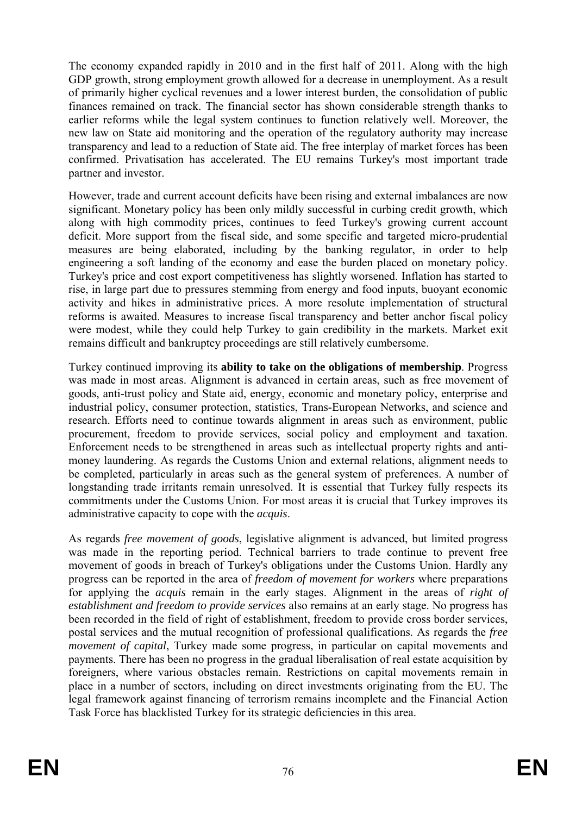The economy expanded rapidly in 2010 and in the first half of 2011. Along with the high GDP growth, strong employment growth allowed for a decrease in unemployment. As a result of primarily higher cyclical revenues and a lower interest burden, the consolidation of public finances remained on track. The financial sector has shown considerable strength thanks to earlier reforms while the legal system continues to function relatively well. Moreover, the new law on State aid monitoring and the operation of the regulatory authority may increase transparency and lead to a reduction of State aid. The free interplay of market forces has been confirmed. Privatisation has accelerated. The EU remains Turkey's most important trade partner and investor.

However, trade and current account deficits have been rising and external imbalances are now significant. Monetary policy has been only mildly successful in curbing credit growth, which along with high commodity prices, continues to feed Turkey's growing [current account](http://www.roubini.com/analysis/154587.php)  [deficit.](http://www.roubini.com/analysis/154587.php) More support from the fiscal side, and some specific and targeted micro-prudential measures are being elaborated, including by the banking regulator, in order to help engineering a soft landing of the economy and ease the burden placed on monetary policy. Turkey's price and cost export competitiveness has slightly worsened. Inflation has started to rise, in large part due to pressures stemming from energy and food inputs, buoyant economic activity and hikes in administrative prices. A more resolute implementation of structural reforms is awaited. Measures to increase fiscal transparency and better anchor fiscal policy were modest, while they could help Turkey to gain credibility in the markets. Market exit remains difficult and bankruptcy proceedings are still relatively cumbersome.

Turkey continued improving its **ability to take on the obligations of membership**. Progress was made in most areas. Alignment is advanced in certain areas, such as free movement of goods, anti-trust policy and State aid, energy, economic and monetary policy, enterprise and industrial policy, consumer protection, statistics, Trans-European Networks, and science and research. Efforts need to continue towards alignment in areas such as environment, public procurement, freedom to provide services, social policy and employment and taxation. Enforcement needs to be strengthened in areas such as intellectual property rights and antimoney laundering. As regards the Customs Union and external relations, alignment needs to be completed, particularly in areas such as the general system of preferences. A number of longstanding trade irritants remain unresolved. It is essential that Turkey fully respects its commitments under the Customs Union. For most areas it is crucial that Turkey improves its administrative capacity to cope with the *acquis*.

As regards *free movement of goods*, legislative alignment is advanced, but limited progress was made in the reporting period. Technical barriers to trade continue to prevent free movement of goods in breach of Turkey's obligations under the Customs Union. Hardly any progress can be reported in the area of *freedom of movement for workers* where preparations for applying the *acquis* remain in the early stages. Alignment in the areas of *right of establishment and freedom to provide services* also remains at an early stage. No progress has been recorded in the field of right of establishment, freedom to provide cross border services, postal services and the mutual recognition of professional qualifications. As regards the *free movement of capital*, Turkey made some progress, in particular on capital movements and payments. There has been no progress in the gradual liberalisation of real estate acquisition by foreigners, where various obstacles remain. Restrictions on capital movements remain in place in a number of sectors, including on direct investments originating from the EU. The legal framework against financing of terrorism remains incomplete and the Financial Action Task Force has blacklisted Turkey for its strategic deficiencies in this area.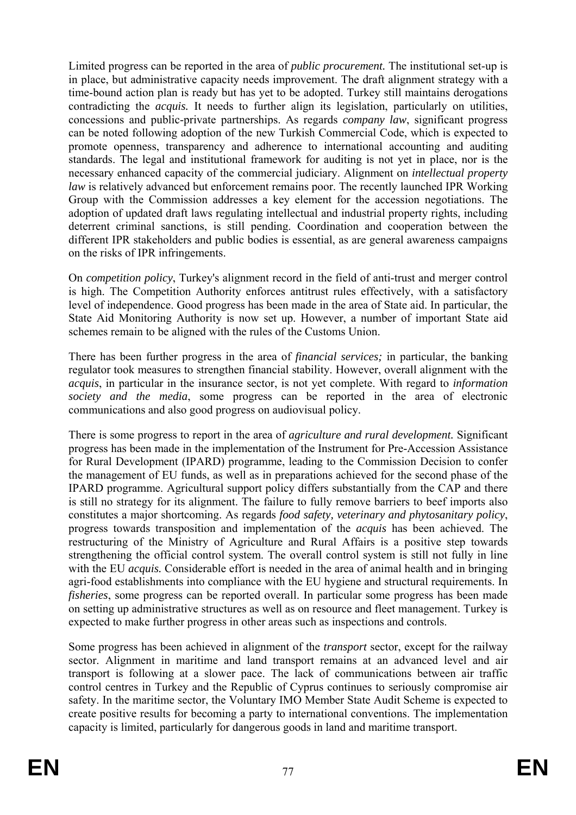Limited progress can be reported in the area of *public procurement.* The institutional set-up is in place, but administrative capacity needs improvement. The draft alignment strategy with a time-bound action plan is ready but has yet to be adopted. Turkey still maintains derogations contradicting the *acquis.* It needs to further align its legislation, particularly on utilities, concessions and public-private partnerships. As regards *company law*, significant progress can be noted following adoption of the new Turkish Commercial Code, which is expected to promote openness, transparency and adherence to international accounting and auditing standards. The legal and institutional framework for auditing is not yet in place, nor is the necessary enhanced capacity of the commercial judiciary. Alignment on *intellectual property law* is relatively advanced but enforcement remains poor. The recently launched IPR Working Group with the Commission addresses a key element for the accession negotiations. The adoption of updated draft laws regulating intellectual and industrial property rights, including deterrent criminal sanctions, is still pending. Coordination and cooperation between the different IPR stakeholders and public bodies is essential, as are general awareness campaigns on the risks of IPR infringements.

On *competition policy*, Turkey's alignment record in the field of anti-trust and merger control is high. The Competition Authority enforces antitrust rules effectively, with a satisfactory level of independence. Good progress has been made in the area of State aid. In particular, the State Aid Monitoring Authority is now set up. However, a number of important State aid schemes remain to be aligned with the rules of the Customs Union.

There has been further progress in the area of *financial services;* in particular, the banking regulator took measures to strengthen financial stability. However, overall alignment with the *acquis*, in particular in the insurance sector, is not yet complete. With regard to *information society and the media*, some progress can be reported in the area of electronic communications and also good progress on audiovisual policy.

There is some progress to report in the area of *agriculture and rural development.* Significant progress has been made in the implementation of the Instrument for Pre-Accession Assistance for Rural Development (IPARD) programme, leading to the Commission Decision to confer the management of EU funds, as well as in preparations achieved for the second phase of the IPARD programme. Agricultural support policy differs substantially from the CAP and there is still no strategy for its alignment. The failure to fully remove barriers to beef imports also constitutes a major shortcoming. As regards *food safety, veterinary and phytosanitary policy*, progress towards transposition and implementation of the *acquis* has been achieved. The restructuring of the Ministry of Agriculture and Rural Affairs is a positive step towards strengthening the official control system. The overall control system is still not fully in line with the EU *acquis*. Considerable effort is needed in the area of animal health and in bringing agri-food establishments into compliance with the EU hygiene and structural requirements. In *fisheries*, some progress can be reported overall. In particular some progress has been made on setting up administrative structures as well as on resource and fleet management. Turkey is expected to make further progress in other areas such as inspections and controls.

Some progress has been achieved in alignment of the *transport* sector, except for the railway sector. Alignment in maritime and land transport remains at an advanced level and air transport is following at a slower pace. The lack of communications between air traffic control centres in Turkey and the Republic of Cyprus continues to seriously compromise air safety. In the maritime sector, the Voluntary IMO Member State Audit Scheme is expected to create positive results for becoming a party to international conventions. The implementation capacity is limited, particularly for dangerous goods in land and maritime transport.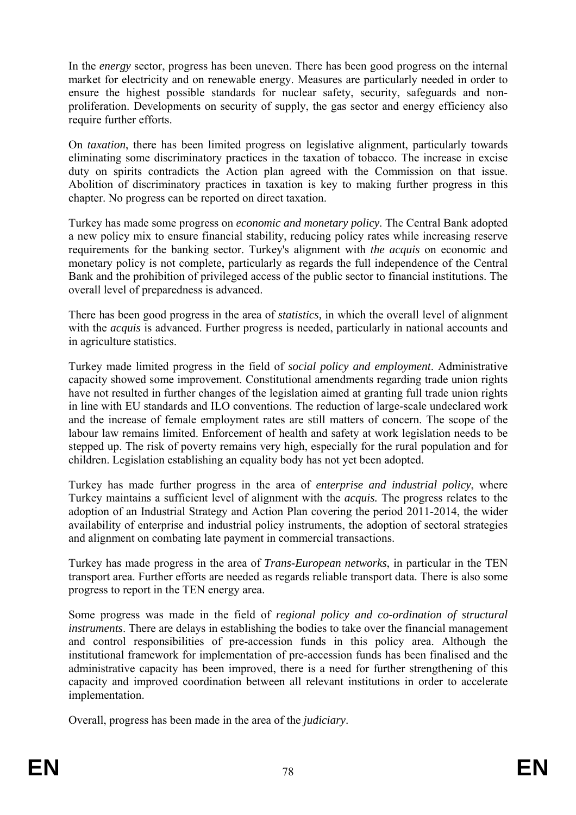In the *energy* sector, progress has been uneven. There has been good progress on the internal market for electricity and on renewable energy. Measures are particularly needed in order to ensure the highest possible standards for nuclear safety, security, safeguards and nonproliferation. Developments on security of supply, the gas sector and energy efficiency also require further efforts.

On *taxation*, there has been limited progress on legislative alignment, particularly towards eliminating some discriminatory practices in the taxation of tobacco. The increase in excise duty on spirits contradicts the Action plan agreed with the Commission on that issue. Abolition of discriminatory practices in taxation is key to making further progress in this chapter. No progress can be reported on direct taxation.

Turkey has made some progress on *economic and monetary policy*. The Central Bank adopted a new policy mix to ensure financial stability, reducing policy rates while increasing reserve requirements for the banking sector. Turkey's alignment with *the acquis* on economic and monetary policy is not complete, particularly as regards the full independence of the Central Bank and the prohibition of privileged access of the public sector to financial institutions. The overall level of preparedness is advanced.

There has been good progress in the area of *statistics,* in which the overall level of alignment with the *acquis* is advanced. Further progress is needed, particularly in national accounts and in agriculture statistics.

Turkey made limited progress in the field of *social policy and employment*. Administrative capacity showed some improvement. Constitutional amendments regarding trade union rights have not resulted in further changes of the legislation aimed at granting full trade union rights in line with EU standards and ILO conventions. The reduction of large-scale undeclared work and the increase of female employment rates are still matters of concern. The scope of the labour law remains limited. Enforcement of health and safety at work legislation needs to be stepped up. The risk of poverty remains very high, especially for the rural population and for children. Legislation establishing an equality body has not yet been adopted.

Turkey has made further progress in the area of *enterprise and industrial policy*, where Turkey maintains a sufficient level of alignment with the *acquis.* The progress relates to the adoption of an Industrial Strategy and Action Plan covering the period 2011-2014, the wider availability of enterprise and industrial policy instruments, the adoption of sectoral strategies and alignment on combating late payment in commercial transactions.

Turkey has made progress in the area of *Trans-European networks*, in particular in the TEN transport area. Further efforts are needed as regards reliable transport data. There is also some progress to report in the TEN energy area.

Some progress was made in the field of *regional policy and co-ordination of structural instruments*. There are delays in establishing the bodies to take over the financial management and control responsibilities of pre-accession funds in this policy area. Although the institutional framework for implementation of pre-accession funds has been finalised and the administrative capacity has been improved, there is a need for further strengthening of this capacity and improved coordination between all relevant institutions in order to accelerate implementation.

Overall, progress has been made in the area of the *judiciary*.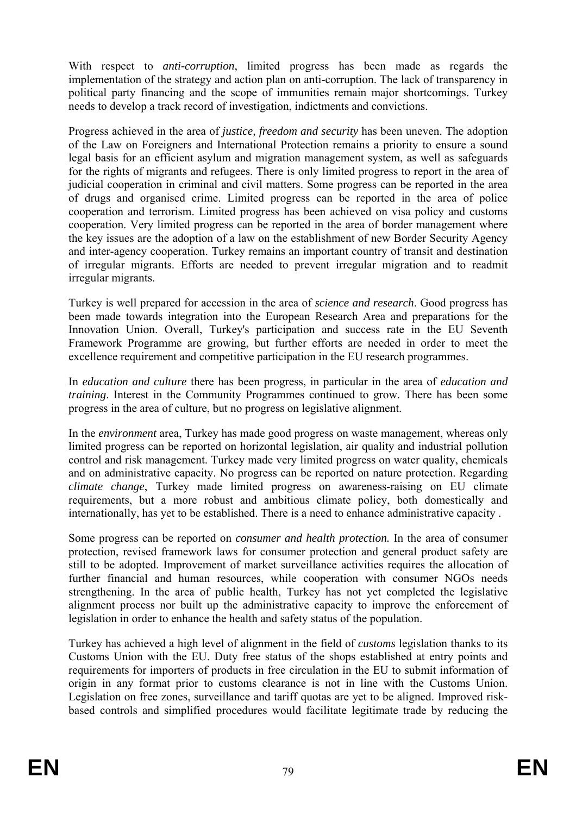With respect to *anti-corruption*, limited progress has been made as regards the implementation of the strategy and action plan on anti-corruption. The lack of transparency in political party financing and the scope of immunities remain major shortcomings. Turkey needs to develop a track record of investigation, indictments and convictions.

Progress achieved in the area of *justice, freedom and security* has been uneven. The adoption of the Law on Foreigners and International Protection remains a priority to ensure a sound legal basis for an efficient asylum and migration management system, as well as safeguards for the rights of migrants and refugees. There is only limited progress to report in the area of judicial cooperation in criminal and civil matters. Some progress can be reported in the area of drugs and organised crime. Limited progress can be reported in the area of police cooperation and terrorism. Limited progress has been achieved on visa policy and customs cooperation. Very limited progress can be reported in the area of border management where the key issues are the adoption of a law on the establishment of new Border Security Agency and inter-agency cooperation. Turkey remains an important country of transit and destination of irregular migrants. Efforts are needed to prevent irregular migration and to readmit irregular migrants.

Turkey is well prepared for accession in the area of *science and research*. Good progress has been made towards integration into the European Research Area and preparations for the Innovation Union. Overall, Turkey's participation and success rate in the EU Seventh Framework Programme are growing, but further efforts are needed in order to meet the excellence requirement and competitive participation in the EU research programmes.

In *education and culture* there has been progress, in particular in the area of *education and training*. Interest in the Community Programmes continued to grow. There has been some progress in the area of culture, but no progress on legislative alignment.

In the *environment* area, Turkey has made good progress on waste management, whereas only limited progress can be reported on horizontal legislation, air quality and industrial pollution control and risk management. Turkey made very limited progress on water quality, chemicals and on administrative capacity. No progress can be reported on nature protection. Regarding *climate change*, Turkey made limited progress on awareness-raising on EU climate requirements, but a more robust and ambitious climate policy, both domestically and internationally, has yet to be established. There is a need to enhance administrative capacity .

Some progress can be reported on *consumer and health protection.* In the area of consumer protection, revised framework laws for consumer protection and general product safety are still to be adopted. Improvement of market surveillance activities requires the allocation of further financial and human resources, while cooperation with consumer NGOs needs strengthening. In the area of public health, Turkey has not yet completed the legislative alignment process nor built up the administrative capacity to improve the enforcement of legislation in order to enhance the health and safety status of the population.

Turkey has achieved a high level of alignment in the field of *customs* legislation thanks to its Customs Union with the EU. Duty free status of the shops established at entry points and requirements for importers of products in free circulation in the EU to submit information of origin in any format prior to customs clearance is not in line with the Customs Union. Legislation on free zones, surveillance and tariff quotas are yet to be aligned. Improved riskbased controls and simplified procedures would facilitate legitimate trade by reducing the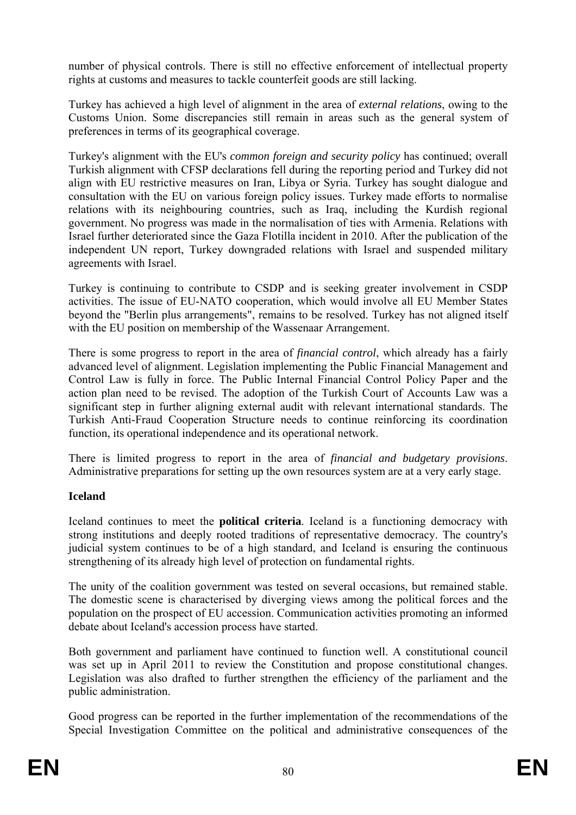number of physical controls. There is still no effective enforcement of intellectual property rights at customs and measures to tackle counterfeit goods are still lacking.

Turkey has achieved a high level of alignment in the area of *external relations*, owing to the Customs Union. Some discrepancies still remain in areas such as the general system of preferences in terms of its geographical coverage.

Turkey's alignment with the EU's *common foreign and security policy* has continued; overall Turkish alignment with CFSP declarations fell during the reporting period and Turkey did not align with EU restrictive measures on Iran, Libya or Syria. Turkey has sought dialogue and consultation with the EU on various foreign policy issues. Turkey made efforts to normalise relations with its neighbouring countries, such as Iraq, including the Kurdish regional government. No progress was made in the normalisation of ties with Armenia. Relations with Israel further deteriorated since the Gaza Flotilla incident in 2010. After the publication of the independent UN report, Turkey downgraded relations with Israel and suspended military agreements with Israel.

Turkey is continuing to contribute to CSDP and is seeking greater involvement in CSDP activities. The issue of EU-NATO cooperation, which would involve all EU Member States beyond the "Berlin plus arrangements", remains to be resolved. Turkey has not aligned itself with the EU position on membership of the Wassenaar Arrangement.

There is some progress to report in the area of *financial control*, which already has a fairly advanced level of alignment. Legislation implementing the Public Financial Management and Control Law is fully in force. The Public Internal Financial Control Policy Paper and the action plan need to be revised. The adoption of the Turkish Court of Accounts Law was a significant step in further aligning external audit with relevant international standards. The Turkish Anti-Fraud Cooperation Structure needs to continue reinforcing its coordination function, its operational independence and its operational network.

There is limited progress to report in the area of *financial and budgetary provisions*. Administrative preparations for setting up the own resources system are at a very early stage.

## **Iceland**

Iceland continues to meet the **political criteria**. Iceland is a functioning democracy with strong institutions and deeply rooted traditions of representative democracy. The country's judicial system continues to be of a high standard, and Iceland is ensuring the continuous strengthening of its already high level of protection on fundamental rights.

The unity of the coalition government was tested on several occasions, but remained stable. The domestic scene is characterised by diverging views among the political forces and the population on the prospect of EU accession. Communication activities promoting an informed debate about Iceland's accession process have started.

Both government and parliament have continued to function well. A constitutional council was set up in April 2011 to review the Constitution and propose constitutional changes. Legislation was also drafted to further strengthen the efficiency of the parliament and the public administration.

Good progress can be reported in the further implementation of the recommendations of the Special Investigation Committee on the political and administrative consequences of the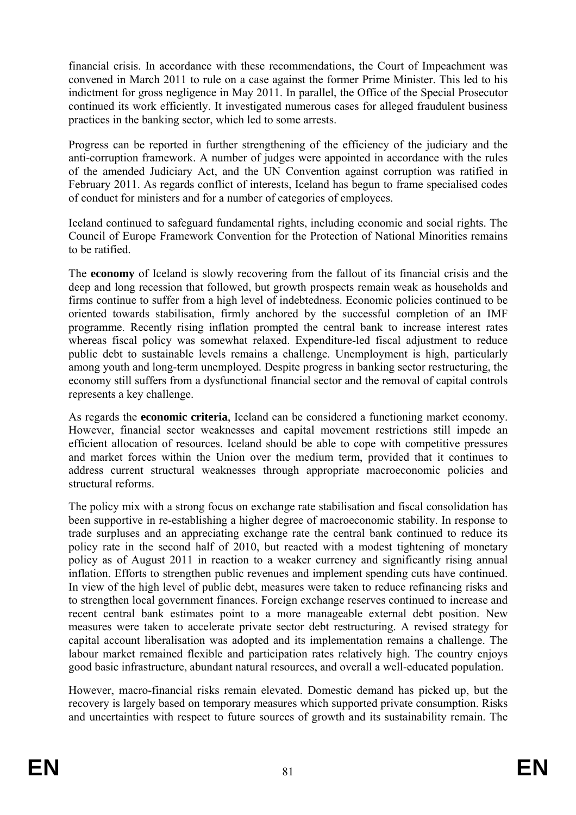financial crisis. In accordance with these recommendations, the Court of Impeachment was convened in March 2011 to rule on a case against the former Prime Minister. This led to his indictment for gross negligence in May 2011. In parallel, the Office of the Special Prosecutor continued its work efficiently. It investigated numerous cases for alleged fraudulent business practices in the banking sector, which led to some arrests.

Progress can be reported in further strengthening of the efficiency of the judiciary and the anti-corruption framework. A number of judges were appointed in accordance with the rules of the amended Judiciary Act, and the UN Convention against corruption was ratified in February 2011. As regards conflict of interests, Iceland has begun to frame specialised codes of conduct for ministers and for a number of categories of employees.

Iceland continued to safeguard fundamental rights, including economic and social rights. The Council of Europe Framework Convention for the Protection of National Minorities remains to be ratified.

The **economy** of Iceland is slowly recovering from the fallout of its financial crisis and the deep and long recession that followed, but growth prospects remain weak as households and firms continue to suffer from a high level of indebtedness. Economic policies continued to be oriented towards stabilisation, firmly anchored by the successful completion of an IMF programme. Recently rising inflation prompted the central bank to increase interest rates whereas fiscal policy was somewhat relaxed. Expenditure-led fiscal adjustment to reduce public debt to sustainable levels remains a challenge. Unemployment is high, particularly among youth and long-term unemployed. Despite progress in banking sector restructuring, the economy still suffers from a dysfunctional financial sector and the removal of capital controls represents a key challenge.

As regards the **economic criteria**, Iceland can be considered a functioning market economy. However, financial sector weaknesses and capital movement restrictions still impede an efficient allocation of resources. Iceland should be able to cope with competitive pressures and market forces within the Union over the medium term, provided that it continues to address current structural weaknesses through appropriate macroeconomic policies and structural reforms.

The policy mix with a strong focus on exchange rate stabilisation and fiscal consolidation has been supportive in re-establishing a higher degree of macroeconomic stability. In response to trade surpluses and an appreciating exchange rate the central bank continued to reduce its policy rate in the second half of 2010, but reacted with a modest tightening of monetary policy as of August 2011 in reaction to a weaker currency and significantly rising annual inflation. Efforts to strengthen public revenues and implement spending cuts have continued. In view of the high level of public debt, measures were taken to reduce refinancing risks and to strengthen local government finances. Foreign exchange reserves continued to increase and recent central bank estimates point to a more manageable external debt position. New measures were taken to accelerate private sector debt restructuring. A revised strategy for capital account liberalisation was adopted and its implementation remains a challenge. The labour market remained flexible and participation rates relatively high. The country enjoys good basic infrastructure, abundant natural resources, and overall a well-educated population.

However, macro-financial risks remain elevated. Domestic demand has picked up, but the recovery is largely based on temporary measures which supported private consumption. Risks and uncertainties with respect to future sources of growth and its sustainability remain. The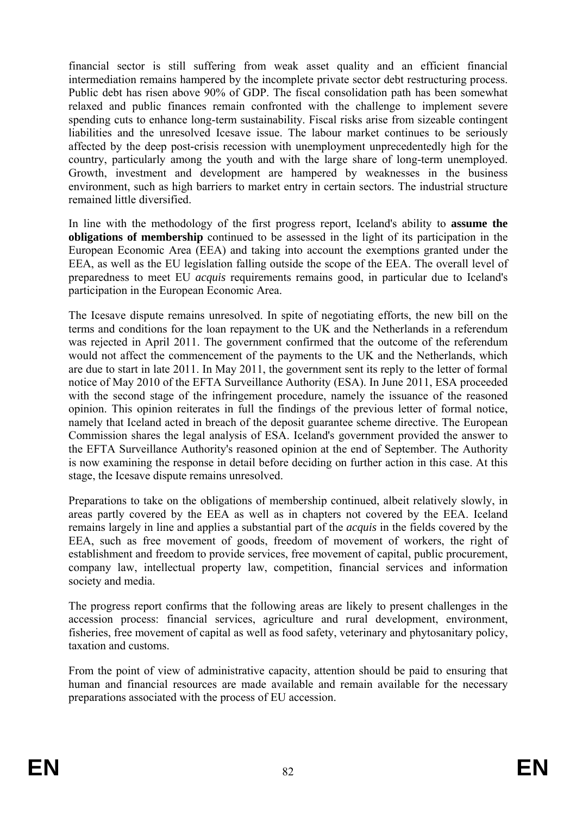financial sector is still suffering from weak asset quality and an efficient financial intermediation remains hampered by the incomplete private sector debt restructuring process. Public debt has risen above 90% of GDP. The fiscal consolidation path has been somewhat relaxed and public finances remain confronted with the challenge to implement severe spending cuts to enhance long-term sustainability. Fiscal risks arise from sizeable contingent liabilities and the unresolved Icesave issue. The labour market continues to be seriously affected by the deep post-crisis recession with unemployment unprecedentedly high for the country, particularly among the youth and with the large share of long-term unemployed. Growth, investment and development are hampered by weaknesses in the business environment, such as high barriers to market entry in certain sectors. The industrial structure remained little diversified.

In line with the methodology of the first progress report, Iceland's ability to **assume the obligations of membership** continued to be assessed in the light of its participation in the European Economic Area (EEA) and taking into account the exemptions granted under the EEA, as well as the EU legislation falling outside the scope of the EEA. The overall level of preparedness to meet EU *acquis* requirements remains good, in particular due to Iceland's participation in the European Economic Area.

The Icesave dispute remains unresolved. In spite of negotiating efforts, the new bill on the terms and conditions for the loan repayment to the UK and the Netherlands in a referendum was rejected in April 2011. The government confirmed that the outcome of the referendum would not affect the commencement of the payments to the UK and the Netherlands, which are due to start in late 2011. In May 2011, the government sent its reply to the letter of formal notice of May 2010 of the EFTA Surveillance Authority (ESA). In June 2011, ESA proceeded with the second stage of the infringement procedure, namely the issuance of the reasoned opinion. This opinion reiterates in full the findings of the previous letter of formal notice, namely that Iceland acted in breach of the deposit guarantee scheme directive. The European Commission shares the legal analysis of ESA. Iceland's government provided the answer to the EFTA Surveillance Authority's reasoned opinion at the end of September. The Authority is now examining the response in detail before deciding on further action in this case. At this stage, the Icesave dispute remains unresolved.

Preparations to take on the obligations of membership continued, albeit relatively slowly, in areas partly covered by the EEA as well as in chapters not covered by the EEA. Iceland remains largely in line and applies a substantial part of the *acquis* in the fields covered by the EEA, such as free movement of goods, freedom of movement of workers, the right of establishment and freedom to provide services, free movement of capital, public procurement, company law, intellectual property law, competition, financial services and information society and media.

The progress report confirms that the following areas are likely to present challenges in the accession process: financial services, agriculture and rural development, environment, fisheries, free movement of capital as well as food safety, veterinary and phytosanitary policy, taxation and customs.

From the point of view of administrative capacity, attention should be paid to ensuring that human and financial resources are made available and remain available for the necessary preparations associated with the process of EU accession.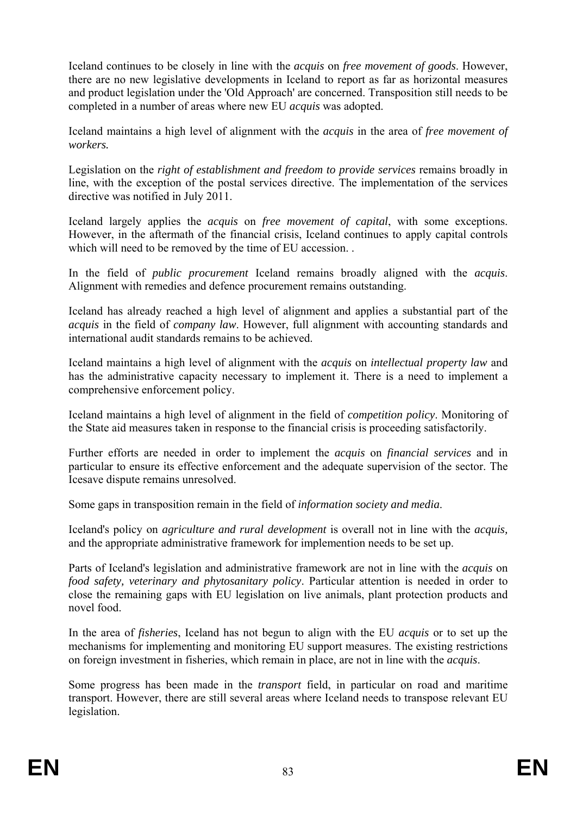Iceland continues to be closely in line with the *acquis* on *free movement of goods*. However, there are no new legislative developments in Iceland to report as far as horizontal measures and product legislation under the 'Old Approach' are concerned. Transposition still needs to be completed in a number of areas where new EU *acquis* was adopted.

Iceland maintains a high level of alignment with the *acquis* in the area of *free movement of workers.*

Legislation on the *right of establishment and freedom to provide services* remains broadly in line, with the exception of the postal services directive. The implementation of the services directive was notified in July 2011.

Iceland largely applies the *acquis* on *free movement of capital*, with some exceptions. However, in the aftermath of the financial crisis, Iceland continues to apply capital controls which will need to be removed by the time of EU accession. .

In the field of *public procurement* Iceland remains broadly aligned with the *acquis*. Alignment with remedies and defence procurement remains outstanding.

Iceland has already reached a high level of alignment and applies a substantial part of the *acquis* in the field of *company law*. However, full alignment with accounting standards and international audit standards remains to be achieved.

Iceland maintains a high level of alignment with the *acquis* on *intellectual property law* and has the administrative capacity necessary to implement it. There is a need to implement a comprehensive enforcement policy.

Iceland maintains a high level of alignment in the field of *competition policy*. Monitoring of the State aid measures taken in response to the financial crisis is proceeding satisfactorily.

Further efforts are needed in order to implement the *acquis* on *financial services* and in particular to ensure its effective enforcement and the adequate supervision of the sector. The Icesave dispute remains unresolved.

Some gaps in transposition remain in the field of *information society and media*.

Iceland's policy on *agriculture and rural development* is overall not in line with the *acquis,* and the appropriate administrative framework for implemention needs to be set up.

Parts of Iceland's legislation and administrative framework are not in line with the *acquis* on *food safety, veterinary and phytosanitary policy*. Particular attention is needed in order to close the remaining gaps with EU legislation on live animals, plant protection products and novel food.

In the area of *fisheries*, Iceland has not begun to align with the EU *acquis* or to set up the mechanisms for implementing and monitoring EU support measures. The existing restrictions on foreign investment in fisheries, which remain in place, are not in line with the *acquis*.

Some progress has been made in the *transport* field, in particular on road and maritime transport. However, there are still several areas where Iceland needs to transpose relevant EU legislation.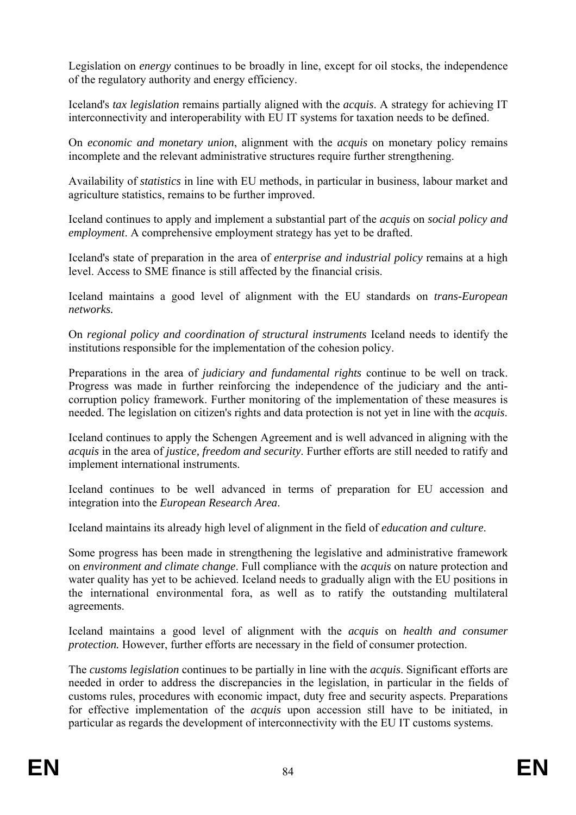Legislation on *energy* continues to be broadly in line, except for oil stocks, the independence of the regulatory authority and energy efficiency.

Iceland's *tax legislation* remains partially aligned with the *acquis*. A strategy for achieving IT interconnectivity and interoperability with EU IT systems for taxation needs to be defined.

On *economic and monetary union*, alignment with the *acquis* on monetary policy remains incomplete and the relevant administrative structures require further strengthening.

Availability of *statistics* in line with EU methods, in particular in business, labour market and agriculture statistics, remains to be further improved.

Iceland continues to apply and implement a substantial part of the *acquis* on *social policy and employment*. A comprehensive employment strategy has yet to be drafted.

Iceland's state of preparation in the area of *enterprise and industrial policy* remains at a high level. Access to SME finance is still affected by the financial crisis.

Iceland maintains a good level of alignment with the EU standards on *trans-European networks.* 

On *regional policy and coordination of structural instruments* Iceland needs to identify the institutions responsible for the implementation of the cohesion policy.

Preparations in the area of *judiciary and fundamental rights* continue to be well on track. Progress was made in further reinforcing the independence of the judiciary and the anticorruption policy framework. Further monitoring of the implementation of these measures is needed. The legislation on citizen's rights and data protection is not yet in line with the *acquis*.

Iceland continues to apply the Schengen Agreement and is well advanced in aligning with the *acquis* in the area of *justice, freedom and security*. Further efforts are still needed to ratify and implement international instruments.

Iceland continues to be well advanced in terms of preparation for EU accession and integration into the *European Research Area*.

Iceland maintains its already high level of alignment in the field of *education and culture*.

Some progress has been made in strengthening the legislative and administrative framework on *environment and climate change*. Full compliance with the *acquis* on nature protection and water quality has yet to be achieved. Iceland needs to gradually align with the EU positions in the international environmental fora, as well as to ratify the outstanding multilateral agreements.

Iceland maintains a good level of alignment with the *acquis* on *health and consumer protection*. However, further efforts are necessary in the field of consumer protection.

The *customs legislation* continues to be partially in line with the *acquis*. Significant efforts are needed in order to address the discrepancies in the legislation, in particular in the fields of customs rules, procedures with economic impact, duty free and security aspects. Preparations for effective implementation of the *acquis* upon accession still have to be initiated, in particular as regards the development of interconnectivity with the EU IT customs systems.